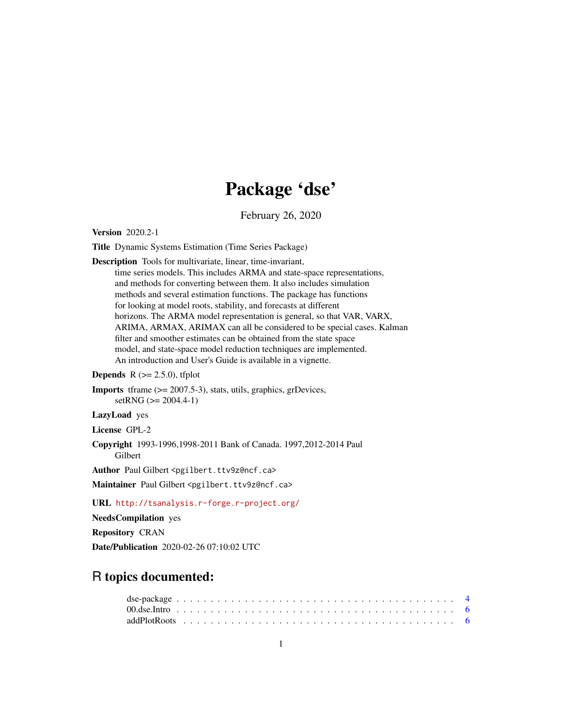# Package 'dse'

February 26, 2020

<span id="page-0-0"></span>Version 2020.2-1

Title Dynamic Systems Estimation (Time Series Package)

Description Tools for multivariate, linear, time-invariant,

time series models. This includes ARMA and state-space representations, and methods for converting between them. It also includes simulation methods and several estimation functions. The package has functions for looking at model roots, stability, and forecasts at different horizons. The ARMA model representation is general, so that VAR, VARX, ARIMA, ARMAX, ARIMAX can all be considered to be special cases. Kalman filter and smoother estimates can be obtained from the state space model, and state-space model reduction techniques are implemented. An introduction and User's Guide is available in a vignette.

**Depends**  $R$  ( $>= 2.5.0$ ), tfplot

```
Imports tframe (>= 2007.5-3), stats, utils, graphics, grDevices,
      setRNG (>= 2004.4-1)
```
LazyLoad yes

License GPL-2

Copyright 1993-1996,1998-2011 Bank of Canada. 1997,2012-2014 Paul Gilbert

Author Paul Gilbert <pgilbert.ttv9z@ncf.ca>

Maintainer Paul Gilbert <pgilbert.ttv9z@ncf.ca>

URL <http://tsanalysis.r-forge.r-project.org/>

NeedsCompilation yes

Repository CRAN

Date/Publication 2020-02-26 07:10:02 UTC

# R topics documented: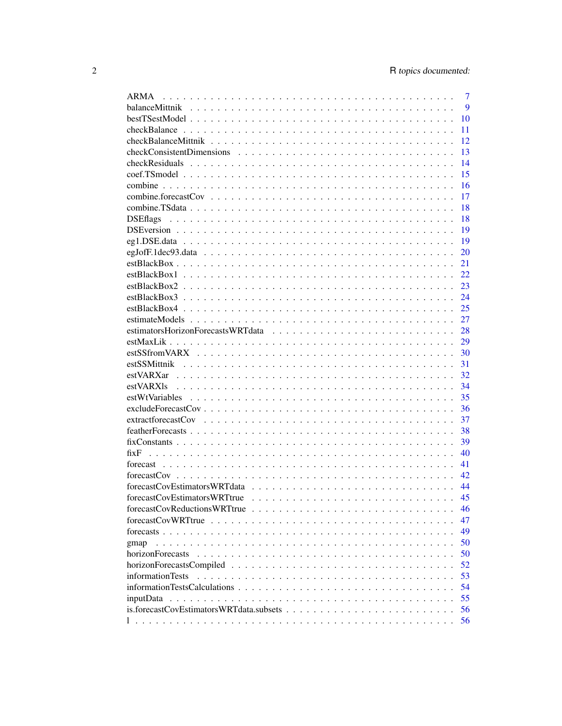| <b>ARMA</b>                                                                                                                 | 7  |
|-----------------------------------------------------------------------------------------------------------------------------|----|
|                                                                                                                             | 9  |
|                                                                                                                             | 10 |
|                                                                                                                             | 11 |
|                                                                                                                             | 12 |
|                                                                                                                             | 13 |
|                                                                                                                             | 14 |
|                                                                                                                             | 15 |
|                                                                                                                             | 16 |
|                                                                                                                             | 17 |
|                                                                                                                             | 18 |
| <b>DSE</b> flags                                                                                                            | 18 |
|                                                                                                                             | 19 |
|                                                                                                                             | 19 |
|                                                                                                                             | 20 |
|                                                                                                                             | 21 |
|                                                                                                                             | 22 |
|                                                                                                                             | 23 |
|                                                                                                                             | 24 |
|                                                                                                                             | 25 |
|                                                                                                                             | 27 |
|                                                                                                                             | 28 |
|                                                                                                                             | 29 |
|                                                                                                                             | 30 |
|                                                                                                                             | 31 |
|                                                                                                                             | 32 |
|                                                                                                                             | 34 |
|                                                                                                                             | 35 |
| $exclude ForecastCov \dots \dots \dots \dots \dots \dots \dots \dots \dots \dots \dots \dots \dots \dots \dots \dots \dots$ | 36 |
|                                                                                                                             | 37 |
|                                                                                                                             | 38 |
|                                                                                                                             | 39 |
| fixF                                                                                                                        | 40 |
|                                                                                                                             | 41 |
|                                                                                                                             | 42 |
|                                                                                                                             | 44 |
|                                                                                                                             | 45 |
|                                                                                                                             | 46 |
|                                                                                                                             | 47 |
|                                                                                                                             | 49 |
|                                                                                                                             | 50 |
| gmap<br>horizonForecasts                                                                                                    | 50 |
|                                                                                                                             |    |
|                                                                                                                             | 52 |
| informationTests                                                                                                            | 53 |
|                                                                                                                             | 54 |
|                                                                                                                             | 55 |
|                                                                                                                             | 56 |
|                                                                                                                             | 56 |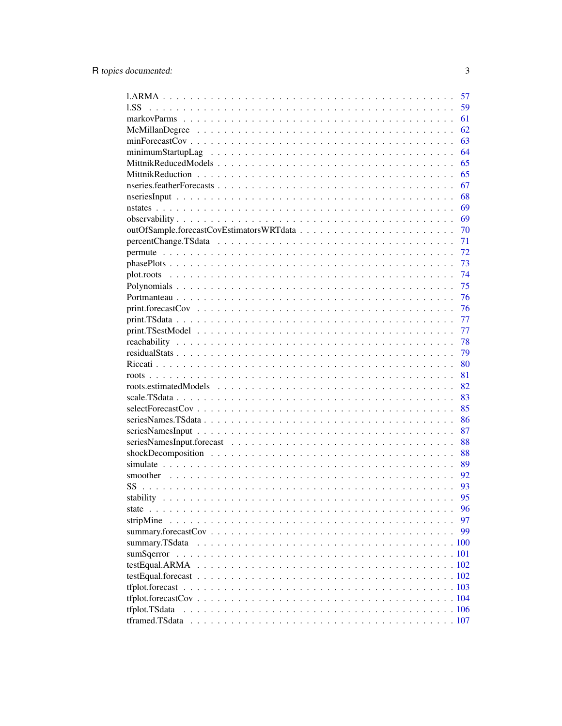|                | 57 |
|----------------|----|
| 1.SS           | 59 |
|                | 61 |
|                | 62 |
|                | 63 |
|                | 64 |
|                | 65 |
|                | 65 |
|                | 67 |
|                | 68 |
|                | 69 |
|                | 69 |
|                | 70 |
|                | 71 |
|                | 72 |
|                | 73 |
|                | 74 |
|                | 75 |
|                | 76 |
|                | 76 |
|                | 77 |
|                | 77 |
|                | 78 |
|                | 79 |
|                | 80 |
|                | 81 |
|                | 82 |
|                | 83 |
|                | 85 |
|                | 86 |
|                | 87 |
|                | 88 |
|                | 88 |
|                | 89 |
|                | 92 |
| SS             | 93 |
|                | 95 |
|                | 96 |
|                | 97 |
|                | 99 |
| summary.TSdata |    |
|                |    |
|                |    |
|                |    |
|                |    |
|                |    |
| tfplot.TSdata  |    |
|                |    |

 $\overline{3}$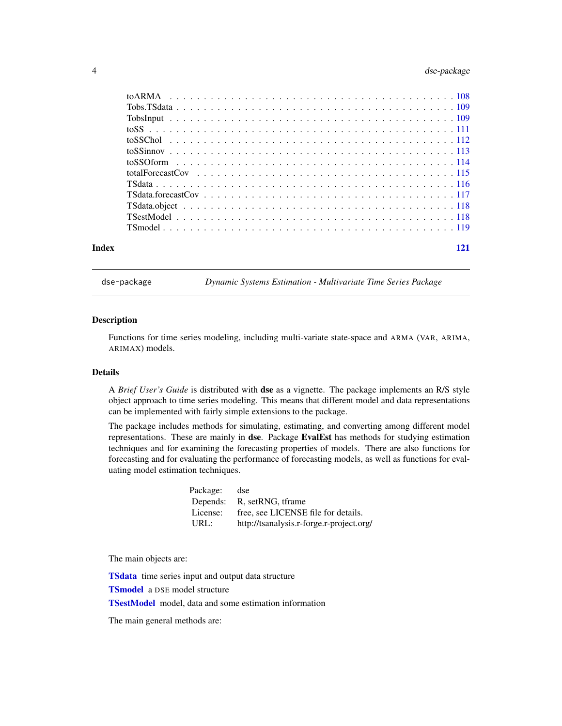<span id="page-3-0"></span>

| Index |  |
|-------|--|

<span id="page-3-1"></span>dse-package *Dynamic Systems Estimation - Multivariate Time Series Package*

## Description

Functions for time series modeling, including multi-variate state-space and ARMA (VAR, ARIMA, ARIMAX) models.

#### Details

A *Brief User's Guide* is distributed with dse as a vignette. The package implements an R/S style object approach to time series modeling. This means that different model and data representations can be implemented with fairly simple extensions to the package.

The package includes methods for simulating, estimating, and converting among different model representations. These are mainly in dse. Package EvalEst has methods for studying estimation techniques and for examining the forecasting properties of models. There are also functions for forecasting and for evaluating the performance of forecasting models, as well as functions for evaluating model estimation techniques.

| Package: | dse                                      |
|----------|------------------------------------------|
| Depends: | R, setRNG, tframe                        |
| License: | free, see LICENSE file for details.      |
| URL:     | http://tsanalysis.r-forge.r-project.org/ |

The main objects are:

**[TSdata](#page-115-1)** time series input and output data structure

[TSmodel](#page-118-1) a DSE model structure

[TSestModel](#page-117-1) model, data and some estimation information

The main general methods are: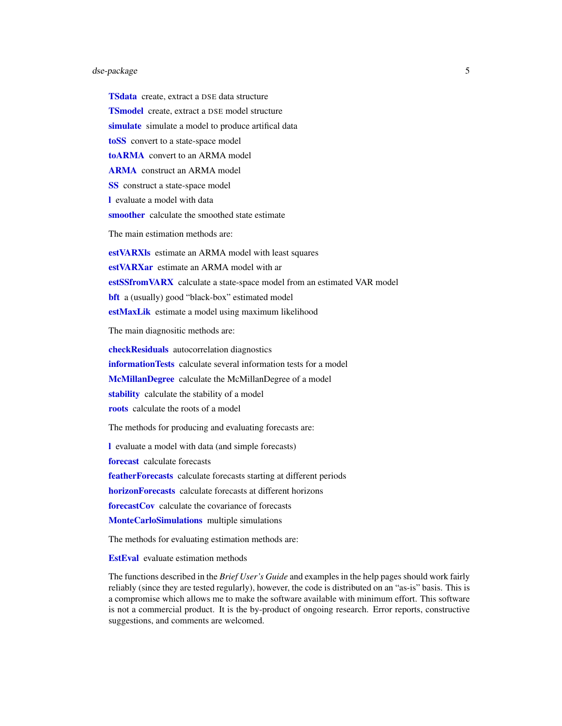## dse-package 5

**[TSdata](#page-115-1)** create, extract a DSE data structure **[TSmodel](#page-118-1)** create, extract a DSE model structure [simulate](#page-88-1) simulate a model to produce artifical data [toSS](#page-110-1) convert to a state-space model [toARMA](#page-107-1) convert to an ARMA model [ARMA](#page-6-1) construct an ARMA model [SS](#page-92-1) construct a state-space model [l](#page-55-1) evaluate a model with data [smoother](#page-91-1) calculate the smoothed state estimate The main estimation methods are: [estVARXls](#page-33-1) estimate an ARMA model with least squares [estVARXar](#page-31-1) estimate an ARMA model with ar [estSSfromVARX](#page-29-1) calculate a state-space model from an estimated VAR model **[bft](#page-24-1)** a (usually) good "black-box" estimated model [estMaxLik](#page-28-1) estimate a model using maximum likelihood The main diagnositic methods are:

[checkResiduals](#page-13-1) autocorrelation diagnostics [informationTests](#page-52-1) calculate several information tests for a model [McMillanDegree](#page-61-1) calculate the McMillanDegree of a model [stability](#page-94-1) calculate the stability of a model [roots](#page-80-1) calculate the roots of a model

The methods for producing and evaluating forecasts are:

[l](#page-55-1) evaluate a model with data (and simple forecasts)

[forecast](#page-40-1) calculate forecasts

[featherForecasts](#page-37-1) calculate forecasts starting at different periods

**[horizonForecasts](#page-49-1)** calculate forecasts at different horizons

[forecastCov](#page-41-1) calculate the covariance of forecasts

[MonteCarloSimulations](#page-0-0) multiple simulations

The methods for evaluating estimation methods are:

**[EstEval](#page-0-0)** evaluate estimation methods

The functions described in the *Brief User's Guide* and examples in the help pages should work fairly reliably (since they are tested regularly), however, the code is distributed on an "as-is" basis. This is a compromise which allows me to make the software available with minimum effort. This software is not a commercial product. It is the by-product of ongoing research. Error reports, constructive suggestions, and comments are welcomed.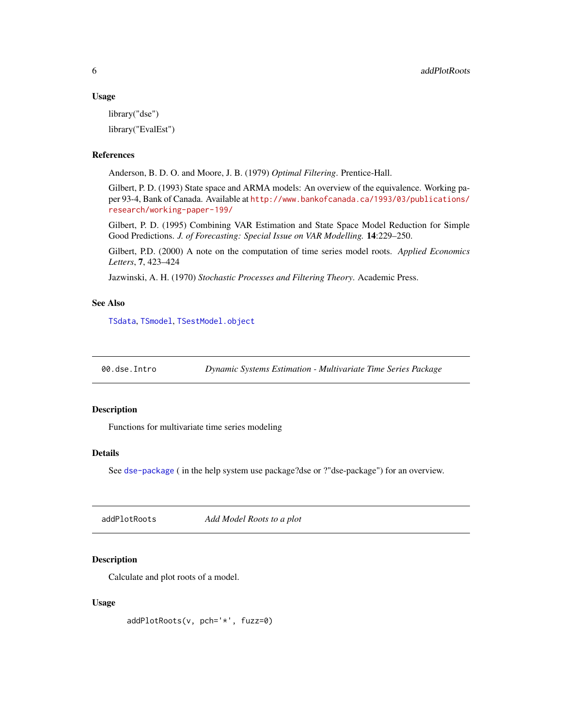#### <span id="page-5-0"></span>Usage

library("dse") library("EvalEst")

#### References

Anderson, B. D. O. and Moore, J. B. (1979) *Optimal Filtering*. Prentice-Hall.

Gilbert, P. D. (1993) State space and ARMA models: An overview of the equivalence. Working paper 93-4, Bank of Canada. Available at [http://www.bankofcanada.ca/1993/03/publications/](http://www.bankofcanada.ca/1993/03/publications/research/working-paper-199/) [research/working-paper-199/](http://www.bankofcanada.ca/1993/03/publications/research/working-paper-199/)

Gilbert, P. D. (1995) Combining VAR Estimation and State Space Model Reduction for Simple Good Predictions. *J. of Forecasting: Special Issue on VAR Modelling.* 14:229–250.

Gilbert, P.D. (2000) A note on the computation of time series model roots. *Applied Economics Letters*, 7, 423–424

Jazwinski, A. H. (1970) *Stochastic Processes and Filtering Theory*. Academic Press.

## See Also

[TSdata](#page-115-1), [TSmodel](#page-118-1), [TSestModel.object](#page-117-2)

00.dse.Intro *Dynamic Systems Estimation - Multivariate Time Series Package*

## Description

Functions for multivariate time series modeling

### Details

See [dse-package](#page-3-1) (in the help system use package?dse or ?"dse-package") for an overview.

addPlotRoots *Add Model Roots to a plot*

## Description

Calculate and plot roots of a model.

#### Usage

addPlotRoots(v, pch='\*', fuzz=0)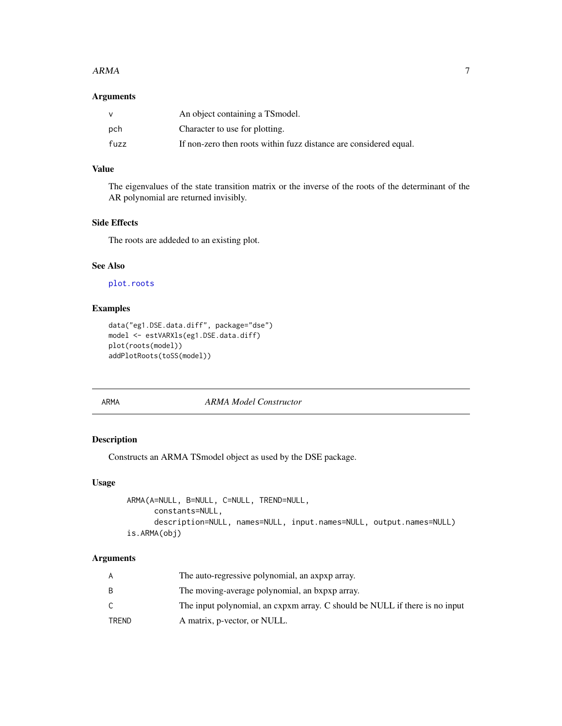#### <span id="page-6-0"></span> $ARMA$  7

## Arguments

|      | An object containing a TS model.                                  |
|------|-------------------------------------------------------------------|
| pch  | Character to use for plotting.                                    |
| fuzz | If non-zero then roots within fuzz distance are considered equal. |

## Value

The eigenvalues of the state transition matrix or the inverse of the roots of the determinant of the AR polynomial are returned invisibly.

## Side Effects

The roots are addeded to an existing plot.

## See Also

[plot.roots](#page-73-1)

## Examples

```
data("eg1.DSE.data.diff", package="dse")
model <- estVARXls(eg1.DSE.data.diff)
plot(roots(model))
addPlotRoots(toSS(model))
```
<span id="page-6-1"></span>

#### ARMA *ARMA Model Constructor*

## Description

Constructs an ARMA TSmodel object as used by the DSE package.

## Usage

```
ARMA(A=NULL, B=NULL, C=NULL, TREND=NULL,
      constants=NULL,
      description=NULL, names=NULL, input.names=NULL, output.names=NULL)
is.ARMA(obj)
```
#### Arguments

| A     | The auto-regressive polynomial, an axpxp array.                             |
|-------|-----------------------------------------------------------------------------|
|       | The moving-average polynomial, an bxpxp array.                              |
|       | The input polynomial, an expxm array. C should be NULL if there is no input |
| TRFND | A matrix, p-vector, or NULL.                                                |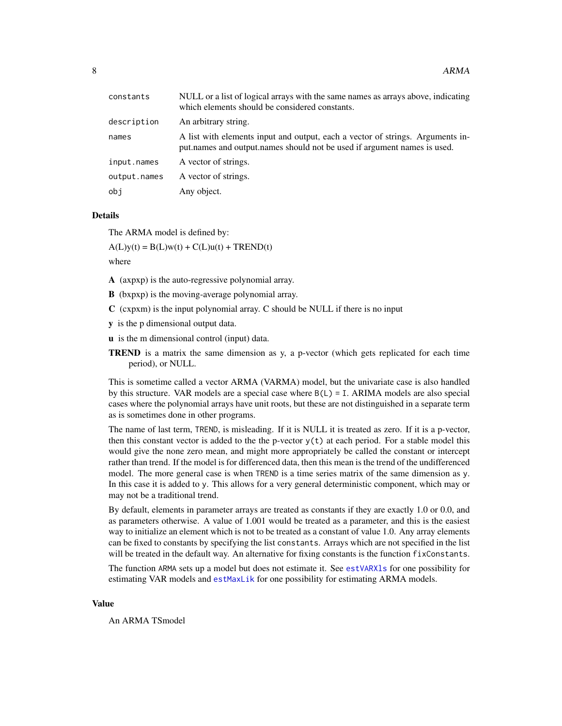| constants    | NULL or a list of logical arrays with the same names as arrays above, indicating<br>which elements should be considered constants.                         |
|--------------|------------------------------------------------------------------------------------------------------------------------------------------------------------|
| description  | An arbitrary string.                                                                                                                                       |
| names        | A list with elements input and output, each a vector of strings. Arguments in-<br>put names and output names should not be used if argument names is used. |
| input.names  | A vector of strings.                                                                                                                                       |
| output.names | A vector of strings.                                                                                                                                       |
| obj          | Any object.                                                                                                                                                |
|              |                                                                                                                                                            |

#### Details

The ARMA model is defined by:

 $A(L)y(t) = B(L)w(t) + C(L)u(t) + TREND(t)$ 

where

- A (axpxp) is the auto-regressive polynomial array.
- B (bxpxp) is the moving-average polynomial array.
- $C$  (cxpxm) is the input polynomial array.  $C$  should be NULL if there is no input
- y is the p dimensional output data.
- u is the m dimensional control (input) data.
- **TREND** is a matrix the same dimension as y, a p-vector (which gets replicated for each time period), or NULL.

This is sometime called a vector ARMA (VARMA) model, but the univariate case is also handled by this structure. VAR models are a special case where  $B(L) = I$ . ARIMA models are also special cases where the polynomial arrays have unit roots, but these are not distinguished in a separate term as is sometimes done in other programs.

The name of last term, TREND, is misleading. If it is NULL it is treated as zero. If it is a p-vector, then this constant vector is added to the the p-vector  $y(t)$  at each period. For a stable model this would give the none zero mean, and might more appropriately be called the constant or intercept rather than trend. If the model is for differenced data, then this mean is the trend of the undifferenced model. The more general case is when TREND is a time series matrix of the same dimension as y. In this case it is added to y. This allows for a very general deterministic component, which may or may not be a traditional trend.

By default, elements in parameter arrays are treated as constants if they are exactly 1.0 or 0.0, and as parameters otherwise. A value of 1.001 would be treated as a parameter, and this is the easiest way to initialize an element which is not to be treated as a constant of value 1.0. Any array elements can be fixed to constants by specifying the list constants. Arrays which are not specified in the list will be treated in the default way. An alternative for fixing constants is the function fixConstants.

The function ARMA sets up a model but does not estimate it. See [estVARXls](#page-33-1) for one possibility for estimating VAR models and [estMaxLik](#page-28-1) for one possibility for estimating ARMA models.

#### Value

An ARMA TSmodel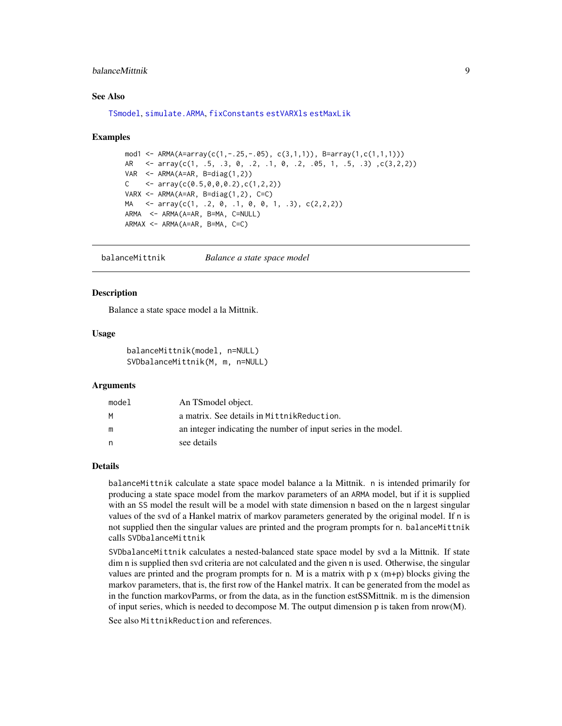## <span id="page-8-0"></span>balanceMittnik 9

## See Also

[TSmodel](#page-118-1), [simulate.ARMA](#page-88-2), [fixConstants](#page-38-1) [estVARXls](#page-33-1) [estMaxLik](#page-28-1)

#### Examples

```
mod1 <- ARMA(A=array(c(1,-.25,-.05), c(3,1,1)), B=array(1,c(1,1,1)))
AR <- array(c(1, .5, .3, 0, .2, .1, 0, .2, .05, 1, .5, .3) ,c(3,2,2))
VAR \leq ARMA(A=AR, B=diag(1,2))
C \leftarrow array(c(0.5,0,0,0.2),c(1,2,2))
VARX \leq ARMA(A=AR, B=diag(1,2), C=C)
MA <- array(c(1, .2, 0, .1, 0, 0, 1, .3), c(2,2,2))
ARMA <- ARMA(A=AR, B=MA, C=NULL)
ARMAX \leftarrow ARMA(A=AR, B=MA, C=C)
```
balanceMittnik *Balance a state space model*

#### Description

Balance a state space model a la Mittnik.

#### Usage

```
balanceMittnik(model, n=NULL)
SVDbalanceMittnik(M, m, n=NULL)
```
## **Arguments**

| model | An TSmodel object.                                             |
|-------|----------------------------------------------------------------|
| M     | a matrix. See details in Mittnik Reduction.                    |
| m     | an integer indicating the number of input series in the model. |
| n     | see details                                                    |

#### Details

balanceMittnik calculate a state space model balance a la Mittnik. n is intended primarily for producing a state space model from the markov parameters of an ARMA model, but if it is supplied with an SS model the result will be a model with state dimension n based on the n largest singular values of the svd of a Hankel matrix of markov parameters generated by the original model. If n is not supplied then the singular values are printed and the program prompts for n. balanceMittnik calls SVDbalanceMittnik

SVDbalanceMittnik calculates a nested-balanced state space model by svd a la Mittnik. If state dim n is supplied then svd criteria are not calculated and the given n is used. Otherwise, the singular values are printed and the program prompts for n. M is a matrix with  $p \times (m+p)$  blocks giving the markov parameters, that is, the first row of the Hankel matrix. It can be generated from the model as in the function markovParms, or from the data, as in the function estSSMittnik. m is the dimension of input series, which is needed to decompose M. The output dimension p is taken from  $nrow(M)$ .

See also MittnikReduction and references.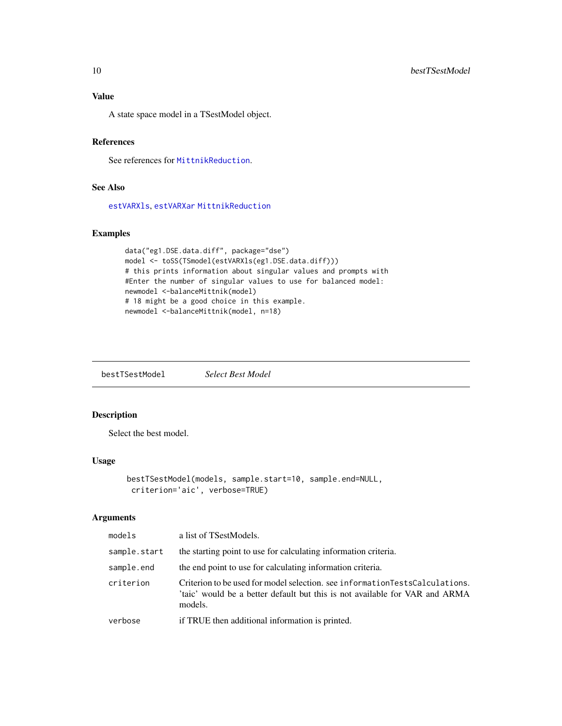<span id="page-9-0"></span>A state space model in a TSestModel object.

## References

See references for [MittnikReduction](#page-64-1).

## See Also

[estVARXls](#page-33-1), [estVARXar](#page-31-1) [MittnikReduction](#page-64-1)

## Examples

```
data("eg1.DSE.data.diff", package="dse")
model <- toSS(TSmodel(estVARXls(eg1.DSE.data.diff)))
# this prints information about singular values and prompts with
#Enter the number of singular values to use for balanced model:
newmodel <-balanceMittnik(model)
# 18 might be a good choice in this example.
newmodel <-balanceMittnik(model, n=18)
```
bestTSestModel *Select Best Model*

## Description

Select the best model.

#### Usage

```
bestTSestModel(models, sample.start=10, sample.end=NULL,
criterion='aic', verbose=TRUE)
```
#### Arguments

| models       | a list of TSestModels.                                                                                                                                                |
|--------------|-----------------------------------------------------------------------------------------------------------------------------------------------------------------------|
| sample.start | the starting point to use for calculating information criteria.                                                                                                       |
| sample.end   | the end point to use for calculating information criteria.                                                                                                            |
| criterion    | Criterion to be used for model selection, see informationTestsCalculations.<br>'taic' would be a better default but this is not available for VAR and ARMA<br>models. |
| verbose      | if TRUE then additional information is printed.                                                                                                                       |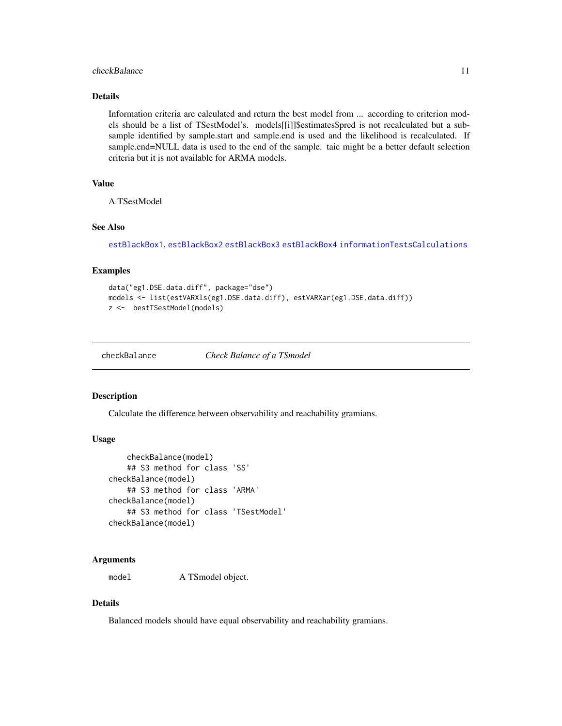## <span id="page-10-0"></span>checkBalance 11 and 12 and 12 and 12 and 12 and 12 and 12 and 12 and 12 and 12 and 12 and 12 and 12 and 12 and 12 and 12 and 12 and 12 and 12 and 12 and 12 and 12 and 12 and 12 and 12 and 12 and 12 and 12 and 12 and 12 and

## Details

Information criteria are calculated and return the best model from ... according to criterion models should be a list of TSestModel's. models[[i]]\$estimates\$pred is not recalculated but a subsample identified by sample.start and sample.end is used and the likelihood is recalculated. If sample.end=NULL data is used to the end of the sample. taic might be a better default selection criteria but it is not available for ARMA models.

## Value

A TSestModel

#### See Also

[estBlackBox1](#page-21-1), [estBlackBox2](#page-22-1) [estBlackBox3](#page-23-1) [estBlackBox4](#page-24-2) [informationTestsCalculations](#page-53-1)

#### Examples

```
data("eg1.DSE.data.diff", package="dse")
models <- list(estVARXls(eg1.DSE.data.diff), estVARXar(eg1.DSE.data.diff))
z <- bestTSestModel(models)
```
<span id="page-10-1"></span>checkBalance *Check Balance of a TSmodel*

#### Description

Calculate the difference between observability and reachability gramians.

## Usage

```
checkBalance(model)
    ## S3 method for class 'SS'
checkBalance(model)
    ## S3 method for class 'ARMA'
checkBalance(model)
    ## S3 method for class 'TSestModel'
checkBalance(model)
```
## Arguments

model A TSmodel object.

## Details

Balanced models should have equal observability and reachability gramians.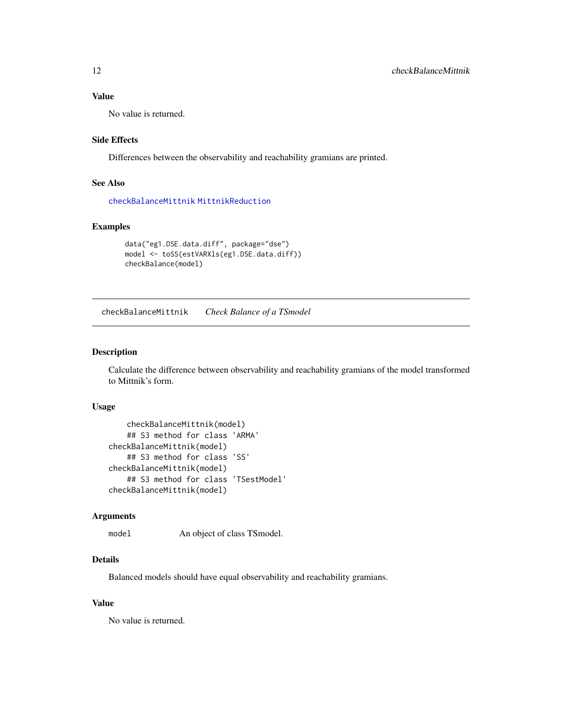## <span id="page-11-0"></span>Value

No value is returned.

#### Side Effects

Differences between the observability and reachability gramians are printed.

## See Also

[checkBalanceMittnik](#page-11-1) [MittnikReduction](#page-64-1)

## Examples

```
data("eg1.DSE.data.diff", package="dse")
model <- toSS(estVARXls(eg1.DSE.data.diff))
checkBalance(model)
```
<span id="page-11-1"></span>checkBalanceMittnik *Check Balance of a TSmodel*

## Description

Calculate the difference between observability and reachability gramians of the model transformed to Mittnik's form.

### Usage

```
checkBalanceMittnik(model)
    ## S3 method for class 'ARMA'
checkBalanceMittnik(model)
    ## S3 method for class 'SS'
checkBalanceMittnik(model)
    ## S3 method for class 'TSestModel'
checkBalanceMittnik(model)
```
#### Arguments

model An object of class TSmodel.

## Details

Balanced models should have equal observability and reachability gramians.

#### Value

No value is returned.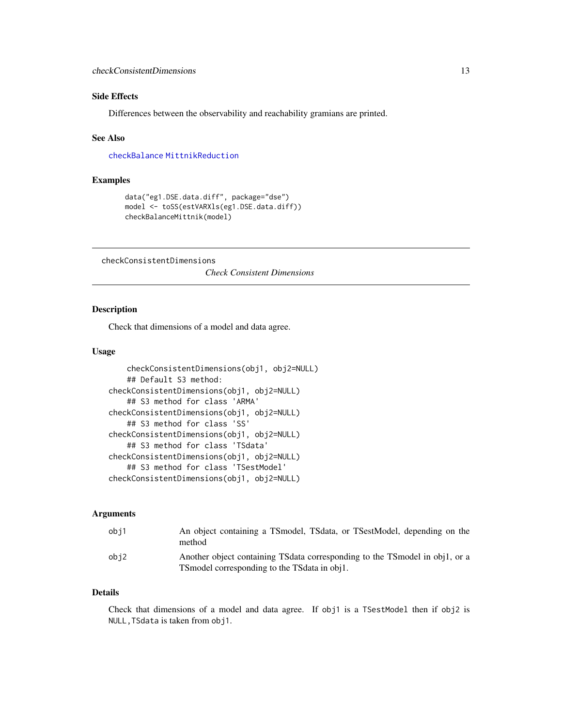## <span id="page-12-0"></span>Side Effects

Differences between the observability and reachability gramians are printed.

#### See Also

[checkBalance](#page-10-1) [MittnikReduction](#page-64-1)

#### Examples

```
data("eg1.DSE.data.diff", package="dse")
model <- toSS(estVARXls(eg1.DSE.data.diff))
checkBalanceMittnik(model)
```
checkConsistentDimensions

*Check Consistent Dimensions*

#### Description

Check that dimensions of a model and data agree.

## Usage

```
checkConsistentDimensions(obj1, obj2=NULL)
    ## Default S3 method:
checkConsistentDimensions(obj1, obj2=NULL)
    ## S3 method for class 'ARMA'
checkConsistentDimensions(obj1, obj2=NULL)
    ## S3 method for class 'SS'
checkConsistentDimensions(obj1, obj2=NULL)
    ## S3 method for class 'TSdata'
checkConsistentDimensions(obj1, obj2=NULL)
    ## S3 method for class 'TSestModel'
checkConsistentDimensions(obj1, obj2=NULL)
```
## Arguments

| obi1 | An object containing a TSmodel, TSdata, or TSestModel, depending on the<br>method                                               |
|------|---------------------------------------------------------------------------------------------------------------------------------|
| obi2 | Another object containing TS data corresponding to the TS model in obj1, or a<br>TS model corresponding to the TS data in obj1. |

#### Details

Check that dimensions of a model and data agree. If obj1 is a TSestModel then if obj2 is NULL,TSdata is taken from obj1.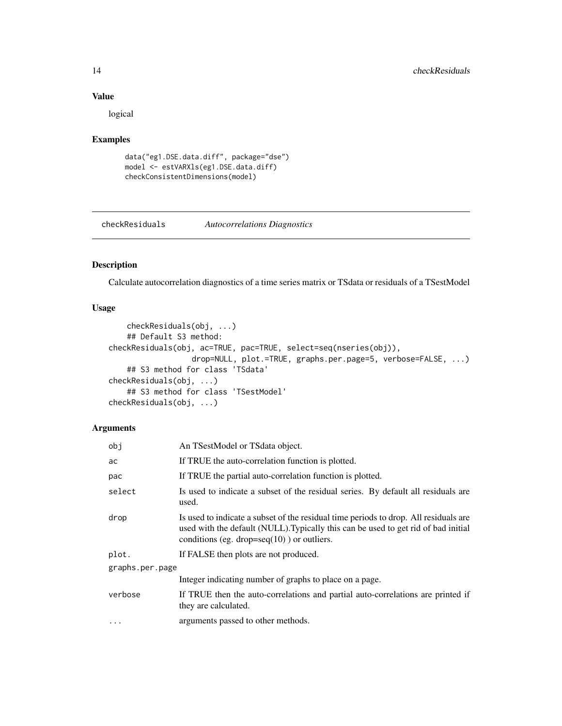## Value

logical

### Examples

```
data("eg1.DSE.data.diff", package="dse")
model <- estVARXls(eg1.DSE.data.diff)
checkConsistentDimensions(model)
```
<span id="page-13-1"></span>checkResiduals *Autocorrelations Diagnostics*

## Description

Calculate autocorrelation diagnostics of a time series matrix or TSdata or residuals of a TSestModel

## Usage

```
checkResiduals(obj, ...)
    ## Default S3 method:
checkResiduals(obj, ac=TRUE, pac=TRUE, select=seq(nseries(obj)),
                  drop=NULL, plot.=TRUE, graphs.per.page=5, verbose=FALSE, ...)
    ## S3 method for class 'TSdata'
checkResiduals(obj, ...)
    ## S3 method for class 'TSestModel'
checkResiduals(obj, ...)
```
## Arguments

| obj             | An TSestModel or TSdata object.                                                                                                                                                                                              |
|-----------------|------------------------------------------------------------------------------------------------------------------------------------------------------------------------------------------------------------------------------|
| ac              | If TRUE the auto-correlation function is plotted.                                                                                                                                                                            |
| pac             | If TRUE the partial auto-correlation function is plotted.                                                                                                                                                                    |
| select          | Is used to indicate a subset of the residual series. By default all residuals are<br>used.                                                                                                                                   |
| drop            | Is used to indicate a subset of the residual time periods to drop. All residuals are<br>used with the default (NULL). Typically this can be used to get rid of bad initial<br>conditions (eg. drop=seq $(10)$ ) or outliers. |
| plot.           | If FALSE then plots are not produced.                                                                                                                                                                                        |
| graphs.per.page |                                                                                                                                                                                                                              |
|                 | Integer indicating number of graphs to place on a page.                                                                                                                                                                      |
| verbose         | If TRUE then the auto-correlations and partial auto-correlations are printed if<br>they are calculated.                                                                                                                      |
| $\ddotsc$       | arguments passed to other methods.                                                                                                                                                                                           |

<span id="page-13-0"></span>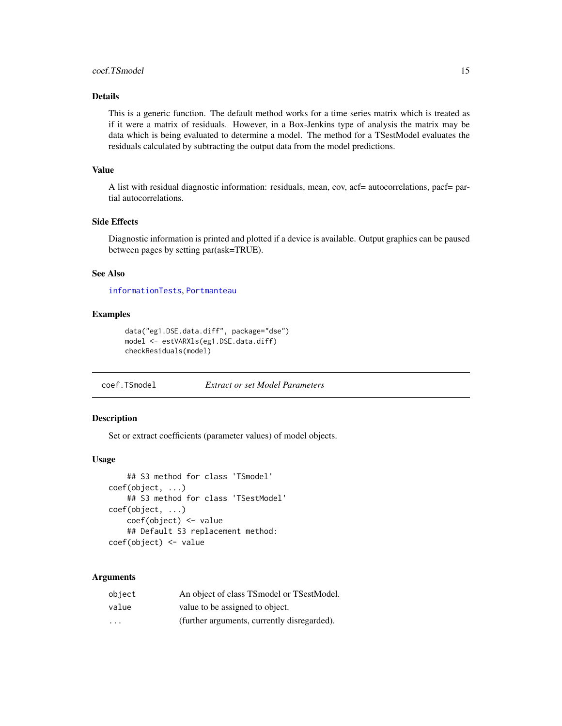## <span id="page-14-0"></span>coef.TSmodel 15

## Details

This is a generic function. The default method works for a time series matrix which is treated as if it were a matrix of residuals. However, in a Box-Jenkins type of analysis the matrix may be data which is being evaluated to determine a model. The method for a TSestModel evaluates the residuals calculated by subtracting the output data from the model predictions.

#### Value

A list with residual diagnostic information: residuals, mean, cov, acf= autocorrelations, pacf= partial autocorrelations.

## Side Effects

Diagnostic information is printed and plotted if a device is available. Output graphics can be paused between pages by setting par(ask=TRUE).

#### See Also

[informationTests](#page-52-1), [Portmanteau](#page-75-1)

#### Examples

```
data("eg1.DSE.data.diff", package="dse")
model <- estVARXls(eg1.DSE.data.diff)
checkResiduals(model)
```
coef.TSmodel *Extract or set Model Parameters*

## Description

Set or extract coefficients (parameter values) of model objects.

#### Usage

```
## S3 method for class 'TSmodel'
coef(object, ...)
    ## S3 method for class 'TSestModel'
coef(object, ...)
    coef(object) <- value
    ## Default S3 replacement method:
coef(object) <- value
```
#### **Arguments**

| object                  | An object of class TSmodel or TSestModel.   |
|-------------------------|---------------------------------------------|
| value                   | value to be assigned to object.             |
| $\cdot$ $\cdot$ $\cdot$ | (further arguments, currently disregarded). |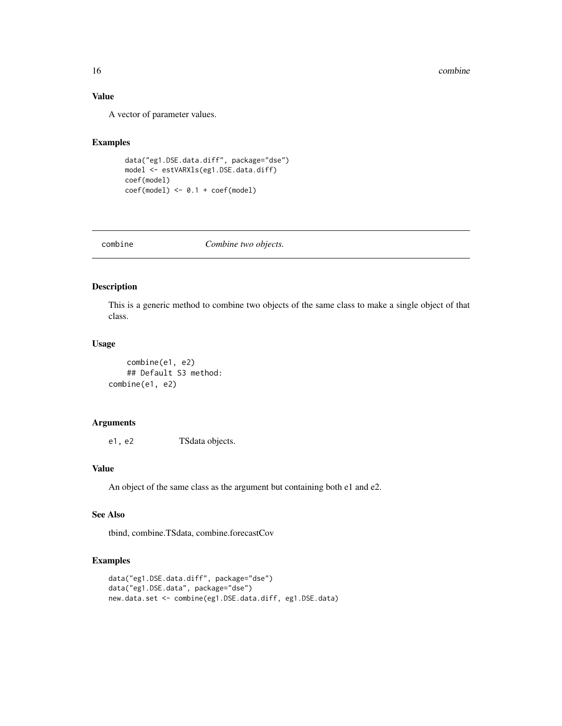## Value

A vector of parameter values.

## Examples

```
data("eg1.DSE.data.diff", package="dse")
model <- estVARXls(eg1.DSE.data.diff)
coef(model)
coef(model) <- 0.1 + coef(model)
```
<span id="page-15-1"></span>combine *Combine two objects.*

## Description

This is a generic method to combine two objects of the same class to make a single object of that class.

## Usage

```
combine(e1, e2)
    ## Default S3 method:
combine(e1, e2)
```
## Arguments

e1, e2 TSdata objects.

## Value

An object of the same class as the argument but containing both e1 and e2.

## See Also

tbind, combine.TSdata, combine.forecastCov

```
data("eg1.DSE.data.diff", package="dse")
data("eg1.DSE.data", package="dse")
new.data.set <- combine(eg1.DSE.data.diff, eg1.DSE.data)
```
<span id="page-15-0"></span>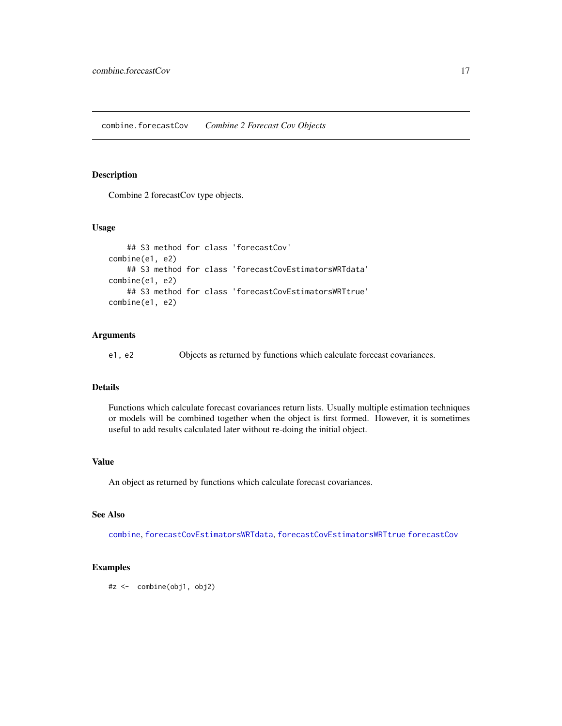#### <span id="page-16-0"></span>Description

Combine 2 forecastCov type objects.

## Usage

```
## S3 method for class 'forecastCov'
combine(e1, e2)
    ## S3 method for class 'forecastCovEstimatorsWRTdata'
combine(e1, e2)
    ## S3 method for class 'forecastCovEstimatorsWRTtrue'
combine(e1, e2)
```
## Arguments

e1, e2 Objects as returned by functions which calculate forecast covariances.

## Details

Functions which calculate forecast covariances return lists. Usually multiple estimation techniques or models will be combined together when the object is first formed. However, it is sometimes useful to add results calculated later without re-doing the initial object.

#### Value

An object as returned by functions which calculate forecast covariances.

#### See Also

[combine](#page-15-1), [forecastCovEstimatorsWRTdata](#page-43-1), [forecastCovEstimatorsWRTtrue](#page-44-1) [forecastCov](#page-41-1)

## Examples

#z <- combine(obj1, obj2)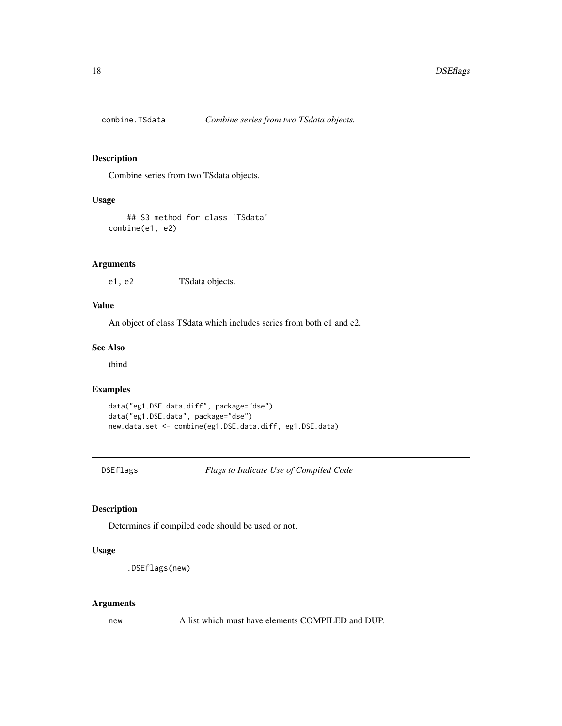<span id="page-17-0"></span>

## Description

Combine series from two TSdata objects.

## Usage

```
## S3 method for class 'TSdata'
combine(e1, e2)
```
## Arguments

e1, e2 TSdata objects.

## Value

An object of class TSdata which includes series from both e1 and e2.

## See Also

tbind

## Examples

```
data("eg1.DSE.data.diff", package="dse")
data("eg1.DSE.data", package="dse")
new.data.set <- combine(eg1.DSE.data.diff, eg1.DSE.data)
```
DSEflags *Flags to Indicate Use of Compiled Code*

## Description

Determines if compiled code should be used or not.

## Usage

```
.DSEflags(new)
```
#### Arguments

new A list which must have elements COMPILED and DUP.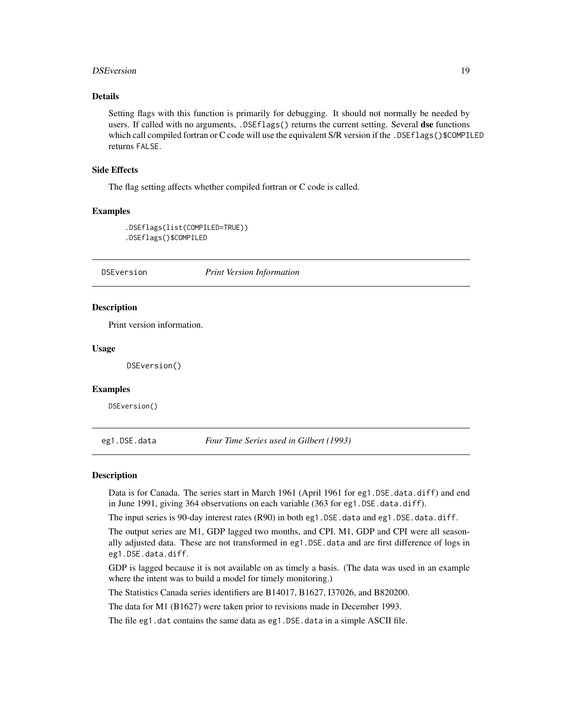#### <span id="page-18-0"></span>DSEversion 19

## Details

Setting flags with this function is primarily for debugging. It should not normally be needed by users. If called with no arguments, .DSEflags() returns the current setting. Several dse functions which call compiled fortran or C code will use the equivalent S/R version if the .DSEflags()\$COMPILED returns FALSE.

#### Side Effects

The flag setting affects whether compiled fortran or C code is called.

#### Examples

```
.DSEflags(list(COMPILED=TRUE))
.DSEflags()$COMPILED
```
## DSEversion *Print Version Information*

#### Description

Print version information.

#### Usage

DSEversion()

#### Examples

DSEversion()

eg1.DSE.data *Four Time Series used in Gilbert (1993)*

#### **Description**

Data is for Canada. The series start in March 1961 (April 1961 for eg1.DSE.data.diff) and end in June 1991, giving 364 observations on each variable (363 for eg1.DSE.data.diff).

The input series is 90-day interest rates (R90) in both eg1.DSE.data and eg1.DSE.data.diff.

The output series are M1, GDP lagged two months, and CPI. M1, GDP and CPI were all seasonally adjusted data. These are not transformed in eg1.DSE.data and are first difference of logs in eg1.DSE.data.diff.

GDP is lagged because it is not available on as timely a basis. (The data was used in an example where the intent was to build a model for timely monitoring.)

The Statistics Canada series identifiers are B14017, B1627, I37026, and B820200.

The data for M1 (B1627) were taken prior to revisions made in December 1993.

The file eg1.dat contains the same data as eg1.DSE.data in a simple ASCII file.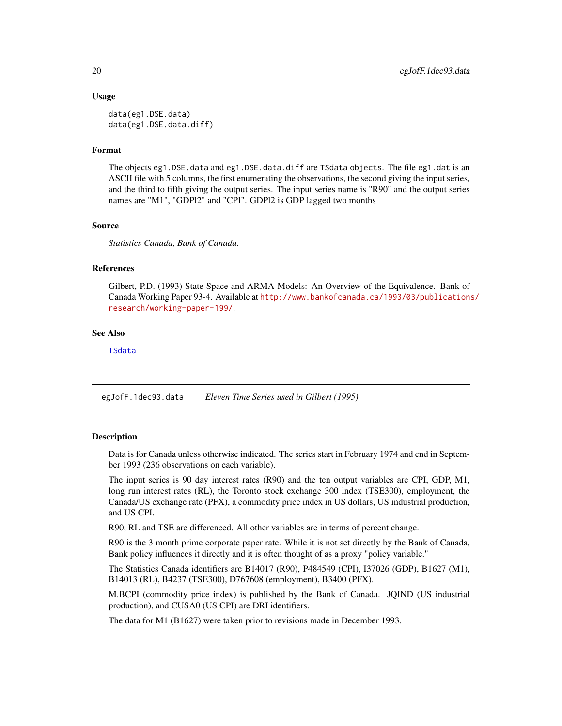#### <span id="page-19-0"></span>Usage

```
data(eg1.DSE.data)
data(eg1.DSE.data.diff)
```
## Format

The objects eg1.DSE.data and eg1.DSE.data.diff are TSdata objects. The file eg1.dat is an ASCII file with 5 columns, the first enumerating the observations, the second giving the input series, and the third to fifth giving the output series. The input series name is "R90" and the output series names are "M1", "GDPl2" and "CPI". GDPl2 is GDP lagged two months

#### Source

*Statistics Canada, Bank of Canada.*

#### References

Gilbert, P.D. (1993) State Space and ARMA Models: An Overview of the Equivalence. Bank of Canada Working Paper 93-4. Available at [http://www.bankofcanada.ca/1993/03/publications](http://www.bankofcanada.ca/1993/03/publications/research/working-paper-199/)/ [research/working-paper-199/](http://www.bankofcanada.ca/1993/03/publications/research/working-paper-199/).

#### See Also

[TSdata](#page-115-1)

egJofF.1dec93.data *Eleven Time Series used in Gilbert (1995)*

#### **Description**

Data is for Canada unless otherwise indicated. The series start in February 1974 and end in September 1993 (236 observations on each variable).

The input series is 90 day interest rates (R90) and the ten output variables are CPI, GDP, M1, long run interest rates (RL), the Toronto stock exchange 300 index (TSE300), employment, the Canada/US exchange rate (PFX), a commodity price index in US dollars, US industrial production, and US CPI.

R90, RL and TSE are differenced. All other variables are in terms of percent change.

R90 is the 3 month prime corporate paper rate. While it is not set directly by the Bank of Canada, Bank policy influences it directly and it is often thought of as a proxy "policy variable."

The Statistics Canada identifiers are B14017 (R90), P484549 (CPI), I37026 (GDP), B1627 (M1), B14013 (RL), B4237 (TSE300), D767608 (employment), B3400 (PFX).

M.BCPI (commodity price index) is published by the Bank of Canada. JQIND (US industrial production), and CUSA0 (US CPI) are DRI identifiers.

The data for M1 (B1627) were taken prior to revisions made in December 1993.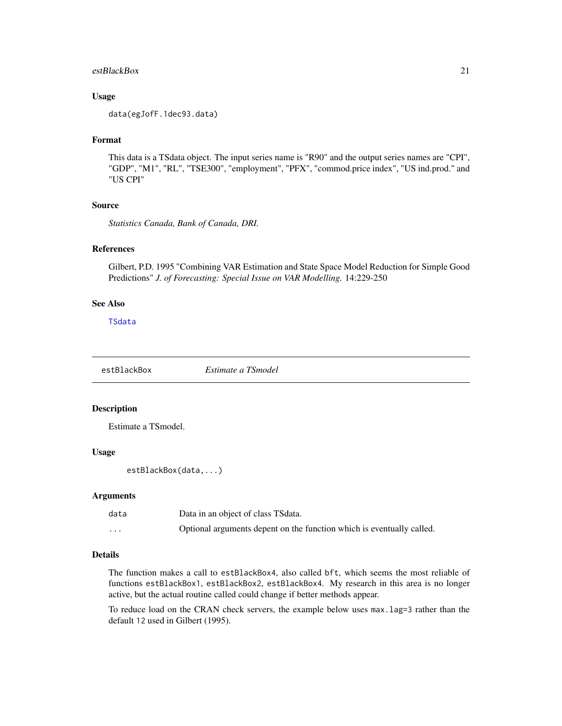#### <span id="page-20-0"></span>estBlackBox 21

#### Usage

data(egJofF.1dec93.data)

#### Format

This data is a TSdata object. The input series name is "R90" and the output series names are "CPI", "GDP", "M1", "RL", "TSE300", "employment", "PFX", "commod.price index", "US ind.prod." and "US CPI"

#### Source

*Statistics Canada, Bank of Canada, DRI.*

#### References

Gilbert, P.D. 1995 "Combining VAR Estimation and State Space Model Reduction for Simple Good Predictions" *J. of Forecasting: Special Issue on VAR Modelling.* 14:229-250

## See Also

[TSdata](#page-115-1)

<span id="page-20-1"></span>estBlackBox *Estimate a TSmodel*

#### Description

Estimate a TSmodel.

#### Usage

```
estBlackBox(data,...)
```
#### Arguments

| data     | Data in an object of class TSdata.                                    |
|----------|-----------------------------------------------------------------------|
| $\cdots$ | Optional arguments depent on the function which is eventually called. |

## Details

The function makes a call to estBlackBox4, also called bft, which seems the most reliable of functions estBlackBox1, estBlackBox2, estBlackBox4. My research in this area is no longer active, but the actual routine called could change if better methods appear.

To reduce load on the CRAN check servers, the example below uses max.lag=3 rather than the default 12 used in Gilbert (1995).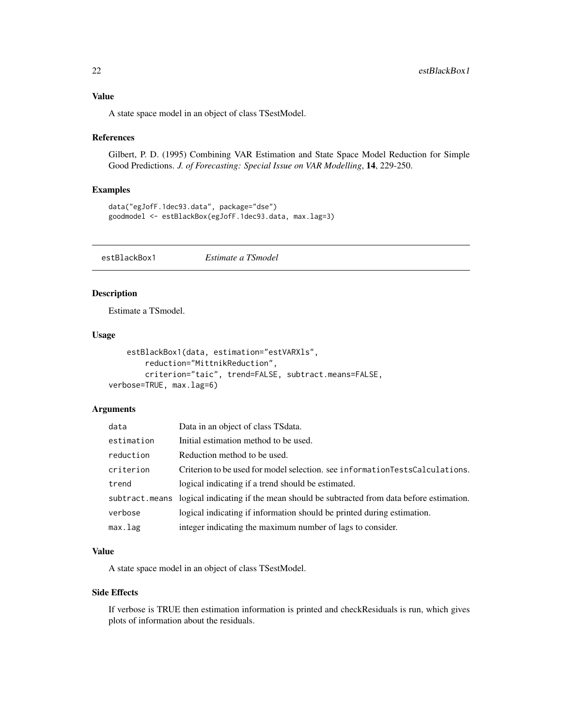## <span id="page-21-0"></span>Value

A state space model in an object of class TSestModel.

#### References

Gilbert, P. D. (1995) Combining VAR Estimation and State Space Model Reduction for Simple Good Predictions. *J. of Forecasting: Special Issue on VAR Modelling*, 14, 229-250.

#### Examples

```
data("egJofF.1dec93.data", package="dse")
goodmodel <- estBlackBox(egJofF.1dec93.data, max.lag=3)
```
<span id="page-21-1"></span>estBlackBox1 *Estimate a TSmodel*

## Description

Estimate a TSmodel.

## Usage

```
estBlackBox1(data, estimation="estVARXls",
       reduction="MittnikReduction",
       criterion="taic", trend=FALSE, subtract.means=FALSE,
verbose=TRUE, max.lag=6)
```
## Arguments

| data       | Data in an object of class TS data.                                                             |
|------------|-------------------------------------------------------------------------------------------------|
| estimation | Initial estimation method to be used.                                                           |
| reduction  | Reduction method to be used.                                                                    |
| criterion  | Criterion to be used for model selection. see informationTestsCalculations.                     |
| trend      | logical indicating if a trend should be estimated.                                              |
|            | subtract means logical indicating if the mean should be subtracted from data before estimation. |
| verbose    | logical indicating if information should be printed during estimation.                          |
| max.lag    | integer indicating the maximum number of lags to consider.                                      |

## Value

A state space model in an object of class TSestModel.

#### Side Effects

If verbose is TRUE then estimation information is printed and checkResiduals is run, which gives plots of information about the residuals.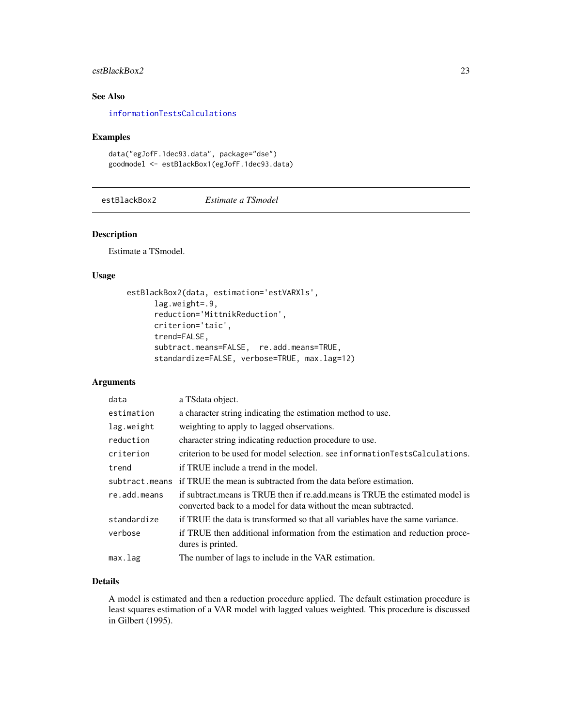## <span id="page-22-0"></span>estBlackBox2 23

## See Also

[informationTestsCalculations](#page-53-1)

## Examples

```
data("egJofF.1dec93.data", package="dse")
goodmodel <- estBlackBox1(egJofF.1dec93.data)
```
<span id="page-22-1"></span>estBlackBox2 *Estimate a TSmodel*

#### Description

Estimate a TSmodel.

#### Usage

```
estBlackBox2(data, estimation='estVARXls',
     lag.weight=.9,
      reduction='MittnikReduction',
     criterion='taic',
      trend=FALSE,
      subtract.means=FALSE, re.add.means=TRUE,
      standardize=FALSE, verbose=TRUE, max.lag=12)
```
#### Arguments

| data         | a TSdata object.                                                                                                                                 |
|--------------|--------------------------------------------------------------------------------------------------------------------------------------------------|
| estimation   | a character string indicating the estimation method to use.                                                                                      |
| lag.weight   | weighting to apply to lagged observations.                                                                                                       |
| reduction    | character string indicating reduction procedure to use.                                                                                          |
| criterion    | criterion to be used for model selection, see information Tests Calculations.                                                                    |
| trend        | if TRUE include a trend in the model.                                                                                                            |
|              | subtract means if TRUE the mean is subtracted from the data before estimation.                                                                   |
| re.add.means | if subtract means is TRUE then if reladd means is TRUE the estimated model is<br>converted back to a model for data without the mean subtracted. |
| standardize  | if TRUE the data is transformed so that all variables have the same variance.                                                                    |
| verbose      | if TRUE then additional information from the estimation and reduction proce-<br>dures is printed.                                                |
| max.lag      | The number of lags to include in the VAR estimation.                                                                                             |

## Details

A model is estimated and then a reduction procedure applied. The default estimation procedure is least squares estimation of a VAR model with lagged values weighted. This procedure is discussed in Gilbert (1995).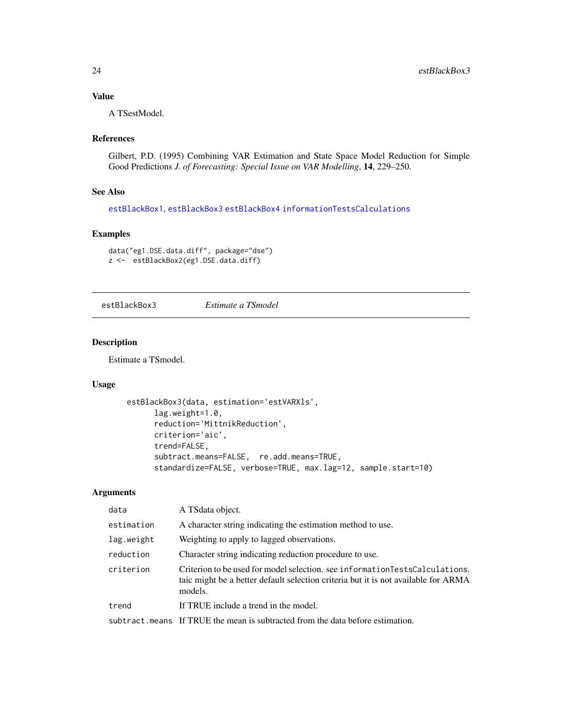## <span id="page-23-0"></span>Value

A TSestModel.

## References

Gilbert, P.D. (1995) Combining VAR Estimation and State Space Model Reduction for Simple Good Predictions *J. of Forecasting: Special Issue on VAR Modelling*, 14, 229–250.

## See Also

[estBlackBox1](#page-21-1), [estBlackBox3](#page-23-1) [estBlackBox4](#page-24-2) [informationTestsCalculations](#page-53-1)

## Examples

```
data("eg1.DSE.data.diff", package="dse")
z <- estBlackBox2(eg1.DSE.data.diff)
```

```
estBlackBox3 Estimate a TSmodel
```
## Description

Estimate a TSmodel.

#### Usage

```
estBlackBox3(data, estimation='estVARXls',
     lag.weight=1.0,
     reduction='MittnikReduction',
     criterion='aic',
      trend=FALSE,
      subtract.means=FALSE, re.add.means=TRUE,
      standardize=FALSE, verbose=TRUE, max.lag=12, sample.start=10)
```
#### Arguments

| data       | A TS data object.                                                                                                                                                              |
|------------|--------------------------------------------------------------------------------------------------------------------------------------------------------------------------------|
| estimation | A character string indicating the estimation method to use.                                                                                                                    |
| lag.weight | Weighting to apply to lagged observations.                                                                                                                                     |
| reduction  | Character string indicating reduction procedure to use.                                                                                                                        |
| criterion  | Criterion to be used for model selection, see information Tests Calculations.<br>taic might be a better default selection criteria but it is not available for ARMA<br>models. |
| trend      | If TRUE include a trend in the model.                                                                                                                                          |
|            | subtract means If TRUE the mean is subtracted from the data before estimation.                                                                                                 |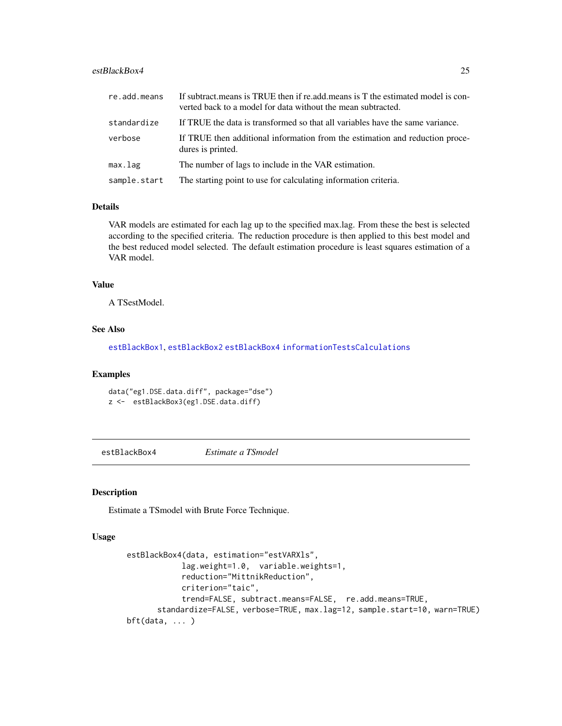## <span id="page-24-0"></span>estBlackBox4 25

| re.add.means | If subtract means is TRUE then if reladd means is T the estimated model is con-<br>verted back to a model for data without the mean subtracted. |
|--------------|-------------------------------------------------------------------------------------------------------------------------------------------------|
| standardize  | If TRUE the data is transformed so that all variables have the same variance.                                                                   |
| verbose      | If TRUE then additional information from the estimation and reduction proce-<br>dures is printed.                                               |
| max.lag      | The number of lags to include in the VAR estimation.                                                                                            |
| sample.start | The starting point to use for calculating information criteria.                                                                                 |

## Details

VAR models are estimated for each lag up to the specified max.lag. From these the best is selected according to the specified criteria. The reduction procedure is then applied to this best model and the best reduced model selected. The default estimation procedure is least squares estimation of a VAR model.

## Value

A TSestModel.

#### See Also

[estBlackBox1](#page-21-1), [estBlackBox2](#page-22-1) [estBlackBox4](#page-24-2) [informationTestsCalculations](#page-53-1)

## Examples

```
data("eg1.DSE.data.diff", package="dse")
z <- estBlackBox3(eg1.DSE.data.diff)
```
<span id="page-24-2"></span>estBlackBox4 *Estimate a TSmodel*

## <span id="page-24-1"></span>Description

Estimate a TSmodel with Brute Force Technique.

#### Usage

```
estBlackBox4(data, estimation="estVARXls",
            lag.weight=1.0, variable.weights=1,
            reduction="MittnikReduction",
            criterion="taic",
            trend=FALSE, subtract.means=FALSE, re.add.means=TRUE,
      standardize=FALSE, verbose=TRUE, max.lag=12, sample.start=10, warn=TRUE)
bft(data, ... )
```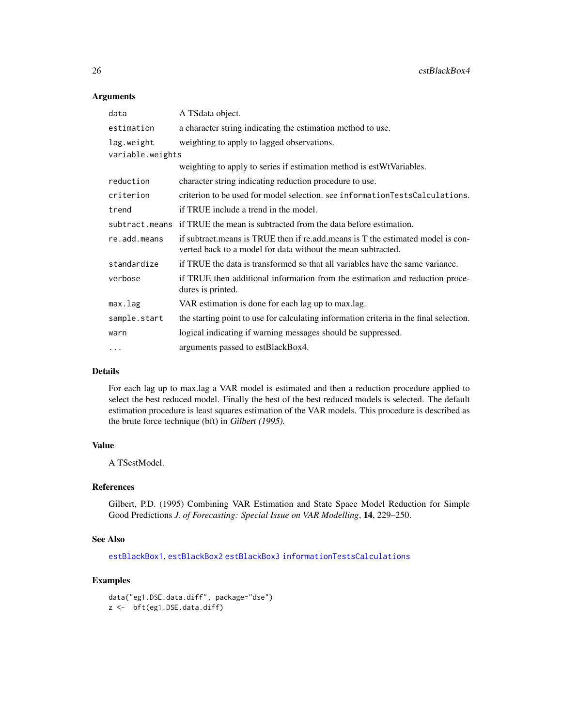#### Arguments

| data             | A TS data object.                                                                                                                               |
|------------------|-------------------------------------------------------------------------------------------------------------------------------------------------|
| estimation       | a character string indicating the estimation method to use.                                                                                     |
| lag.weight       | weighting to apply to lagged observations.                                                                                                      |
| variable.weights |                                                                                                                                                 |
|                  | weighting to apply to series if estimation method is estWtVariables.                                                                            |
| reduction        | character string indicating reduction procedure to use.                                                                                         |
| criterion        | criterion to be used for model selection. see informationTestsCalculations.                                                                     |
| trend            | if TRUE include a trend in the model.                                                                                                           |
|                  | subtract means if TRUE the mean is subtracted from the data before estimation.                                                                  |
| re.add.means     | if subtract means is TRUE then if reladd means is T the estimated model is con-<br>verted back to a model for data without the mean subtracted. |
| standardize      | if TRUE the data is transformed so that all variables have the same variance.                                                                   |
| verbose          | if TRUE then additional information from the estimation and reduction proce-<br>dures is printed.                                               |
| max.lag          | VAR estimation is done for each lag up to max.lag.                                                                                              |
| sample.start     | the starting point to use for calculating information criteria in the final selection.                                                          |
| warn             | logical indicating if warning messages should be suppressed.                                                                                    |
| $\cdots$         | arguments passed to estBlackBox4.                                                                                                               |

## Details

For each lag up to max.lag a VAR model is estimated and then a reduction procedure applied to select the best reduced model. Finally the best of the best reduced models is selected. The default estimation procedure is least squares estimation of the VAR models. This procedure is described as the brute force technique (bft) in Gilbert (1995).

## Value

A TSestModel.

## References

Gilbert, P.D. (1995) Combining VAR Estimation and State Space Model Reduction for Simple Good Predictions *J. of Forecasting: Special Issue on VAR Modelling*, 14, 229–250.

## See Also

[estBlackBox1](#page-21-1), [estBlackBox2](#page-22-1) [estBlackBox3](#page-23-1) [informationTestsCalculations](#page-53-1)

```
data("eg1.DSE.data.diff", package="dse")
z <- bft(eg1.DSE.data.diff)
```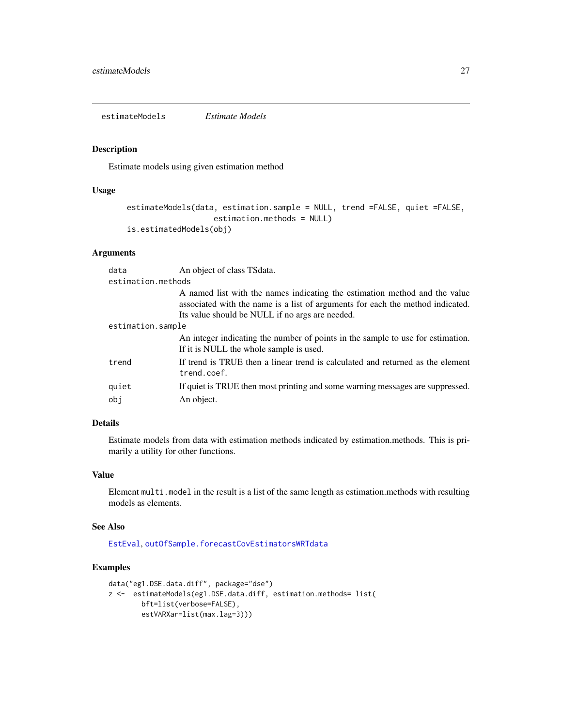<span id="page-26-1"></span><span id="page-26-0"></span>estimateModels *Estimate Models*

#### Description

Estimate models using given estimation method

#### Usage

```
estimateModels(data, estimation.sample = NULL, trend =FALSE, quiet =FALSE,
                   estimation.methods = NULL)
is.estimatedModels(obj)
```
## Arguments

| data               | An object of class TSdata.                                                                                                                                                                                      |  |
|--------------------|-----------------------------------------------------------------------------------------------------------------------------------------------------------------------------------------------------------------|--|
| estimation.methods |                                                                                                                                                                                                                 |  |
|                    | A named list with the names indicating the estimation method and the value<br>associated with the name is a list of arguments for each the method indicated.<br>Its value should be NULL if no args are needed. |  |
| estimation.sample  |                                                                                                                                                                                                                 |  |
|                    | An integer indicating the number of points in the sample to use for estimation.<br>If it is NULL the whole sample is used.                                                                                      |  |
| trend              | If trend is TRUE then a linear trend is calculated and returned as the element<br>trend.coef.                                                                                                                   |  |
| quiet              | If quiet is TRUE then most printing and some warning messages are suppressed.                                                                                                                                   |  |
| obj                | An object.                                                                                                                                                                                                      |  |

## Details

Estimate models from data with estimation methods indicated by estimation.methods. This is primarily a utility for other functions.

## Value

Element multi.model in the result is a list of the same length as estimation.methods with resulting models as elements.

## See Also

[EstEval](#page-0-0), [outOfSample.forecastCovEstimatorsWRTdata](#page-69-1)

```
data("eg1.DSE.data.diff", package="dse")
z <- estimateModels(eg1.DSE.data.diff, estimation.methods= list(
       bft=list(verbose=FALSE),
        estVARXar=list(max.lag=3)))
```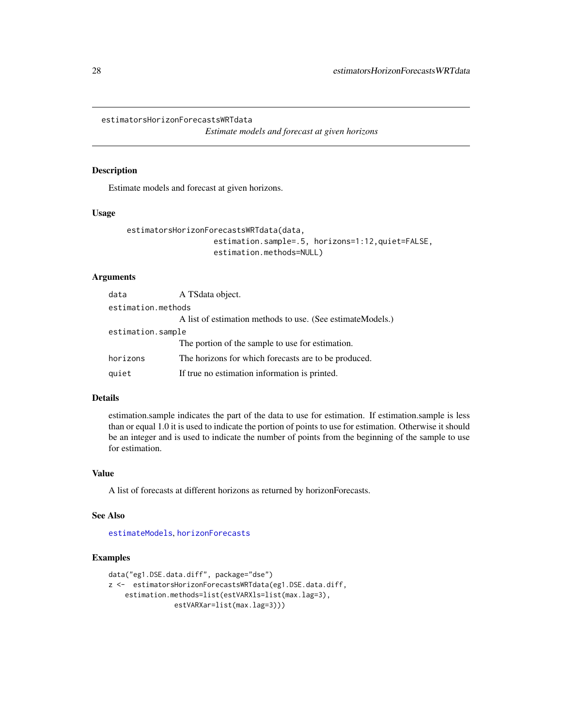<span id="page-27-0"></span>estimatorsHorizonForecastsWRTdata

*Estimate models and forecast at given horizons*

## Description

Estimate models and forecast at given horizons.

#### Usage

```
estimatorsHorizonForecastsWRTdata(data,
                   estimation.sample=.5, horizons=1:12,quiet=FALSE,
                   estimation.methods=NULL)
```
## Arguments

| data               | A TS data object.                                           |  |  |
|--------------------|-------------------------------------------------------------|--|--|
| estimation.methods |                                                             |  |  |
|                    | A list of estimation methods to use. (See estimate Models.) |  |  |
| estimation.sample  |                                                             |  |  |
|                    | The portion of the sample to use for estimation.            |  |  |
| horizons           | The horizons for which forecasts are to be produced.        |  |  |
| quiet              | If true no estimation information is printed.               |  |  |

## Details

estimation.sample indicates the part of the data to use for estimation. If estimation.sample is less than or equal 1.0 it is used to indicate the portion of points to use for estimation. Otherwise it should be an integer and is used to indicate the number of points from the beginning of the sample to use for estimation.

#### Value

A list of forecasts at different horizons as returned by horizonForecasts.

#### See Also

[estimateModels](#page-26-1), [horizonForecasts](#page-49-1)

```
data("eg1.DSE.data.diff", package="dse")
z <- estimatorsHorizonForecastsWRTdata(eg1.DSE.data.diff,
    estimation.methods=list(estVARXls=list(max.lag=3),
               estVARXar=list(max.lag=3)))
```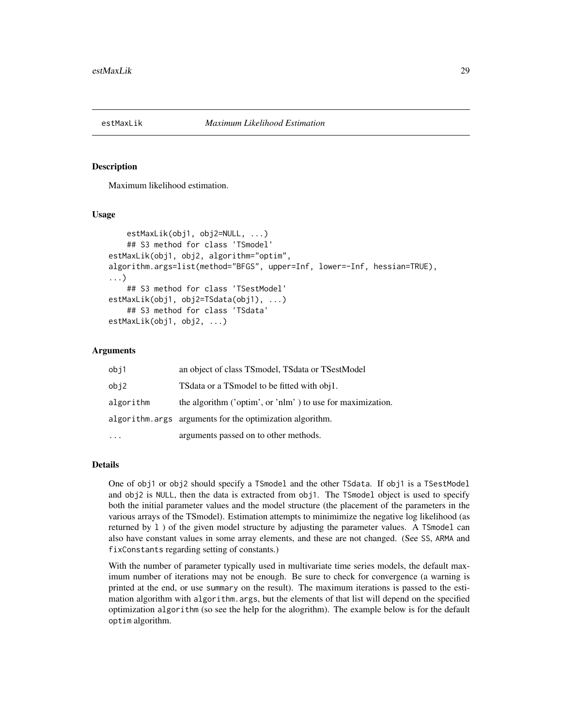<span id="page-28-1"></span><span id="page-28-0"></span>

## Description

Maximum likelihood estimation.

## Usage

```
estMaxLik(obj1, obj2=NULL, ...)
   ## S3 method for class 'TSmodel'
estMaxLik(obj1, obj2, algorithm="optim",
algorithm.args=list(method="BFGS", upper=Inf, lower=-Inf, hessian=TRUE),
...)
    ## S3 method for class 'TSestModel'
estMaxLik(obj1, obj2=TSdata(obj1), ...)
    ## S3 method for class 'TSdata'
estMaxLik(obj1, obj2, ...)
```
#### Arguments

| obj1      | an object of class TSmodel, TSdata or TSestModel           |
|-----------|------------------------------------------------------------|
| obj2      | TS data or a TS model to be fitted with obj1.              |
| algorithm | the algorithm ('optim', or 'nlm') to use for maximization. |
|           | algorithm. args arguments for the optimization algorithm.  |
|           | arguments passed on to other methods.                      |

#### Details

One of obj1 or obj2 should specify a TSmodel and the other TSdata. If obj1 is a TSestModel and obj2 is NULL, then the data is extracted from obj1. The TSmodel object is used to specify both the initial parameter values and the model structure (the placement of the parameters in the various arrays of the TSmodel). Estimation attempts to minimimize the negative log likelihood (as returned by l ) of the given model structure by adjusting the parameter values. A TSmodel can also have constant values in some array elements, and these are not changed. (See SS, ARMA and fixConstants regarding setting of constants.)

With the number of parameter typically used in multivariate time series models, the default maximum number of iterations may not be enough. Be sure to check for convergence (a warning is printed at the end, or use summary on the result). The maximum iterations is passed to the estimation algorithm with algorithm.args, but the elements of that list will depend on the specified optimization algorithm (so see the help for the alogrithm). The example below is for the default optim algorithm.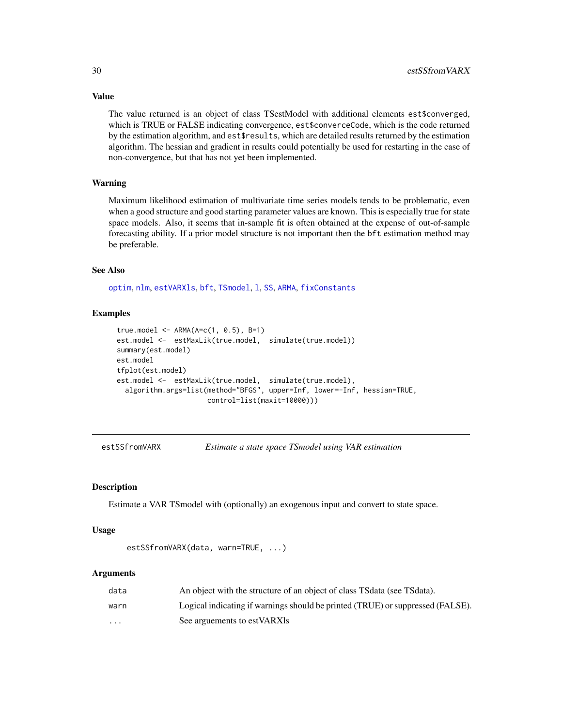The value returned is an object of class TSestModel with additional elements est\$converged, which is TRUE or FALSE indicating convergence, est\$converceCode, which is the code returned by the estimation algorithm, and est\$results, which are detailed results returned by the estimation algorithm. The hessian and gradient in results could potentially be used for restarting in the case of non-convergence, but that has not yet been implemented.

#### Warning

Maximum likelihood estimation of multivariate time series models tends to be problematic, even when a good structure and good starting parameter values are known. This is especially true for state space models. Also, it seems that in-sample fit is often obtained at the expense of out-of-sample forecasting ability. If a prior model structure is not important then the bft estimation method may be preferable.

#### See Also

[optim](#page-0-0), [nlm](#page-0-0), [estVARXls](#page-33-1), [bft](#page-24-1), [TSmodel](#page-118-1), [l](#page-55-1), [SS](#page-92-1), [ARMA](#page-6-1), [fixConstants](#page-38-1)

## Examples

```
true.model <- ARMA(4=c(1, 0.5), B=1)est.model <- estMaxLik(true.model, simulate(true.model))
summary(est.model)
est.model
tfplot(est.model)
est.model <- estMaxLik(true.model, simulate(true.model),
  algorithm.args=list(method="BFGS", upper=Inf, lower=-Inf, hessian=TRUE,
                     control=list(maxit=10000)))
```
<span id="page-29-1"></span>

| estSSfromVARX | Estimate a state space TSmodel using VAR estimation |  |  |  |
|---------------|-----------------------------------------------------|--|--|--|
|---------------|-----------------------------------------------------|--|--|--|

#### Description

Estimate a VAR TSmodel with (optionally) an exogenous input and convert to state space.

#### Usage

```
estSSfromVARX(data, warn=TRUE, ...)
```
#### Arguments

| data                    | An object with the structure of an object of class TSdata (see TSdata).        |
|-------------------------|--------------------------------------------------------------------------------|
| warn                    | Logical indicating if warnings should be printed (TRUE) or suppressed (FALSE). |
| $\cdot$ $\cdot$ $\cdot$ | See arguements to estVARXIs                                                    |

## <span id="page-29-0"></span>Value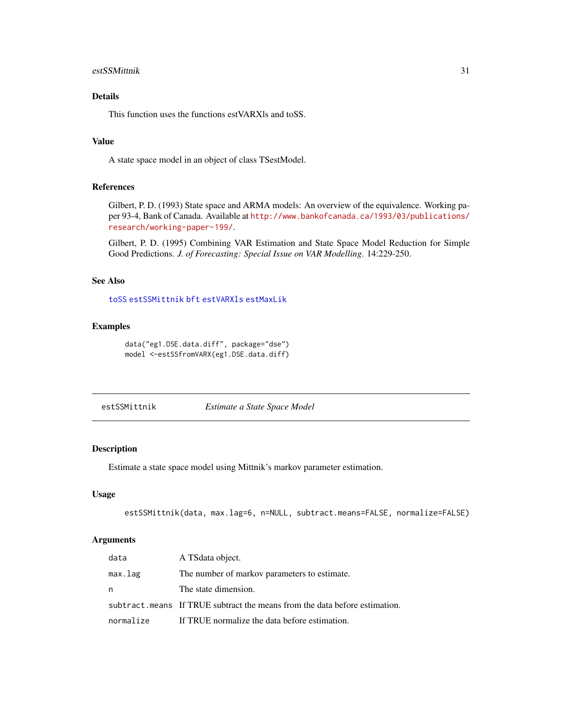#### <span id="page-30-0"></span>estSSMittnik 31

## Details

This function uses the functions estVARXls and toSS.

## Value

A state space model in an object of class TSestModel.

## References

Gilbert, P. D. (1993) State space and ARMA models: An overview of the equivalence. Working paper 93-4, Bank of Canada. Available at [http://www.bankofcanada.ca/1993/03/publications/](http://www.bankofcanada.ca/1993/03/publications/research/working-paper-199/) [research/working-paper-199/](http://www.bankofcanada.ca/1993/03/publications/research/working-paper-199/).

Gilbert, P. D. (1995) Combining VAR Estimation and State Space Model Reduction for Simple Good Predictions. *J. of Forecasting: Special Issue on VAR Modelling*. 14:229-250.

#### See Also

[toSS](#page-110-1) [estSSMittnik](#page-30-1) [bft](#page-24-1) [estVARXls](#page-33-1) [estMaxLik](#page-28-1)

#### Examples

```
data("eg1.DSE.data.diff", package="dse")
model <-estSSfromVARX(eg1.DSE.data.diff)
```
<span id="page-30-1"></span>estSSMittnik *Estimate a State Space Model*

## Description

Estimate a state space model using Mittnik's markov parameter estimation.

## Usage

```
estSSMittnik(data, max.lag=6, n=NULL, subtract.means=FALSE, normalize=FALSE)
```
## Arguments

| data      | A TS data object.                                                          |
|-----------|----------------------------------------------------------------------------|
| max.lag   | The number of markov parameters to estimate.                               |
| n         | The state dimension.                                                       |
|           | subtract means If TRUE subtract the means from the data before estimation. |
| normalize | If TRUE normalize the data before estimation.                              |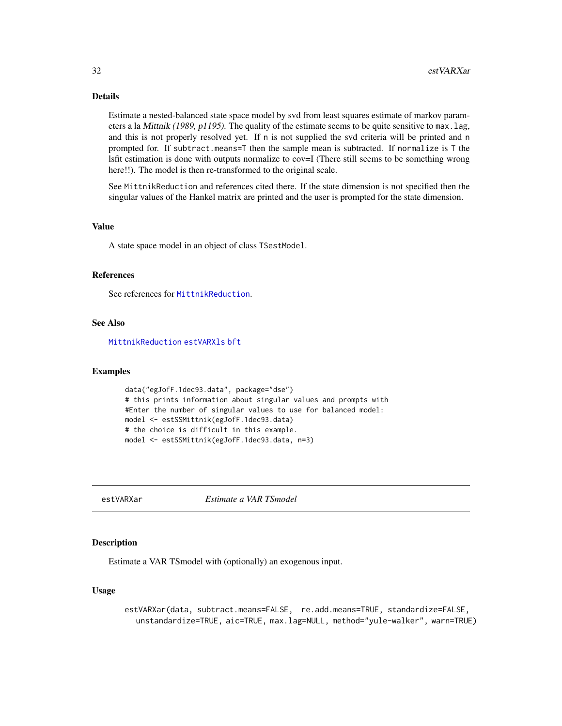## Details

Estimate a nested-balanced state space model by svd from least squares estimate of markov parameters a la Mittnik (1989, p1195). The quality of the estimate seems to be quite sensitive to max.lag, and this is not properly resolved yet. If n is not supplied the svd criteria will be printed and n prompted for. If subtract.means=T then the sample mean is subtracted. If normalize is T the lsfit estimation is done with outputs normalize to cov=I (There still seems to be something wrong here!!). The model is then re-transformed to the original scale.

See MittnikReduction and references cited there. If the state dimension is not specified then the singular values of the Hankel matrix are printed and the user is prompted for the state dimension.

## Value

A state space model in an object of class TSestModel.

#### **References**

See references for [MittnikReduction](#page-64-1).

## See Also

[MittnikReduction](#page-64-1) [estVARXls](#page-33-1) [bft](#page-24-1)

#### Examples

```
data("egJofF.1dec93.data", package="dse")
# this prints information about singular values and prompts with
#Enter the number of singular values to use for balanced model:
model <- estSSMittnik(egJofF.1dec93.data)
# the choice is difficult in this example.
model <- estSSMittnik(egJofF.1dec93.data, n=3)
```
<span id="page-31-1"></span>estVARXar *Estimate a VAR TSmodel*

#### Description

Estimate a VAR TSmodel with (optionally) an exogenous input.

#### Usage

estVARXar(data, subtract.means=FALSE, re.add.means=TRUE, standardize=FALSE, unstandardize=TRUE, aic=TRUE, max.lag=NULL, method="yule-walker", warn=TRUE)

<span id="page-31-0"></span>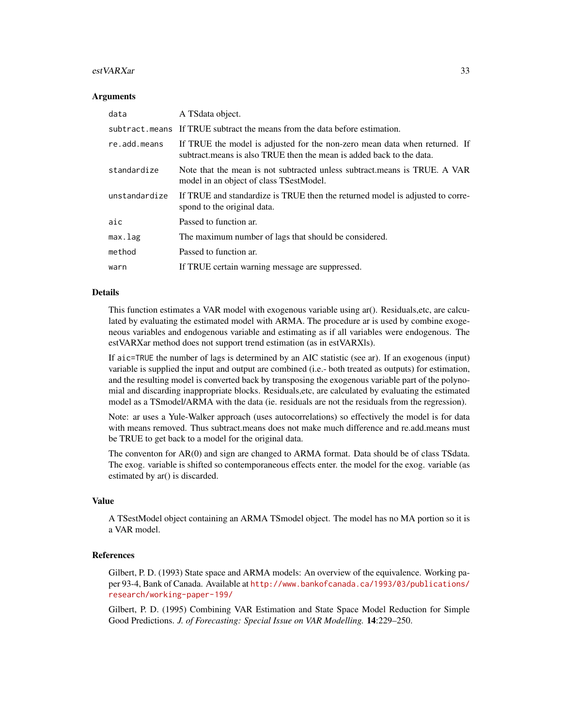#### estVARXar 33

#### Arguments

| data          | A TS data object.                                                                                                                                  |
|---------------|----------------------------------------------------------------------------------------------------------------------------------------------------|
|               | subtract means If TRUE subtract the means from the data before estimation.                                                                         |
| re.add.means  | If TRUE the model is adjusted for the non-zero mean data when returned. If<br>subtract means is also TRUE then the mean is added back to the data. |
| standardize   | Note that the mean is not subtracted unless subtract means is TRUE. A VAR<br>model in an object of class TSestModel.                               |
| unstandardize | If TRUE and standardize is TRUE then the returned model is adjusted to corre-<br>spond to the original data.                                       |
| aic           | Passed to function ar.                                                                                                                             |
| max.lag       | The maximum number of lags that should be considered.                                                                                              |
| method        | Passed to function ar.                                                                                                                             |
| warn          | If TRUE certain warning message are suppressed.                                                                                                    |

#### Details

This function estimates a VAR model with exogenous variable using ar(). Residuals, etc, are calculated by evaluating the estimated model with ARMA. The procedure ar is used by combine exogeneous variables and endogenous variable and estimating as if all variables were endogenous. The estVARXar method does not support trend estimation (as in estVARXls).

If aic=TRUE the number of lags is determined by an AIC statistic (see ar). If an exogenous (input) variable is supplied the input and output are combined (i.e.- both treated as outputs) for estimation, and the resulting model is converted back by transposing the exogenous variable part of the polynomial and discarding inappropriate blocks. Residuals,etc, are calculated by evaluating the estimated model as a TSmodel/ARMA with the data (ie. residuals are not the residuals from the regression).

Note: ar uses a Yule-Walker approach (uses autocorrelations) so effectively the model is for data with means removed. Thus subtract.means does not make much difference and re.add.means must be TRUE to get back to a model for the original data.

The conventon for AR(0) and sign are changed to ARMA format. Data should be of class TSdata. The exog. variable is shifted so contemporaneous effects enter. the model for the exog. variable (as estimated by ar() is discarded.

#### Value

A TSestModel object containing an ARMA TSmodel object. The model has no MA portion so it is a VAR model.

#### References

Gilbert, P. D. (1993) State space and ARMA models: An overview of the equivalence. Working paper 93-4, Bank of Canada. Available at [http://www.bankofcanada.ca/1993/03/publications/](http://www.bankofcanada.ca/1993/03/publications/research/working-paper-199/) [research/working-paper-199/](http://www.bankofcanada.ca/1993/03/publications/research/working-paper-199/)

Gilbert, P. D. (1995) Combining VAR Estimation and State Space Model Reduction for Simple Good Predictions. *J. of Forecasting: Special Issue on VAR Modelling.* 14:229–250.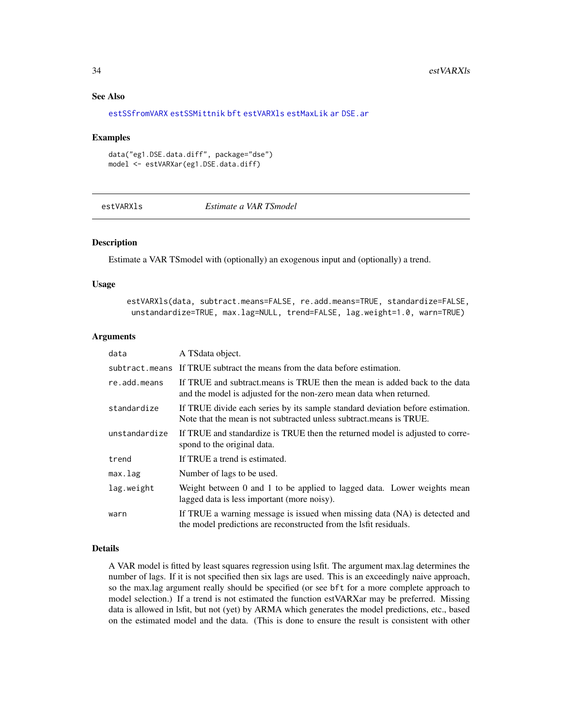## See Also

```
estSSfromVARX estSSMittnik bft estVARXls estMaxLik ar DSE.ar
```
#### Examples

```
data("eg1.DSE.data.diff", package="dse")
model <- estVARXar(eg1.DSE.data.diff)
```
<span id="page-33-1"></span>estVARXls *Estimate a VAR TSmodel*

## Description

Estimate a VAR TSmodel with (optionally) an exogenous input and (optionally) a trend.

#### Usage

estVARXls(data, subtract.means=FALSE, re.add.means=TRUE, standardize=FALSE, unstandardize=TRUE, max.lag=NULL, trend=FALSE, lag.weight=1.0, warn=TRUE)

#### Arguments

| data          | A TSdata object.                                                                                                                                       |
|---------------|--------------------------------------------------------------------------------------------------------------------------------------------------------|
|               | subtract means If TRUE subtract the means from the data before estimation.                                                                             |
| re.add.means  | If TRUE and subtract means is TRUE then the mean is added back to the data<br>and the model is adjusted for the non-zero mean data when returned.      |
| standardize   | If TRUE divide each series by its sample standard deviation before estimation.<br>Note that the mean is not subtracted unless subtract, means is TRUE. |
| unstandardize | If TRUE and standardize is TRUE then the returned model is adjusted to corre-<br>spond to the original data.                                           |
| trend         | If TRUE a trend is estimated.                                                                                                                          |
| max.lag       | Number of lags to be used.                                                                                                                             |
| lag.weight    | Weight between 0 and 1 to be applied to lagged data. Lower weights mean<br>lagged data is less important (more noisy).                                 |
| warn          | If TRUE a warning message is issued when missing data (NA) is detected and<br>the model predictions are reconstructed from the lafit residuals.        |

## Details

A VAR model is fitted by least squares regression using lsfit. The argument max.lag determines the number of lags. If it is not specified then six lags are used. This is an exceedingly naive approach, so the max.lag argument really should be specified (or see bft for a more complete approach to model selection.) If a trend is not estimated the function estVARXar may be preferred. Missing data is allowed in lsfit, but not (yet) by ARMA which generates the model predictions, etc., based on the estimated model and the data. (This is done to ensure the result is consistent with other

<span id="page-33-0"></span>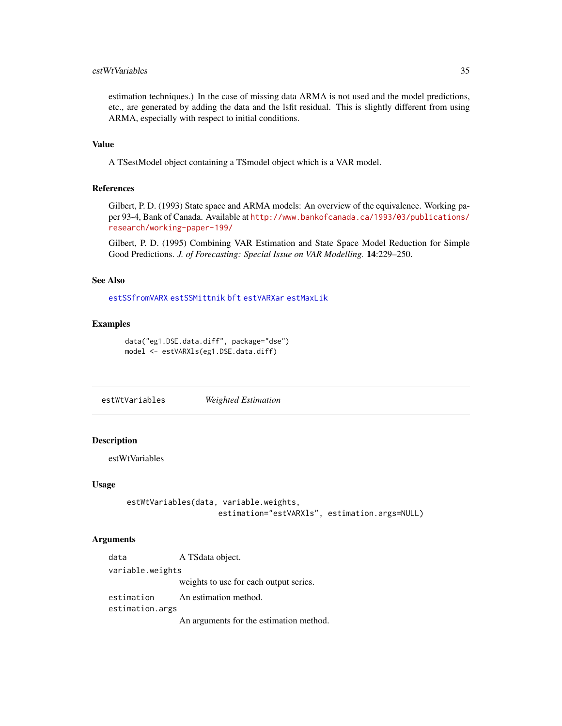## <span id="page-34-0"></span>estWtVariables 35

estimation techniques.) In the case of missing data ARMA is not used and the model predictions, etc., are generated by adding the data and the lsfit residual. This is slightly different from using ARMA, especially with respect to initial conditions.

## Value

A TSestModel object containing a TSmodel object which is a VAR model.

#### References

Gilbert, P. D. (1993) State space and ARMA models: An overview of the equivalence. Working paper 93-4, Bank of Canada. Available at [http://www.bankofcanada.ca/1993/03/publications/](http://www.bankofcanada.ca/1993/03/publications/research/working-paper-199/) [research/working-paper-199/](http://www.bankofcanada.ca/1993/03/publications/research/working-paper-199/)

Gilbert, P. D. (1995) Combining VAR Estimation and State Space Model Reduction for Simple Good Predictions. *J. of Forecasting: Special Issue on VAR Modelling.* 14:229–250.

#### See Also

[estSSfromVARX](#page-29-1) [estSSMittnik](#page-30-1) [bft](#page-24-1) [estVARXar](#page-31-1) [estMaxLik](#page-28-1)

#### Examples

```
data("eg1.DSE.data.diff", package="dse")
model <- estVARXls(eg1.DSE.data.diff)
```
estWtVariables *Weighted Estimation*

#### **Description**

estWtVariables

## Usage

```
estWtVariables(data, variable.weights,
                    estimation="estVARXls", estimation.args=NULL)
```
#### Arguments

data A TSdata object. variable.weights weights to use for each output series. estimation An estimation method. estimation.args An arguments for the estimation method.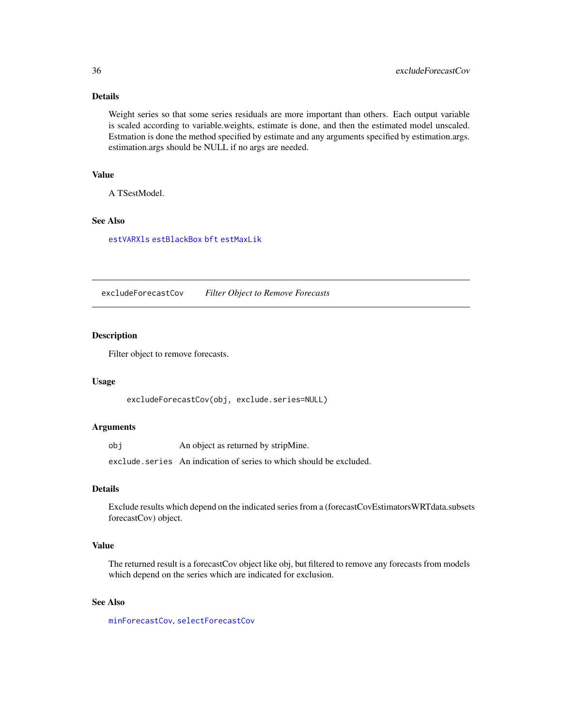## Details

Weight series so that some series residuals are more important than others. Each output variable is scaled according to variable.weights, estimate is done, and then the estimated model unscaled. Estmation is done the method specified by estimate and any arguments specified by estimation.args. estimation.args should be NULL if no args are needed.

## Value

A TSestModel.

## See Also

[estVARXls](#page-33-1) [estBlackBox](#page-20-1) [bft](#page-24-1) [estMaxLik](#page-28-1)

excludeForecastCov *Filter Object to Remove Forecasts*

## Description

Filter object to remove forecasts.

#### Usage

excludeForecastCov(obj, exclude.series=NULL)

## Arguments

obj An object as returned by stripMine.

exclude.series An indication of series to which should be excluded.

## Details

Exclude results which depend on the indicated series from a (forecastCovEstimatorsWRTdata.subsets forecastCov) object.

## Value

The returned result is a forecastCov object like obj, but filtered to remove any forecasts from models which depend on the series which are indicated for exclusion.

#### See Also

[minForecastCov](#page-62-1), [selectForecastCov](#page-84-1)

<span id="page-35-0"></span>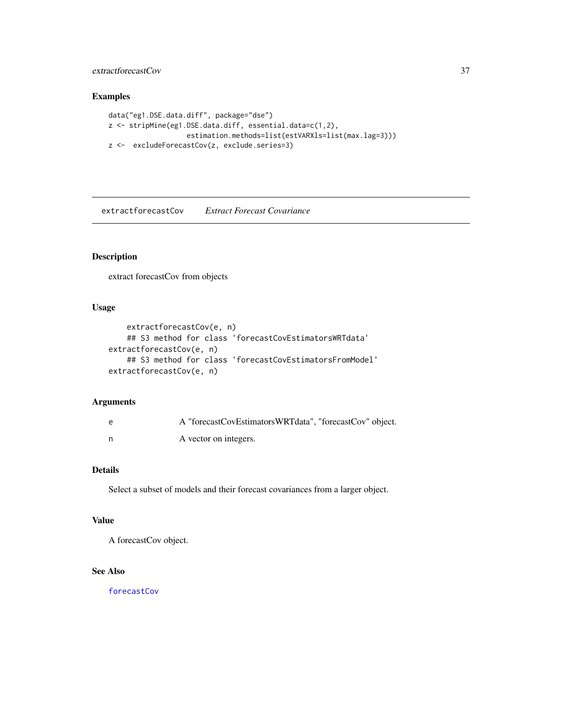# extractforecastCov 37

# Examples

```
data("eg1.DSE.data.diff", package="dse")
z <- stripMine(eg1.DSE.data.diff, essential.data=c(1,2),
                  estimation.methods=list(estVARXls=list(max.lag=3)))
z <- excludeForecastCov(z, exclude.series=3)
```
extractforecastCov *Extract Forecast Covariance*

# Description

extract forecastCov from objects

# Usage

```
extractforecastCov(e, n)
    ## S3 method for class 'forecastCovEstimatorsWRTdata'
extractforecastCov(e, n)
    ## S3 method for class 'forecastCovEstimatorsFromModel'
extractforecastCov(e, n)
```
### Arguments

| e | A "forecastCovEstimatorsWRTdata", "forecastCov" object. |
|---|---------------------------------------------------------|
|   | A vector on integers.                                   |

# Details

Select a subset of models and their forecast covariances from a larger object.

### Value

A forecastCov object.

# See Also

[forecastCov](#page-41-0)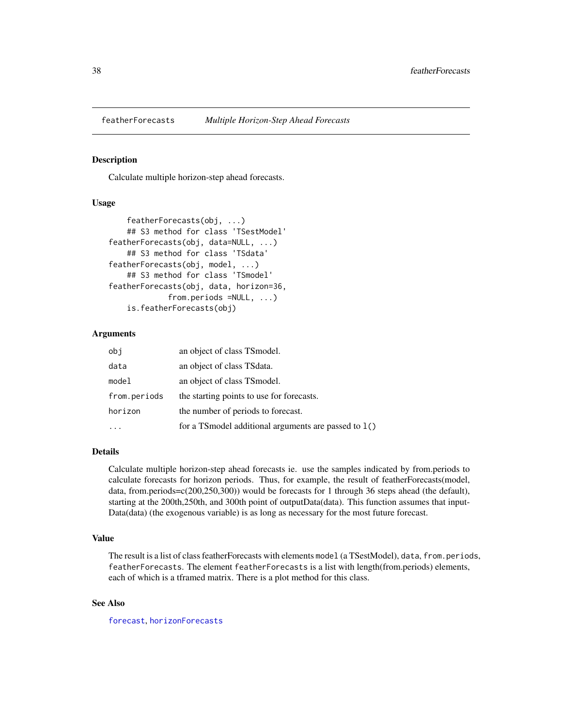<span id="page-37-0"></span>

Calculate multiple horizon-step ahead forecasts.

### Usage

```
featherForecasts(obj, ...)
    ## S3 method for class 'TSestModel'
featherForecasts(obj, data=NULL, ...)
    ## S3 method for class 'TSdata'
featherForecasts(obj, model, ...)
    ## S3 method for class 'TSmodel'
featherForecasts(obj, data, horizon=36,
             from.periods =NULL, ...)
    is.featherForecasts(obj)
```
### Arguments

| obi          | an object of class TS model.                            |  |
|--------------|---------------------------------------------------------|--|
| data         | an object of class TS data.                             |  |
| model        | an object of class TS model.                            |  |
| from.periods | the starting points to use for forecasts.               |  |
| horizon      | the number of periods to forecast.                      |  |
|              | for a TS model additional arguments are passed to $1()$ |  |

# Details

Calculate multiple horizon-step ahead forecasts ie. use the samples indicated by from.periods to calculate forecasts for horizon periods. Thus, for example, the result of featherForecasts(model, data, from.periods=c(200,250,300)) would be forecasts for 1 through 36 steps ahead (the default), starting at the 200th,250th, and 300th point of outputData(data). This function assumes that input-Data(data) (the exogenous variable) is as long as necessary for the most future forecast.

#### Value

The result is a list of class featherForecasts with elements model (a TSestModel), data, from.periods, featherForecasts. The element featherForecasts is a list with length(from.periods) elements, each of which is a tframed matrix. There is a plot method for this class.

### See Also

[forecast](#page-40-0), [horizonForecasts](#page-49-0)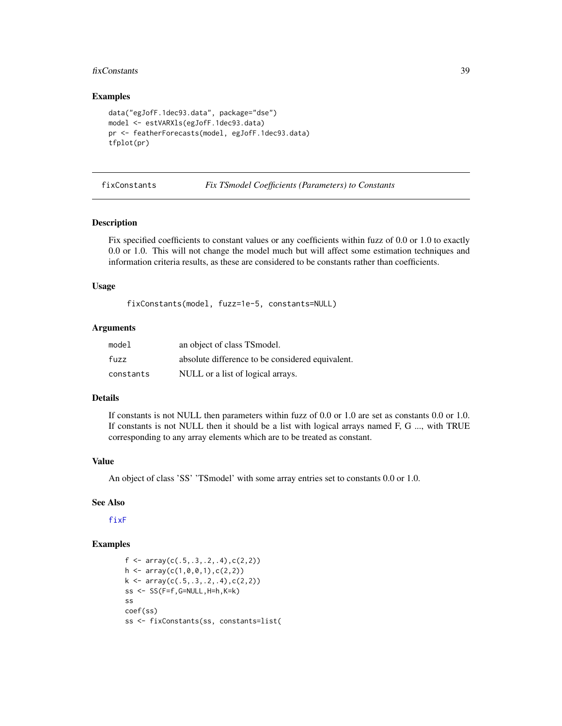#### fixConstants 39

### Examples

```
data("egJofF.1dec93.data", package="dse")
model <- estVARXls(egJofF.1dec93.data)
pr <- featherForecasts(model, egJofF.1dec93.data)
tfplot(pr)
```
<span id="page-38-0"></span>fixConstants *Fix TSmodel Coefficients (Parameters) to Constants*

## Description

Fix specified coefficients to constant values or any coefficients within fuzz of 0.0 or 1.0 to exactly 0.0 or 1.0. This will not change the model much but will affect some estimation techniques and information criteria results, as these are considered to be constants rather than coefficients.

## Usage

fixConstants(model, fuzz=1e-5, constants=NULL)

# Arguments

| model     | an object of class TS model.                     |
|-----------|--------------------------------------------------|
| fuzz      | absolute difference to be considered equivalent. |
| constants | NULL or a list of logical arrays.                |

# Details

If constants is not NULL then parameters within fuzz of 0.0 or 1.0 are set as constants 0.0 or 1.0. If constants is not NULL then it should be a list with logical arrays named F, G ..., with TRUE corresponding to any array elements which are to be treated as constant.

#### Value

An object of class 'SS' 'TSmodel' with some array entries set to constants 0.0 or 1.0.

#### See Also

[fixF](#page-39-0)

```
f \leftarrow \text{array}(c(.5,.3,.2,.4),c(2,2))h \leftarrow \text{array}(c(1, 0, 0, 1), c(2, 2))k \leftarrow \text{array}(c(.5,.3,.2,.4),c(2,2))ss \leftarrow \text{SS}(F=f, G=\text{NULL}, H=h, K=k)ss
coef(ss)
ss <- fixConstants(ss, constants=list(
```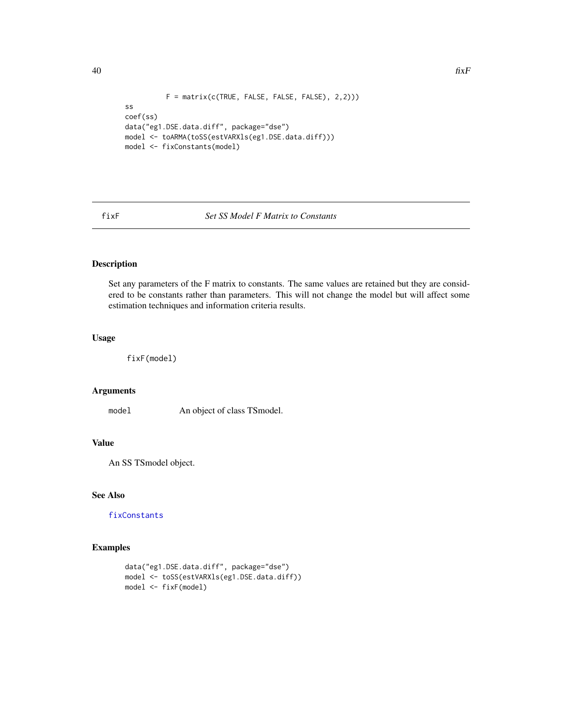```
F = matrix(c(TRUE, FALSE, FALSE, FALSE), 2,2)))ss
coef(ss)
data("eg1.DSE.data.diff", package="dse")
model <- toARMA(toSS(estVARXls(eg1.DSE.data.diff)))
model <- fixConstants(model)
```
# <span id="page-39-0"></span>fixF *Set SS Model F Matrix to Constants*

# Description

Set any parameters of the F matrix to constants. The same values are retained but they are considered to be constants rather than parameters. This will not change the model but will affect some estimation techniques and information criteria results.

# Usage

fixF(model)

## Arguments

model An object of class TSmodel.

# Value

An SS TSmodel object.

# See Also

[fixConstants](#page-38-0)

```
data("eg1.DSE.data.diff", package="dse")
model <- toSS(estVARXls(eg1.DSE.data.diff))
model <- fixF(model)
```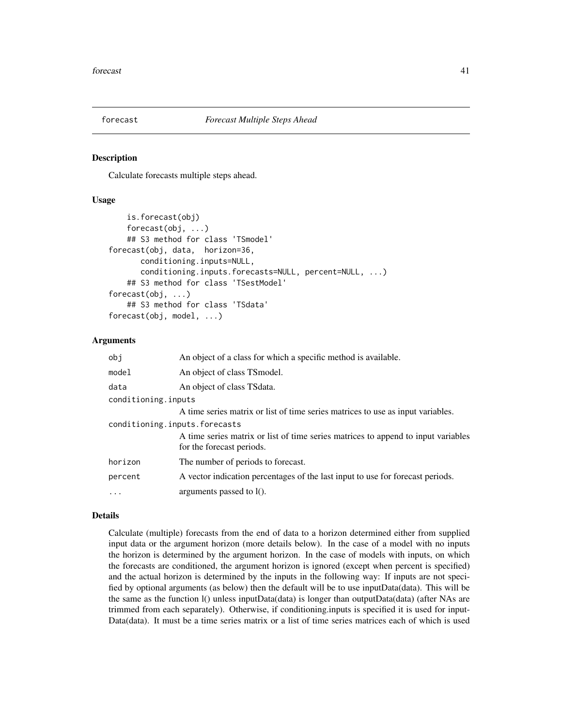<span id="page-40-0"></span>

Calculate forecasts multiple steps ahead.

## Usage

```
is.forecast(obj)
    forecast(obj, ...)
    ## S3 method for class 'TSmodel'
forecast(obj, data, horizon=36,
      conditioning.inputs=NULL,
      conditioning.inputs.forecasts=NULL, percent=NULL, ...)
    ## S3 method for class 'TSestModel'
forecast(obj, ...)
    ## S3 method for class 'TSdata'
forecast(obj, model, ...)
```
### Arguments

| obj                           | An object of a class for which a specific method is available.                                                 |
|-------------------------------|----------------------------------------------------------------------------------------------------------------|
| model                         | An object of class TSmodel.                                                                                    |
| data                          | An object of class TS data.                                                                                    |
| conditioning.inputs           |                                                                                                                |
|                               | A time series matrix or list of time series matrices to use as input variables.                                |
| conditioning.inputs.forecasts |                                                                                                                |
|                               | A time series matrix or list of time series matrices to append to input variables<br>for the forecast periods. |
| horizon                       | The number of periods to forecast.                                                                             |
| percent                       | A vector indication percentages of the last input to use for forecast periods.                                 |
| $\ddots$                      | arguments passed to $l()$ .                                                                                    |
|                               |                                                                                                                |

## Details

Calculate (multiple) forecasts from the end of data to a horizon determined either from supplied input data or the argument horizon (more details below). In the case of a model with no inputs the horizon is determined by the argument horizon. In the case of models with inputs, on which the forecasts are conditioned, the argument horizon is ignored (except when percent is specified) and the actual horizon is determined by the inputs in the following way: If inputs are not specified by optional arguments (as below) then the default will be to use inputData(data). This will be the same as the function 1() unless inputData(data) is longer than outputData(data) (after NAs are trimmed from each separately). Otherwise, if conditioning.inputs is specified it is used for input-Data(data). It must be a time series matrix or a list of time series matrices each of which is used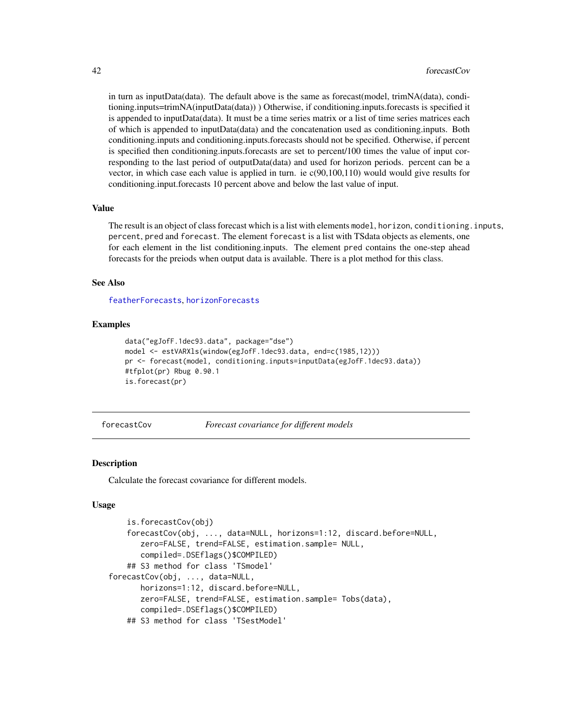in turn as inputData(data). The default above is the same as forecast(model, trimNA(data), conditioning.inputs=trimNA(inputData(data)) ) Otherwise, if conditioning.inputs.forecasts is specified it is appended to inputData(data). It must be a time series matrix or a list of time series matrices each of which is appended to inputData(data) and the concatenation used as conditioning.inputs. Both conditioning.inputs and conditioning.inputs.forecasts should not be specified. Otherwise, if percent is specified then conditioning.inputs.forecasts are set to percent/100 times the value of input corresponding to the last period of outputData(data) and used for horizon periods. percent can be a vector, in which case each value is applied in turn. ie c(90,100,110) would would give results for conditioning.input.forecasts 10 percent above and below the last value of input.

#### Value

The result is an object of class forecast which is a list with elements model, horizon, conditioning.inputs, percent, pred and forecast. The element forecast is a list with TSdata objects as elements, one for each element in the list conditioning.inputs. The element pred contains the one-step ahead forecasts for the preiods when output data is available. There is a plot method for this class.

### See Also

[featherForecasts](#page-37-0), [horizonForecasts](#page-49-0)

### Examples

```
data("egJofF.1dec93.data", package="dse")
model <- estVARXls(window(egJofF.1dec93.data, end=c(1985,12)))
pr <- forecast(model, conditioning.inputs=inputData(egJofF.1dec93.data))
#tfplot(pr) Rbug 0.90.1
is.forecast(pr)
```
<span id="page-41-0"></span>forecastCov *Forecast covariance for different models*

#### **Description**

Calculate the forecast covariance for different models.

#### Usage

```
is.forecastCov(obj)
   forecastCov(obj, ..., data=NULL, horizons=1:12, discard.before=NULL,
      zero=FALSE, trend=FALSE, estimation.sample= NULL,
      compiled=.DSEflags()$COMPILED)
   ## S3 method for class 'TSmodel'
forecastCov(obj, ..., data=NULL,
      horizons=1:12, discard.before=NULL,
      zero=FALSE, trend=FALSE, estimation.sample= Tobs(data),
       compiled=.DSEflags()$COMPILED)
   ## S3 method for class 'TSestModel'
```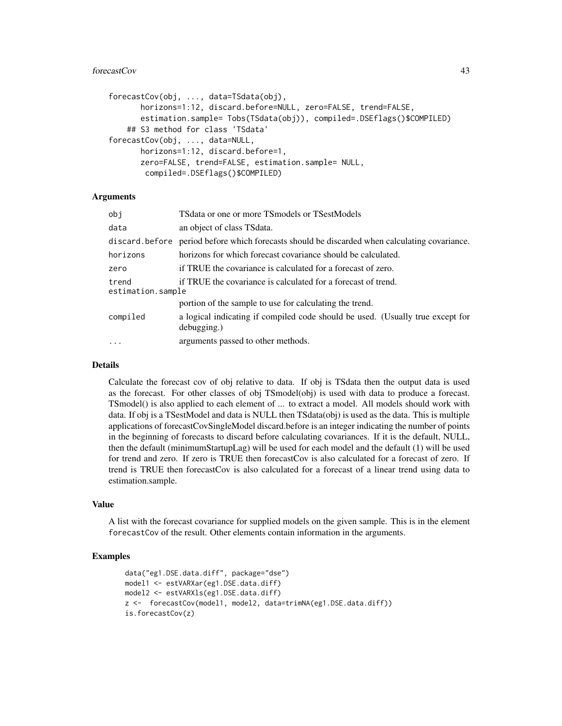### forecastCov 43

```
forecastCov(obj, ..., data=TSdata(obj),
      horizons=1:12, discard.before=NULL, zero=FALSE, trend=FALSE,
      estimation.sample= Tobs(TSdata(obj)), compiled=.DSEflags()$COMPILED)
   ## S3 method for class 'TSdata'
forecastCov(obj, ..., data=NULL,
      horizons=1:12, discard.before=1,
       zero=FALSE, trend=FALSE, estimation.sample= NULL,
       compiled=.DSEflags()$COMPILED)
```
# Arguments

| obi                        | TS data or one or more TS models or TS est Models                                             |  |  |
|----------------------------|-----------------------------------------------------------------------------------------------|--|--|
| data                       | an object of class TS data.                                                                   |  |  |
|                            | discard before period before which forecasts should be discarded when calculating covariance. |  |  |
| horizons                   | horizons for which forecast covariance should be calculated.                                  |  |  |
| zero                       | if TRUE the covariance is calculated for a forecast of zero.                                  |  |  |
| trend<br>estimation.sample | if TRUE the covariance is calculated for a forecast of trend.                                 |  |  |
|                            | portion of the sample to use for calculating the trend.                                       |  |  |
| compiled                   | a logical indicating if compiled code should be used. (Usually true except for<br>debugging.) |  |  |
| $\cdots$                   | arguments passed to other methods.                                                            |  |  |

#### Details

Calculate the forecast cov of obj relative to data. If obj is TSdata then the output data is used as the forecast. For other classes of obj TSmodel(obj) is used with data to produce a forecast. TSmodel() is also applied to each element of ... to extract a model. All models should work with data. If obj is a TSestModel and data is NULL then TSdata(obj) is used as the data. This is multiple applications of forecastCovSingleModel discard.before is an integer indicating the number of points in the beginning of forecasts to discard before calculating covariances. If it is the default, NULL, then the default (minimumStartupLag) will be used for each model and the default (1) will be used for trend and zero. If zero is TRUE then forecastCov is also calculated for a forecast of zero. If trend is TRUE then forecastCov is also calculated for a forecast of a linear trend using data to estimation.sample.

# Value

A list with the forecast covariance for supplied models on the given sample. This is in the element forecastCov of the result. Other elements contain information in the arguments.

```
data("eg1.DSE.data.diff", package="dse")
model1 <- estVARXar(eg1.DSE.data.diff)
model2 <- estVARXls(eg1.DSE.data.diff)
z <- forecastCov(model1, model2, data=trimNA(eg1.DSE.data.diff))
is.forecastCov(z)
```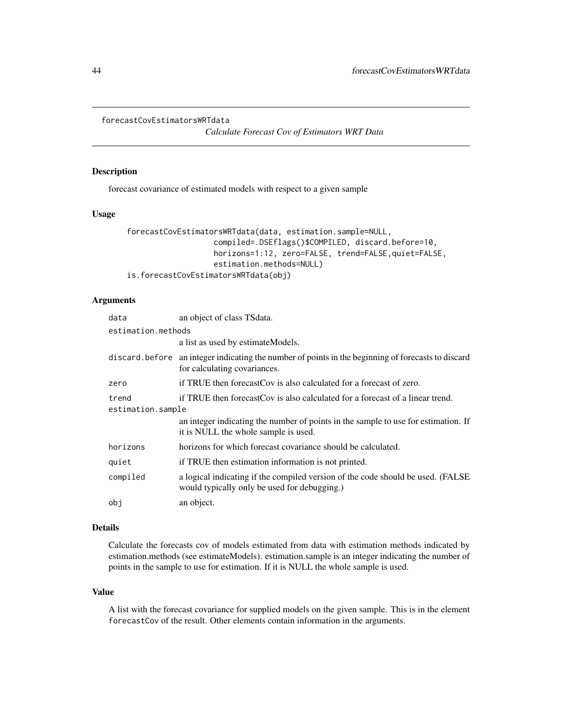```
forecastCovEstimatorsWRTdata
```
*Calculate Forecast Cov of Estimators WRT Data*

# Description

forecast covariance of estimated models with respect to a given sample

# Usage

```
forecastCovEstimatorsWRTdata(data, estimation.sample=NULL,
                   compiled=.DSEflags()$COMPILED, discard.before=10,
                   horizons=1:12, zero=FALSE, trend=FALSE,quiet=FALSE,
                   estimation.methods=NULL)
is.forecastCovEstimatorsWRTdata(obj)
```
# Arguments

| data               | an object of class TSdata.                                                                                                         |  |
|--------------------|------------------------------------------------------------------------------------------------------------------------------------|--|
| estimation.methods |                                                                                                                                    |  |
|                    | a list as used by estimate Models.                                                                                                 |  |
|                    | discard before an integer indicating the number of points in the beginning of forecasts to discard<br>for calculating covariances. |  |
| zero               | if TRUE then forecast Cov is also calculated for a forecast of zero.                                                               |  |
| trend              | if TRUE then forecast Cov is also calculated for a forecast of a linear trend.                                                     |  |
| estimation.sample  |                                                                                                                                    |  |
|                    | an integer indicating the number of points in the sample to use for estimation. If<br>it is NULL the whole sample is used.         |  |
| horizons           | horizons for which forecast covariance should be calculated.                                                                       |  |
| quiet              | if TRUE then estimation information is not printed.                                                                                |  |
| compiled           | a logical indicating if the compiled version of the code should be used. (FALSE<br>would typically only be used for debugging.)    |  |
| obi                | an object.                                                                                                                         |  |

#### Details

Calculate the forecasts cov of models estimated from data with estimation methods indicated by estimation.methods (see estimateModels). estimation.sample is an integer indicating the number of points in the sample to use for estimation. If it is NULL the whole sample is used.

### Value

A list with the forecast covariance for supplied models on the given sample. This is in the element forecastCov of the result. Other elements contain information in the arguments.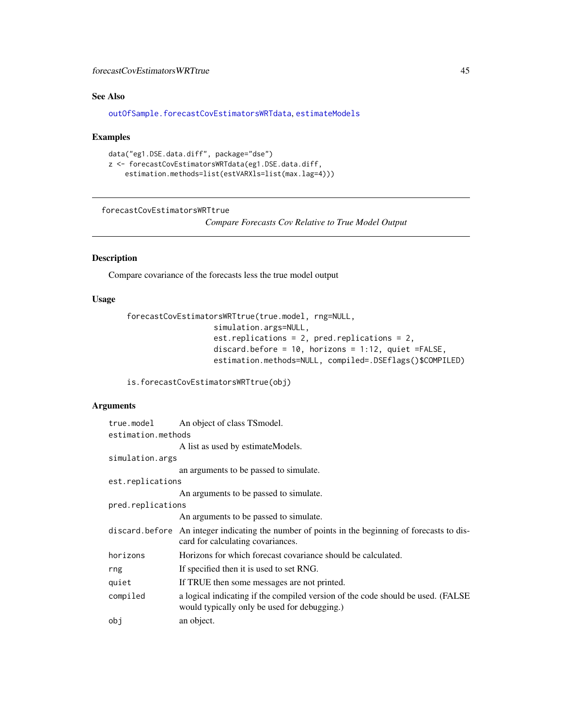# forecastCovEstimatorsWRTtrue 45

# See Also

[outOfSample.forecastCovEstimatorsWRTdata](#page-69-0), [estimateModels](#page-26-0)

## Examples

```
data("eg1.DSE.data.diff", package="dse")
z <- forecastCovEstimatorsWRTdata(eg1.DSE.data.diff,
    estimation.methods=list(estVARXls=list(max.lag=4)))
```
<span id="page-44-0"></span>forecastCovEstimatorsWRTtrue

*Compare Forecasts Cov Relative to True Model Output*

# Description

Compare covariance of the forecasts less the true model output

# Usage

```
forecastCovEstimatorsWRTtrue(true.model, rng=NULL,
                   simulation.args=NULL,
                   est.replications = 2, pred.replications = 2,
                   discard.before = 10, horizons = 1:12, quiet =FALSE,
                   estimation.methods=NULL, compiled=.DSEflags()$COMPILED)
```
is.forecastCovEstimatorsWRTtrue(obj)

#### Arguments

| true.model         | An object of class TS model.                                                                                                         |  |
|--------------------|--------------------------------------------------------------------------------------------------------------------------------------|--|
| estimation.methods |                                                                                                                                      |  |
|                    | A list as used by estimate Models.                                                                                                   |  |
| simulation.args    |                                                                                                                                      |  |
|                    | an arguments to be passed to simulate.                                                                                               |  |
| est.replications   |                                                                                                                                      |  |
|                    | An arguments to be passed to simulate.                                                                                               |  |
| pred.replications  |                                                                                                                                      |  |
|                    | An arguments to be passed to simulate.                                                                                               |  |
|                    | discard before An integer indicating the number of points in the beginning of forecasts to dis-<br>card for calculating covariances. |  |
| horizons           | Horizons for which forecast covariance should be calculated.                                                                         |  |
| rng                | If specified then it is used to set RNG.                                                                                             |  |
| quiet              | If TRUE then some messages are not printed.                                                                                          |  |
| compiled           | a logical indicating if the compiled version of the code should be used. (FALSE)<br>would typically only be used for debugging.)     |  |
| obi                | an object.                                                                                                                           |  |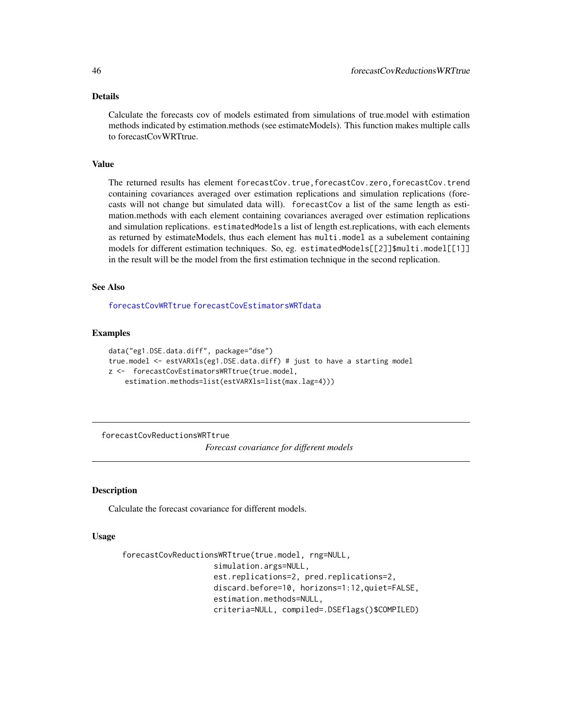### Details

Calculate the forecasts cov of models estimated from simulations of true.model with estimation methods indicated by estimation.methods (see estimateModels). This function makes multiple calls to forecastCovWRTtrue.

#### Value

The returned results has element forecastCov.true,forecastCov.zero,forecastCov.trend containing covariances averaged over estimation replications and simulation replications (forecasts will not change but simulated data will). forecastCov a list of the same length as estimation.methods with each element containing covariances averaged over estimation replications and simulation replications. estimatedModels a list of length est.replications, with each elements as returned by estimateModels, thus each element has multi.model as a subelement containing models for different estimation techniques. So, eg. estimatedModels[[2]]\$multi.model[[1]] in the result will be the model from the first estimation technique in the second replication.

#### See Also

[forecastCovWRTtrue](#page-46-0) [forecastCovEstimatorsWRTdata](#page-43-0)

### Examples

```
data("eg1.DSE.data.diff", package="dse")
true.model <- estVARXls(eg1.DSE.data.diff) # just to have a starting model
z <- forecastCovEstimatorsWRTtrue(true.model,
    estimation.methods=list(estVARXls=list(max.lag=4)))
```
forecastCovReductionsWRTtrue

*Forecast covariance for different models*

### Description

Calculate the forecast covariance for different models.

#### Usage

```
forecastCovReductionsWRTtrue(true.model, rng=NULL,
                    simulation.args=NULL,
                    est.replications=2, pred.replications=2,
                    discard.before=10, horizons=1:12,quiet=FALSE,
                    estimation.methods=NULL,
                    criteria=NULL, compiled=.DSEflags()$COMPILED)
```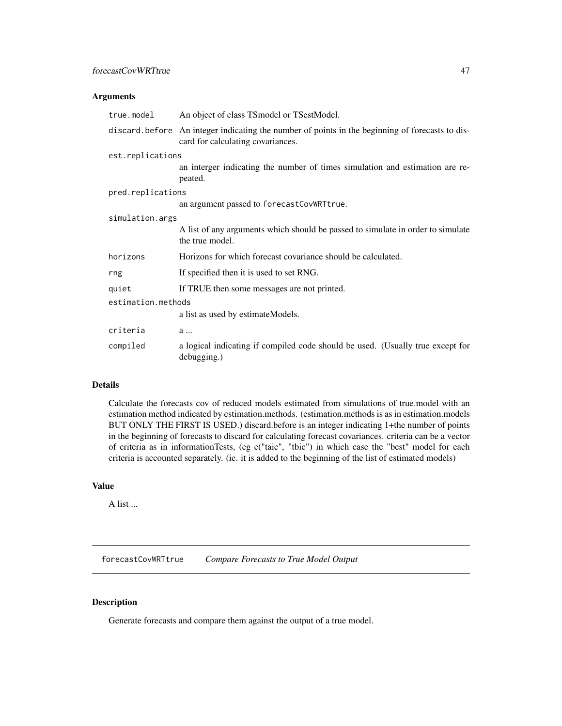## forecastCovWRTtrue 47

## Arguments

| true.model         | An object of class TS model or TS est Model.                                                                                         |  |
|--------------------|--------------------------------------------------------------------------------------------------------------------------------------|--|
|                    | discard before An integer indicating the number of points in the beginning of forecasts to dis-<br>card for calculating covariances. |  |
| est.replications   |                                                                                                                                      |  |
|                    | an interger indicating the number of times simulation and estimation are re-<br>peated.                                              |  |
| pred.replications  |                                                                                                                                      |  |
|                    | an argument passed to forecastCovWRTtrue.                                                                                            |  |
| simulation.args    |                                                                                                                                      |  |
|                    | A list of any arguments which should be passed to simulate in order to simulate<br>the true model.                                   |  |
| horizons           | Horizons for which forecast covariance should be calculated.                                                                         |  |
| rng                | If specified then it is used to set RNG.                                                                                             |  |
| quiet              | If TRUE then some messages are not printed.                                                                                          |  |
| estimation.methods |                                                                                                                                      |  |
|                    | a list as used by estimateModels.                                                                                                    |  |
| criteria           | a                                                                                                                                    |  |
| compiled           | a logical indicating if compiled code should be used. (Usually true except for<br>debugging.)                                        |  |

# Details

Calculate the forecasts cov of reduced models estimated from simulations of true.model with an estimation method indicated by estimation.methods. (estimation.methods is as in estimation.models BUT ONLY THE FIRST IS USED.) discard.before is an integer indicating 1+the number of points in the beginning of forecasts to discard for calculating forecast covariances. criteria can be a vector of criteria as in informationTests, (eg c("taic", "tbic") in which case the "best" model for each criteria is accounted separately. (ie. it is added to the beginning of the list of estimated models)

### Value

A list ...

<span id="page-46-0"></span>forecastCovWRTtrue *Compare Forecasts to True Model Output*

### Description

Generate forecasts and compare them against the output of a true model.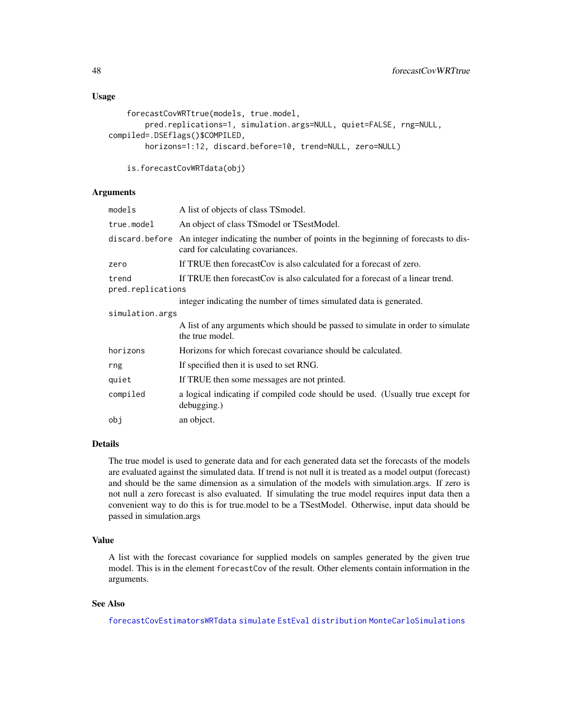### Usage

```
forecastCovWRTtrue(models, true.model,
       pred.replications=1, simulation.args=NULL, quiet=FALSE, rng=NULL,
compiled=.DSEflags()$COMPILED,
       horizons=1:12, discard.before=10, trend=NULL, zero=NULL)
```

```
is.forecastCovWRTdata(obj)
```
### Arguments

| models                     | A list of objects of class TS model.                                                                                  |  |
|----------------------------|-----------------------------------------------------------------------------------------------------------------------|--|
| true.model                 | An object of class TS model or TS est Model.                                                                          |  |
| discard.before             | An integer indicating the number of points in the beginning of forecasts to dis-<br>card for calculating covariances. |  |
| zero                       | If TRUE then forecast Cov is also calculated for a forecast of zero.                                                  |  |
| trend<br>pred.replications | If TRUE then forecast Cov is also calculated for a forecast of a linear trend.                                        |  |
|                            | integer indicating the number of times simulated data is generated.                                                   |  |
| simulation.args            |                                                                                                                       |  |
|                            | A list of any arguments which should be passed to simulate in order to simulate<br>the true model.                    |  |
| horizons                   | Horizons for which forecast covariance should be calculated.                                                          |  |
| rng                        | If specified then it is used to set RNG.                                                                              |  |
| quiet                      | If TRUE then some messages are not printed.                                                                           |  |
| compiled                   | a logical indicating if compiled code should be used. (Usually true except for<br>debugging.)                         |  |
| obi                        | an object.                                                                                                            |  |

# Details

The true model is used to generate data and for each generated data set the forecasts of the models are evaluated against the simulated data. If trend is not null it is treated as a model output (forecast) and should be the same dimension as a simulation of the models with simulation.args. If zero is not null a zero forecast is also evaluated. If simulating the true model requires input data then a convenient way to do this is for true.model to be a TSestModel. Otherwise, input data should be passed in simulation.args

## Value

A list with the forecast covariance for supplied models on samples generated by the given true model. This is in the element forecastCov of the result. Other elements contain information in the arguments.

### See Also

[forecastCovEstimatorsWRTdata](#page-43-0) [simulate](#page-88-0) [EstEval](#page-0-0) [distribution](#page-0-0) [MonteCarloSimulations](#page-0-0)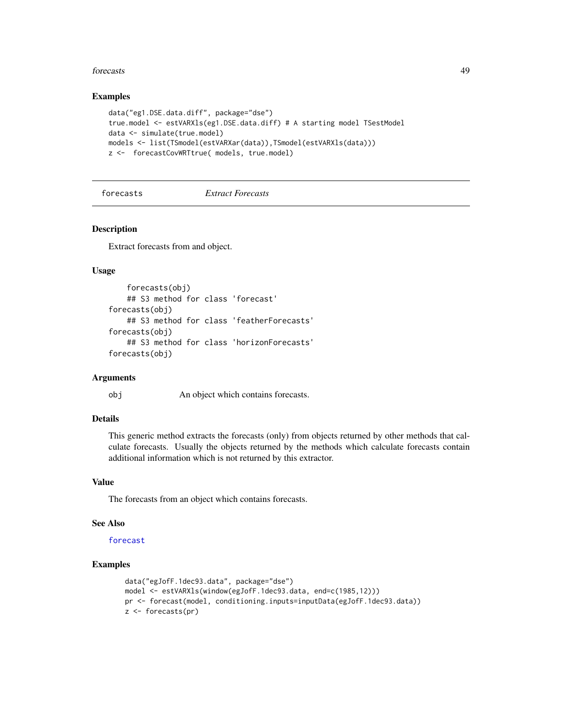#### forecasts and the contract of the contract of the contract of the contract of the contract of the contract of the contract of the contract of the contract of the contract of the contract of the contract of the contract of

### Examples

```
data("eg1.DSE.data.diff", package="dse")
true.model <- estVARXls(eg1.DSE.data.diff) # A starting model TSestModel
data <- simulate(true.model)
models <- list(TSmodel(estVARXar(data)),TSmodel(estVARXls(data)))
z <- forecastCovWRTtrue( models, true.model)
```
forecasts *Extract Forecasts*

### **Description**

Extract forecasts from and object.

### Usage

```
forecasts(obj)
    ## S3 method for class 'forecast'
forecasts(obj)
    ## S3 method for class 'featherForecasts'
forecasts(obj)
    ## S3 method for class 'horizonForecasts'
forecasts(obj)
```
#### Arguments

obj An object which contains forecasts.

# Details

This generic method extracts the forecasts (only) from objects returned by other methods that calculate forecasts. Usually the objects returned by the methods which calculate forecasts contain additional information which is not returned by this extractor.

#### Value

The forecasts from an object which contains forecasts.

### See Also

#### [forecast](#page-40-0)

```
data("egJofF.1dec93.data", package="dse")
model <- estVARXls(window(egJofF.1dec93.data, end=c(1985,12)))
pr <- forecast(model, conditioning.inputs=inputData(egJofF.1dec93.data))
z <- forecasts(pr)
```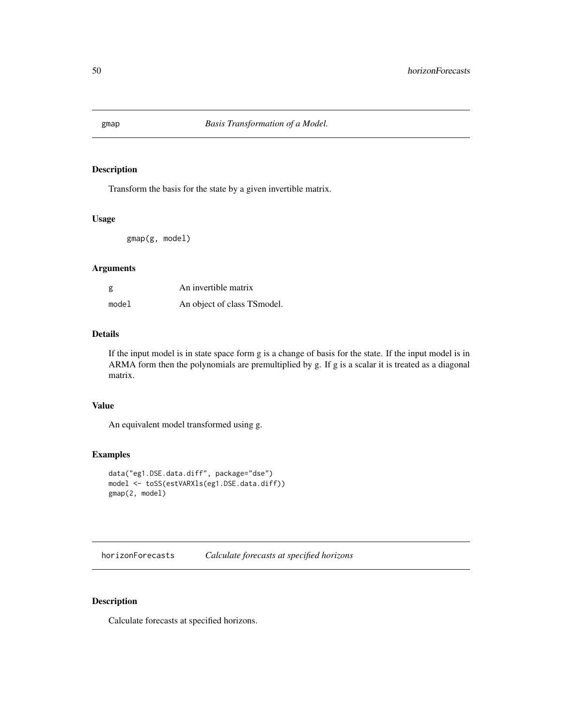Transform the basis for the state by a given invertible matrix.

### Usage

gmap(g, model)

## Arguments

| g     | An invertible matrix         |
|-------|------------------------------|
| model | An object of class TS model. |

### Details

If the input model is in state space form g is a change of basis for the state. If the input model is in ARMA form then the polynomials are premultiplied by g. If g is a scalar it is treated as a diagonal matrix.

## Value

An equivalent model transformed using g.

### Examples

```
data("eg1.DSE.data.diff", package="dse")
model <- toSS(estVARXls(eg1.DSE.data.diff))
gmap(2, model)
```
<span id="page-49-0"></span>horizonForecasts *Calculate forecasts at specified horizons*

# Description

Calculate forecasts at specified horizons.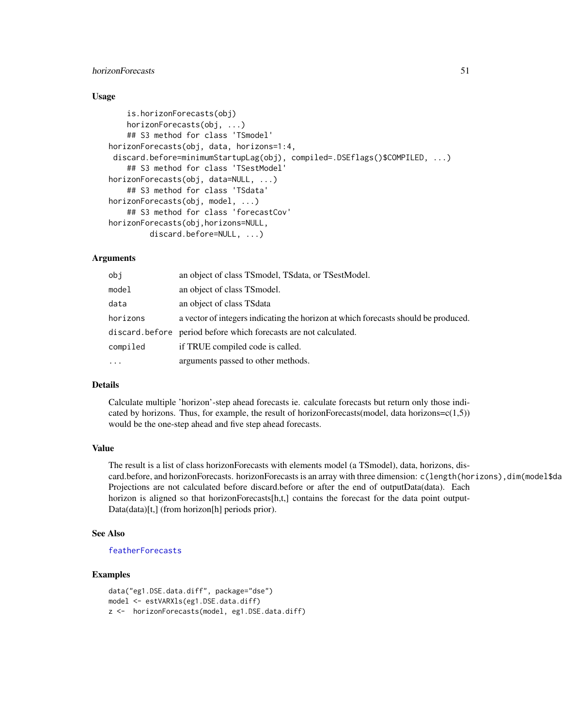# horizonForecasts 51

### Usage

```
is.horizonForecasts(obj)
    horizonForecasts(obj, ...)
    ## S3 method for class 'TSmodel'
horizonForecasts(obj, data, horizons=1:4,
discard.before=minimumStartupLag(obj), compiled=.DSEflags()$COMPILED, ...)
    ## S3 method for class 'TSestModel'
horizonForecasts(obj, data=NULL, ...)
    ## S3 method for class 'TSdata'
horizonForecasts(obj, model, ...)
    ## S3 method for class 'forecastCov'
horizonForecasts(obj,horizons=NULL,
         discard.before=NULL, ...)
```
#### Arguments

| obj      | an object of class TSmodel, TSdata, or TSestModel.                                 |
|----------|------------------------------------------------------------------------------------|
| model    | an object of class TS model.                                                       |
| data     | an object of class TS data                                                         |
| horizons | a vector of integers indicating the horizon at which forecasts should be produced. |
|          | discard.before period before which forecasts are not calculated.                   |
| compiled | if TRUE compiled code is called.                                                   |
| $\cdots$ | arguments passed to other methods.                                                 |

### Details

Calculate multiple 'horizon'-step ahead forecasts ie. calculate forecasts but return only those indicated by horizons. Thus, for example, the result of horizonForecasts(model, data horizons= $c(1,5)$ ) would be the one-step ahead and five step ahead forecasts.

## Value

The result is a list of class horizonForecasts with elements model (a TSmodel), data, horizons, discard.before, and horizonForecasts. horizonForecasts is an array with three dimension:  $c(length(horizons),dim(mod 15d$ Projections are not calculated before discard.before or after the end of outputData(data). Each horizon is aligned so that horizonForecasts[h,t,] contains the forecast for the data point output-Data(data)[t,] (from horizon[h] periods prior).

### See Also

#### [featherForecasts](#page-37-0)

```
data("eg1.DSE.data.diff", package="dse")
model <- estVARXls(eg1.DSE.data.diff)
z <- horizonForecasts(model, eg1.DSE.data.diff)
```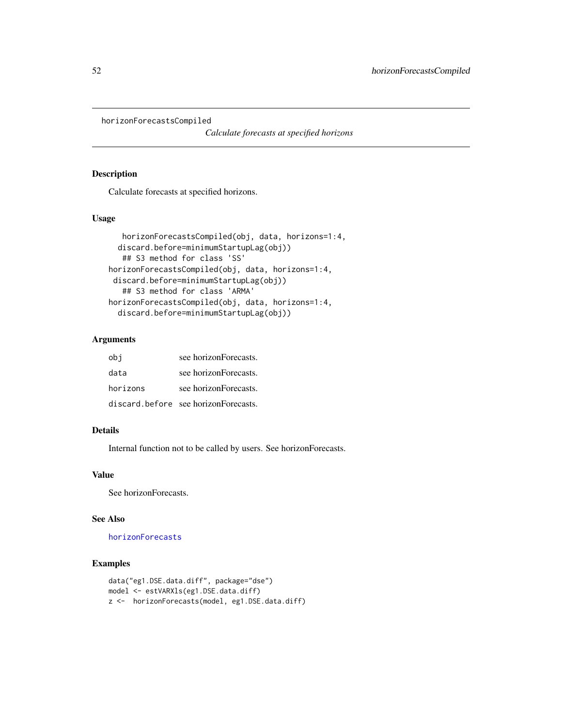horizonForecastsCompiled

*Calculate forecasts at specified horizons*

### Description

Calculate forecasts at specified horizons.

## Usage

```
horizonForecastsCompiled(obj, data, horizons=1:4,
 discard.before=minimumStartupLag(obj))
   ## S3 method for class 'SS'
horizonForecastsCompiled(obj, data, horizons=1:4,
 discard.before=minimumStartupLag(obj))
   ## S3 method for class 'ARMA'
horizonForecastsCompiled(obj, data, horizons=1:4,
  discard.before=minimumStartupLag(obj))
```
# Arguments

| obi      | see horizonForecasts.                |
|----------|--------------------------------------|
| data     | see horizonForecasts.                |
| horizons | see horizonForecasts.                |
|          | discard.before see horizonForecasts. |

### Details

Internal function not to be called by users. See horizonForecasts.

# Value

See horizonForecasts.

# See Also

[horizonForecasts](#page-49-0)

```
data("eg1.DSE.data.diff", package="dse")
model <- estVARXls(eg1.DSE.data.diff)
z <- horizonForecasts(model, eg1.DSE.data.diff)
```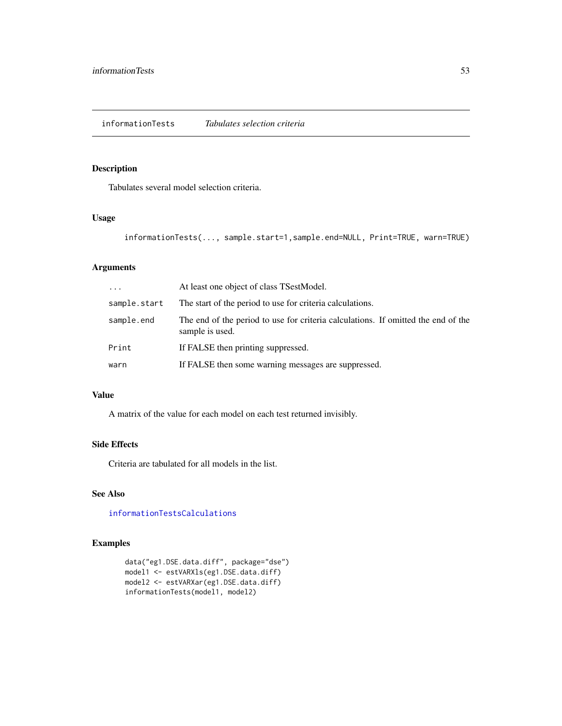<span id="page-52-0"></span>Tabulates several model selection criteria.

### Usage

```
informationTests(..., sample.start=1,sample.end=NULL, Print=TRUE, warn=TRUE)
```
# Arguments

| $\ddots$ .   | At least one object of class TSestModel.                                                             |
|--------------|------------------------------------------------------------------------------------------------------|
| sample.start | The start of the period to use for criteria calculations.                                            |
| sample.end   | The end of the period to use for criteria calculations. If omitted the end of the<br>sample is used. |
| Print        | If FALSE then printing suppressed.                                                                   |
| warn         | If FALSE then some warning messages are suppressed.                                                  |

### Value

A matrix of the value for each model on each test returned invisibly.

# Side Effects

Criteria are tabulated for all models in the list.

# See Also

[informationTestsCalculations](#page-53-0)

```
data("eg1.DSE.data.diff", package="dse")
model1 <- estVARXls(eg1.DSE.data.diff)
model2 <- estVARXar(eg1.DSE.data.diff)
informationTests(model1, model2)
```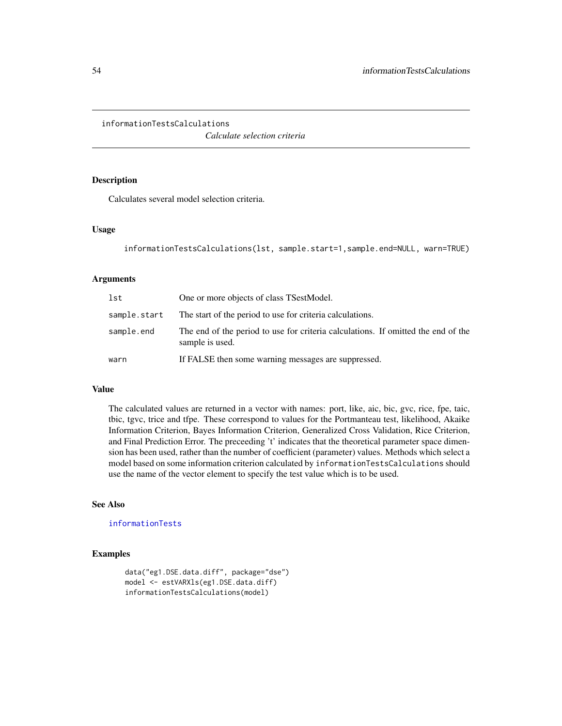<span id="page-53-0"></span>informationTestsCalculations

*Calculate selection criteria*

## Description

Calculates several model selection criteria.

### Usage

```
informationTestsCalculations(lst, sample.start=1,sample.end=NULL, warn=TRUE)
```
# Arguments

| lst          | One or more objects of class TSestModel.                                                             |
|--------------|------------------------------------------------------------------------------------------------------|
| sample.start | The start of the period to use for criteria calculations.                                            |
| sample.end   | The end of the period to use for criteria calculations. If omitted the end of the<br>sample is used. |
| warn         | If FALSE then some warning messages are suppressed.                                                  |

#### Value

The calculated values are returned in a vector with names: port, like, aic, bic, gvc, rice, fpe, taic, tbic, tgvc, trice and tfpe. These correspond to values for the Portmanteau test, likelihood, Akaike Information Criterion, Bayes Information Criterion, Generalized Cross Validation, Rice Criterion, and Final Prediction Error. The preceeding 't' indicates that the theoretical parameter space dimension has been used, rather than the number of coefficient (parameter) values. Methods which select a model based on some information criterion calculated by informationTestsCalculations should use the name of the vector element to specify the test value which is to be used.

# See Also

[informationTests](#page-52-0)

```
data("eg1.DSE.data.diff", package="dse")
model <- estVARXls(eg1.DSE.data.diff)
informationTestsCalculations(model)
```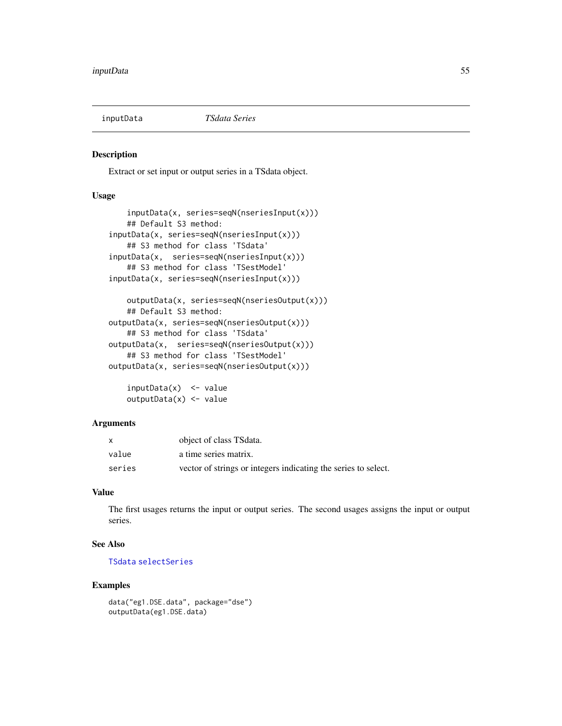Extract or set input or output series in a TSdata object.

# Usage

```
inputData(x, series=seqN(nseriesInput(x)))
    ## Default S3 method:
inputData(x, series=seqN(nseriesInput(x)))
    ## S3 method for class 'TSdata'
inputData(x, series=seqN(nseriesInput(x)))
   ## S3 method for class 'TSestModel'
inputData(x, series=seqN(nseriesInput(x)))
   outputData(x, series=seqN(nseriesOutput(x)))
    ## Default S3 method:
```

```
outputData(x, series=seqN(nseriesOutput(x)))
    ## S3 method for class 'TSdata'
outputData(x, series=seqN(nseriesOutput(x)))
   ## S3 method for class 'TSestModel'
outputData(x, series=seqN(nseriesOutput(x)))
```

```
inputData(x) <- value
outputData(x) <- value
```
### Arguments

|        | object of class TS data.                                       |
|--------|----------------------------------------------------------------|
| value  | a time series matrix.                                          |
| series | vector of strings or integers indicating the series to select. |

# Value

The first usages returns the input or output series. The second usages assigns the input or output series.

# See Also

### [TSdata](#page-115-0) [selectSeries](#page-0-0)

```
data("eg1.DSE.data", package="dse")
outputData(eg1.DSE.data)
```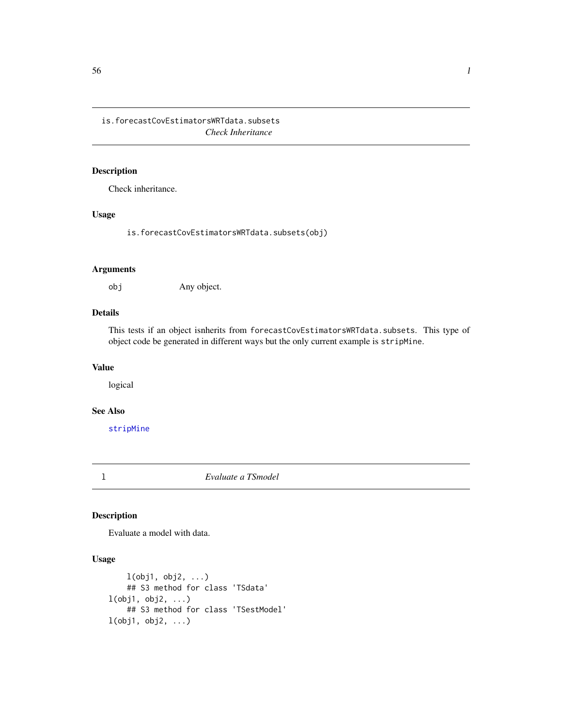is.forecastCovEstimatorsWRTdata.subsets *Check Inheritance*

# Description

Check inheritance.

### Usage

is.forecastCovEstimatorsWRTdata.subsets(obj)

# Arguments

obj Any object.

# Details

This tests if an object isnherits from forecastCovEstimatorsWRTdata.subsets. This type of object code be generated in different ways but the only current example is stripMine.

# Value

logical

# See Also

[stripMine](#page-96-0)

<span id="page-55-0"></span>

l *Evaluate a TSmodel*

# Description

Evaluate a model with data.

# Usage

```
l(obj1, obj2, ...)## S3 method for class 'TSdata'
l(obj1, obj2, ...)
   ## S3 method for class 'TSestModel'
l(obj1, obj2, ...)
```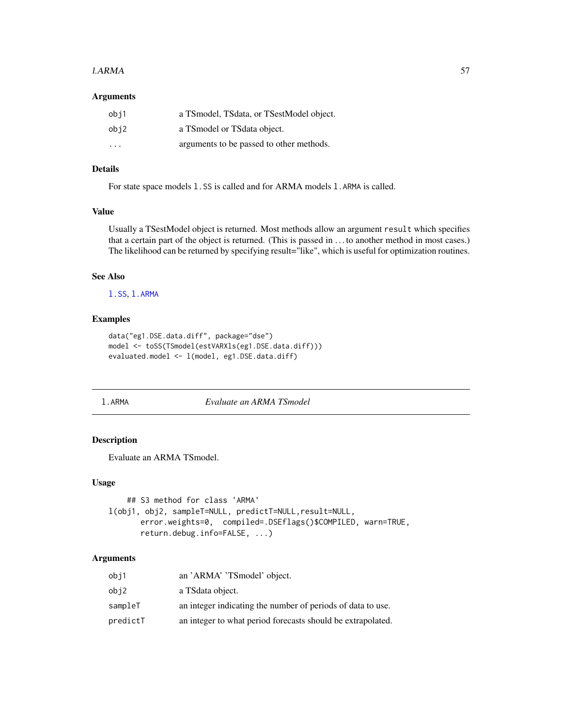#### $1. A RMA$  57

### Arguments

| obj1 | a TSmodel, TSdata, or TSestModel object. |
|------|------------------------------------------|
| obj2 | a TSmodel or TSdata object.              |
| .    | arguments to be passed to other methods. |

### Details

For state space models 1.SS is called and for ARMA models 1.ARMA is called.

# Value

Usually a TSestModel object is returned. Most methods allow an argument result which specifies that a certain part of the object is returned. (This is passed in . . . to another method in most cases.) The likelihood can be returned by specifying result="like", which is useful for optimization routines.

#### See Also

[l.SS](#page-58-0), [l.ARMA](#page-56-0)

# Examples

```
data("eg1.DSE.data.diff", package="dse")
model <- toSS(TSmodel(estVARXls(eg1.DSE.data.diff)))
evaluated.model <- l(model, eg1.DSE.data.diff)
```
<span id="page-56-0"></span>

#### l.ARMA *Evaluate an ARMA TSmodel*

## Description

Evaluate an ARMA TSmodel.

#### Usage

```
## S3 method for class 'ARMA'
l(obj1, obj2, sampleT=NULL, predictT=NULL,result=NULL,
      error.weights=0, compiled=.DSEflags()$COMPILED, warn=TRUE,
      return.debug.info=FALSE, ...)
```
# Arguments

| obi1     | an 'ARMA' 'TSmodel' object.                                 |
|----------|-------------------------------------------------------------|
| obj2     | a TSdata object.                                            |
| sampleT  | an integer indicating the number of periods of data to use. |
| predictT | an integer to what period forecasts should be extrapolated. |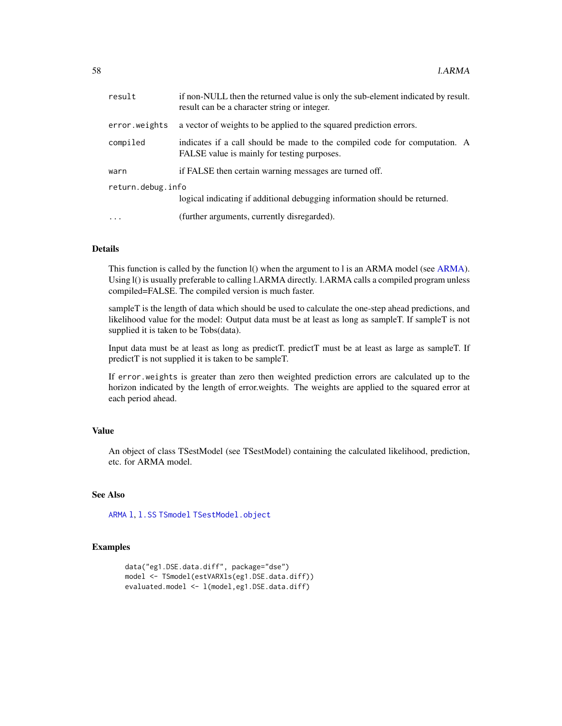| result            | if non-NULL then the returned value is only the sub-element indicated by result.<br>result can be a character string or integer. |  |
|-------------------|----------------------------------------------------------------------------------------------------------------------------------|--|
| error.weights     | a vector of weights to be applied to the squared prediction errors.                                                              |  |
| compiled          | indicates if a call should be made to the compiled code for computation. A<br>FALSE value is mainly for testing purposes.        |  |
| warn              | if FALSE then certain warning messages are turned off.                                                                           |  |
| return.debug.info |                                                                                                                                  |  |
|                   | logical indicating if additional debugging information should be returned.                                                       |  |
| $\cdots$          | (further arguments, currently disregarded).                                                                                      |  |

# Details

This function is called by the function  $I()$  when the argument to  $I$  is an ARMA model (see [ARMA\)](#page-6-0). Using l() is usually preferable to calling l.ARMA directly. l.ARMA calls a compiled program unless compiled=FALSE. The compiled version is much faster.

sampleT is the length of data which should be used to calculate the one-step ahead predictions, and likelihood value for the model: Output data must be at least as long as sampleT. If sampleT is not supplied it is taken to be Tobs(data).

Input data must be at least as long as predictT. predictT must be at least as large as sampleT. If predictT is not supplied it is taken to be sampleT.

If error.weights is greater than zero then weighted prediction errors are calculated up to the horizon indicated by the length of error.weights. The weights are applied to the squared error at each period ahead.

#### Value

An object of class TSestModel (see TSestModel) containing the calculated likelihood, prediction, etc. for ARMA model.

# See Also

[ARMA](#page-6-0) [l](#page-55-0), [l.SS](#page-58-0) [TSmodel](#page-118-0) [TSestModel.object](#page-117-0)

```
data("eg1.DSE.data.diff", package="dse")
model <- TSmodel(estVARXls(eg1.DSE.data.diff))
evaluated.model <- l(model,eg1.DSE.data.diff)
```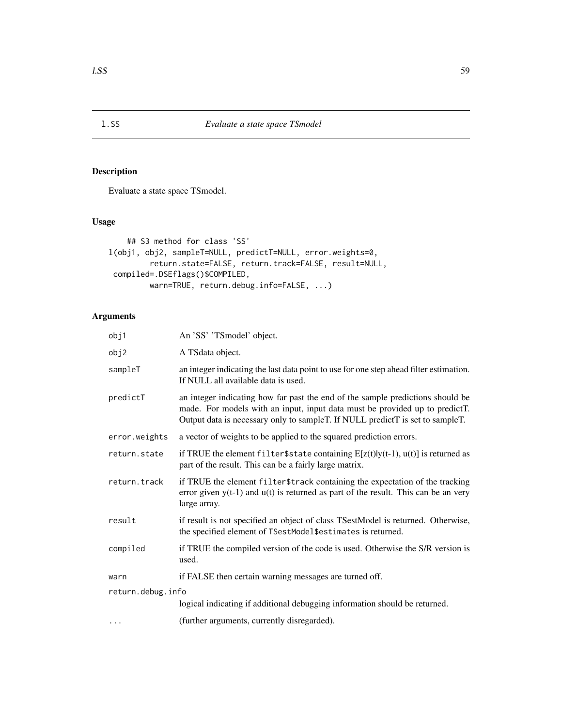<span id="page-58-0"></span>Evaluate a state space TSmodel.

# Usage

```
## S3 method for class 'SS'
l(obj1, obj2, sampleT=NULL, predictT=NULL, error.weights=0,
        return.state=FALSE, return.track=FALSE, result=NULL,
compiled=.DSEflags()$COMPILED,
        warn=TRUE, return.debug.info=FALSE, ...)
```
# Arguments

| obj1              | An 'SS' 'TSmodel' object.                                                                                                                                                                                                                      |  |
|-------------------|------------------------------------------------------------------------------------------------------------------------------------------------------------------------------------------------------------------------------------------------|--|
| obj2              | A TSdata object.                                                                                                                                                                                                                               |  |
| sampleT           | an integer indicating the last data point to use for one step ahead filter estimation.<br>If NULL all available data is used.                                                                                                                  |  |
| predictT          | an integer indicating how far past the end of the sample predictions should be<br>made. For models with an input, input data must be provided up to predictT.<br>Output data is necessary only to sampleT. If NULL predictT is set to sampleT. |  |
| error.weights     | a vector of weights to be applied to the squared prediction errors.                                                                                                                                                                            |  |
| return.state      | if TRUE the element filter \$state containing $E[z(t) y(t-1), u(t)]$ is returned as<br>part of the result. This can be a fairly large matrix.                                                                                                  |  |
| return.track      | if TRUE the element filter\$track containing the expectation of the tracking<br>error given $y(t-1)$ and $u(t)$ is returned as part of the result. This can be an very<br>large array.                                                         |  |
| result            | if result is not specified an object of class TSestModel is returned. Otherwise,<br>the specified element of TSestModel\$estimates is returned.                                                                                                |  |
| compiled          | if TRUE the compiled version of the code is used. Otherwise the S/R version is<br>used.                                                                                                                                                        |  |
| warn              | if FALSE then certain warning messages are turned off.                                                                                                                                                                                         |  |
| return.debug.info |                                                                                                                                                                                                                                                |  |
|                   | logical indicating if additional debugging information should be returned.                                                                                                                                                                     |  |
| $\cdots$          | (further arguments, currently disregarded).                                                                                                                                                                                                    |  |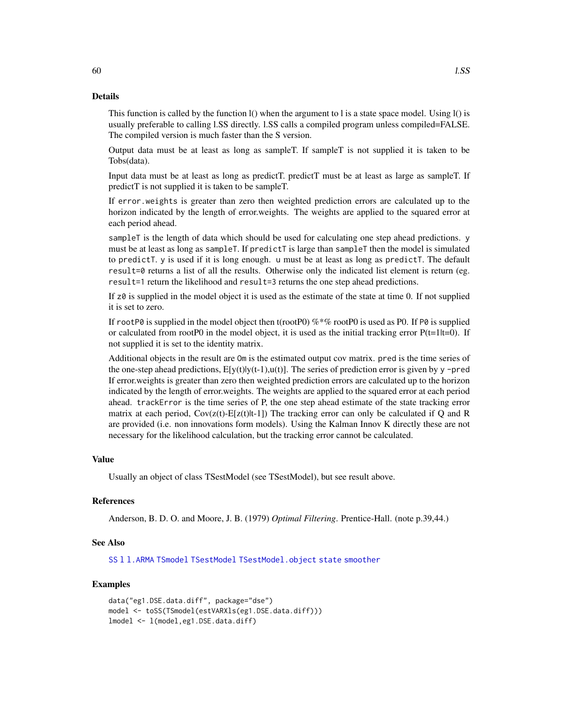### Details

This function is called by the function  $I()$  when the argument to l is a state space model. Using  $I()$  is usually preferable to calling l.SS directly. l.SS calls a compiled program unless compiled=FALSE. The compiled version is much faster than the S version.

Output data must be at least as long as sampleT. If sampleT is not supplied it is taken to be Tobs(data).

Input data must be at least as long as predictT. predictT must be at least as large as sampleT. If predictT is not supplied it is taken to be sampleT.

If error.weights is greater than zero then weighted prediction errors are calculated up to the horizon indicated by the length of error.weights. The weights are applied to the squared error at each period ahead.

sampleT is the length of data which should be used for calculating one step ahead predictions. y must be at least as long as sampleT. If predictT is large than sampleT then the model is simulated to predictT. y is used if it is long enough. u must be at least as long as predictT. The default result=0 returns a list of all the results. Otherwise only the indicated list element is return (eg. result=1 return the likelihood and result=3 returns the one step ahead predictions.

If z0 is supplied in the model object it is used as the estimate of the state at time 0. If not supplied it is set to zero.

If rootP0 is supplied in the model object then t(rootP0)  $\%$  \*% rootP0 is used as P0. If P0 is supplied or calculated from rootP0 in the model object, it is used as the initial tracking error  $P(t=1|t=0)$ . If not supplied it is set to the identity matrix.

Additional objects in the result are Om is the estimated output cov matrix. pred is the time series of the one-step ahead predictions,  $E[y(t)]y(t-1),u(t)]$ . The series of prediction error is given by y -pred If error.weights is greater than zero then weighted prediction errors are calculated up to the horizon indicated by the length of error.weights. The weights are applied to the squared error at each period ahead. trackError is the time series of P, the one step ahead estimate of the state tracking error matrix at each period,  $Cov(z(t)-E[z(t)|t-1])$  The tracking error can only be calculated if Q and R are provided (i.e. non innovations form models). Using the Kalman Innov K directly these are not necessary for the likelihood calculation, but the tracking error cannot be calculated.

#### Value

Usually an object of class TSestModel (see TSestModel), but see result above.

### References

Anderson, B. D. O. and Moore, J. B. (1979) *Optimal Filtering*. Prentice-Hall. (note p.39,44.)

### See Also

[SS](#page-92-0) [l](#page-55-0) [l.ARMA](#page-56-0) [TSmodel](#page-118-0) [TSestModel](#page-117-1) [TSestModel.object](#page-117-0) [state](#page-95-0) [smoother](#page-91-0)

```
data("eg1.DSE.data.diff", package="dse")
model <- toSS(TSmodel(estVARXls(eg1.DSE.data.diff)))
lmodel <- l(model,eg1.DSE.data.diff)
```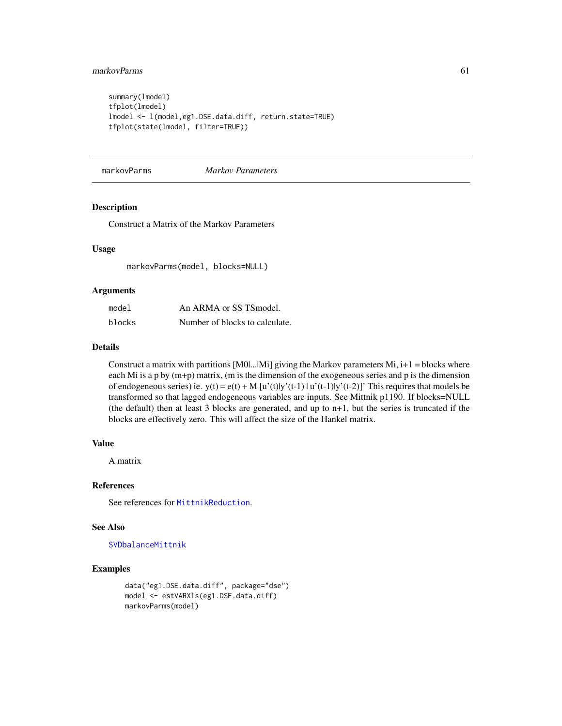# markovParms 61

```
summary(lmodel)
tfplot(lmodel)
lmodel <- l(model,eg1.DSE.data.diff, return.state=TRUE)
tfplot(state(lmodel, filter=TRUE))
```
markovParms *Markov Parameters*

## Description

Construct a Matrix of the Markov Parameters

### Usage

markovParms(model, blocks=NULL)

### Arguments

| model  | An ARMA or SS TSmodel.         |
|--------|--------------------------------|
| blocks | Number of blocks to calculate. |

## Details

Construct a matrix with partitions  $[M0]$ ... $[M]$  giving the Markov parameters Mi,  $i+1$  = blocks where each Mi is a p by  $(m+p)$  matrix,  $(m \text{ is the dimension of the exogenous series and } p \text{ is the dimension}$ of endogeneous series) ie.  $y(t) = e(t) + M[u'(t)]y'(t-1) + u'(t-1)$  (t-2)|y'(t-2)|' This requires that models be transformed so that lagged endogeneous variables are inputs. See Mittnik p1190. If blocks=NULL (the default) then at least 3 blocks are generated, and up to n+1, but the series is truncated if the blocks are effectively zero. This will affect the size of the Hankel matrix.

# Value

A matrix

#### References

See references for [MittnikReduction](#page-64-0).

### See Also

[SVDbalanceMittnik](#page-8-0)

```
data("eg1.DSE.data.diff", package="dse")
model <- estVARXls(eg1.DSE.data.diff)
markovParms(model)
```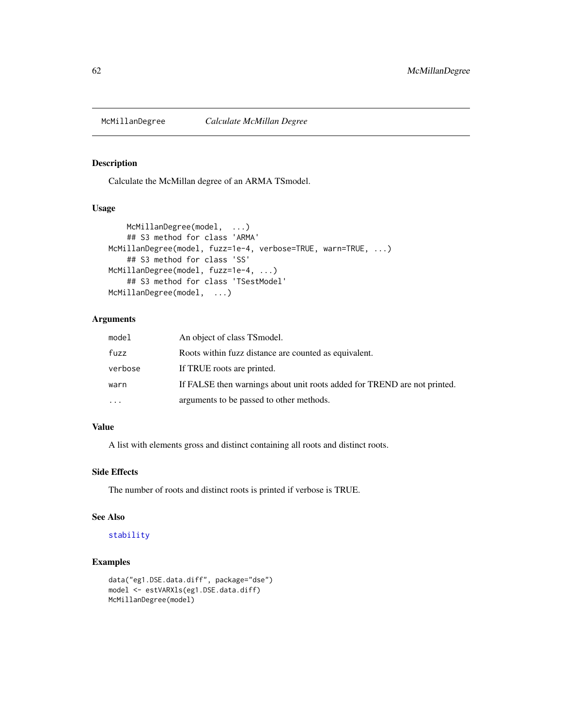<span id="page-61-0"></span>

Calculate the McMillan degree of an ARMA TSmodel.

# Usage

```
McMillanDegree(model, ...)
    ## S3 method for class 'ARMA'
McMillanDegree(model, fuzz=1e-4, verbose=TRUE, warn=TRUE, ...)
    ## S3 method for class 'SS'
McMillanDegree(model, fuzz=1e-4, ...)
    ## S3 method for class 'TSestModel'
McMillanDegree(model, ...)
```
# Arguments

| model   | An object of class TS model.                                             |
|---------|--------------------------------------------------------------------------|
| fuzz    | Roots within fuzz distance are counted as equivalent.                    |
| verbose | If TRUE roots are printed.                                               |
| warn    | If FALSE then warnings about unit roots added for TREND are not printed. |
| .       | arguments to be passed to other methods.                                 |

# Value

A list with elements gross and distinct containing all roots and distinct roots.

## Side Effects

The number of roots and distinct roots is printed if verbose is TRUE.

### See Also

### [stability](#page-94-0)

```
data("eg1.DSE.data.diff", package="dse")
model <- estVARXls(eg1.DSE.data.diff)
McMillanDegree(model)
```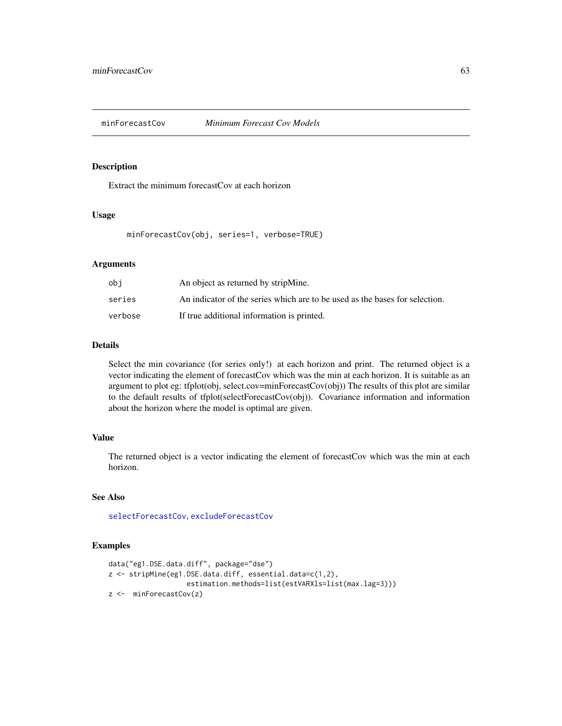Extract the minimum forecastCov at each horizon

### Usage

minForecastCov(obj, series=1, verbose=TRUE)

### Arguments

| obi     | An object as returned by stripMine.                                         |
|---------|-----------------------------------------------------------------------------|
| series  | An indicator of the series which are to be used as the bases for selection. |
| verbose | If true additional information is printed.                                  |

#### Details

Select the min covariance (for series only!) at each horizon and print. The returned object is a vector indicating the element of forecastCov which was the min at each horizon. It is suitable as an argument to plot eg: tfplot(obj, select.cov=minForecastCov(obj)) The results of this plot are similar to the default results of tfplot(selectForecastCov(obj)). Covariance information and information about the horizon where the model is optimal are given.

#### Value

The returned object is a vector indicating the element of forecastCov which was the min at each horizon.

# See Also

[selectForecastCov](#page-84-0), [excludeForecastCov](#page-35-0)

```
data("eg1.DSE.data.diff", package="dse")
z <- stripMine(eg1.DSE.data.diff, essential.data=c(1,2),
                  estimation.methods=list(estVARXls=list(max.lag=3)))
z <- minForecastCov(z)
```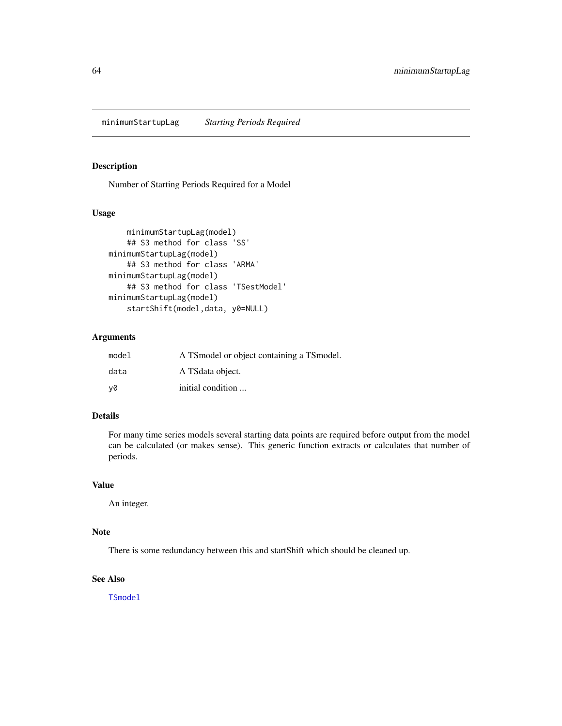Number of Starting Periods Required for a Model

### Usage

```
minimumStartupLag(model)
    ## S3 method for class 'SS'
minimumStartupLag(model)
    ## S3 method for class 'ARMA'
minimumStartupLag(model)
    ## S3 method for class 'TSestModel'
minimumStartupLag(model)
    startShift(model,data, y0=NULL)
```
# Arguments

| model | A TS model or object containing a TS model. |
|-------|---------------------------------------------|
| data  | A TS data object.                           |
| v0    | initial condition                           |

# Details

For many time series models several starting data points are required before output from the model can be calculated (or makes sense). This generic function extracts or calculates that number of periods.

# Value

An integer.

# Note

There is some redundancy between this and startShift which should be cleaned up.

# See Also

[TSmodel](#page-118-0)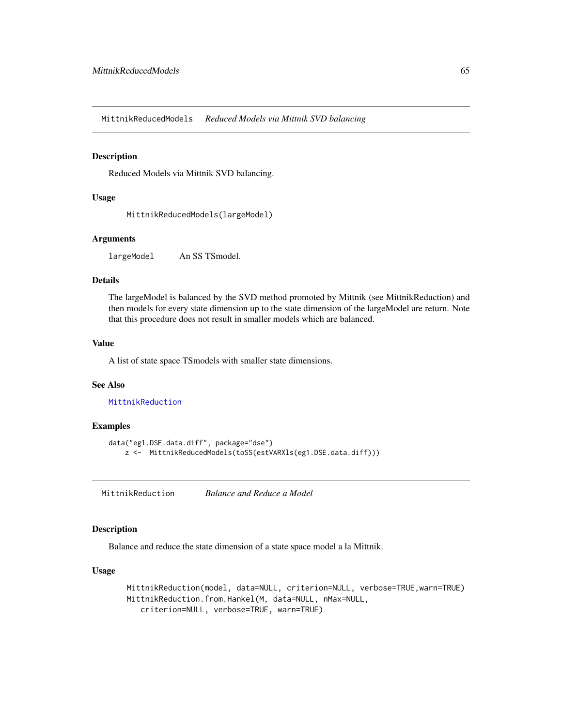MittnikReducedModels *Reduced Models via Mittnik SVD balancing*

### Description

Reduced Models via Mittnik SVD balancing.

### Usage

MittnikReducedModels(largeModel)

### Arguments

largeModel An SS TSmodel.

## Details

The largeModel is balanced by the SVD method promoted by Mittnik (see MittnikReduction) and then models for every state dimension up to the state dimension of the largeModel are return. Note that this procedure does not result in smaller models which are balanced.

### Value

A list of state space TSmodels with smaller state dimensions.

### See Also

[MittnikReduction](#page-64-0)

### Examples

```
data("eg1.DSE.data.diff", package="dse")
    z <- MittnikReducedModels(toSS(estVARXls(eg1.DSE.data.diff)))
```
<span id="page-64-0"></span>MittnikReduction *Balance and Reduce a Model*

## Description

Balance and reduce the state dimension of a state space model a la Mittnik.

### Usage

```
MittnikReduction(model, data=NULL, criterion=NULL, verbose=TRUE,warn=TRUE)
MittnikReduction.from.Hankel(M, data=NULL, nMax=NULL,
   criterion=NULL, verbose=TRUE, warn=TRUE)
```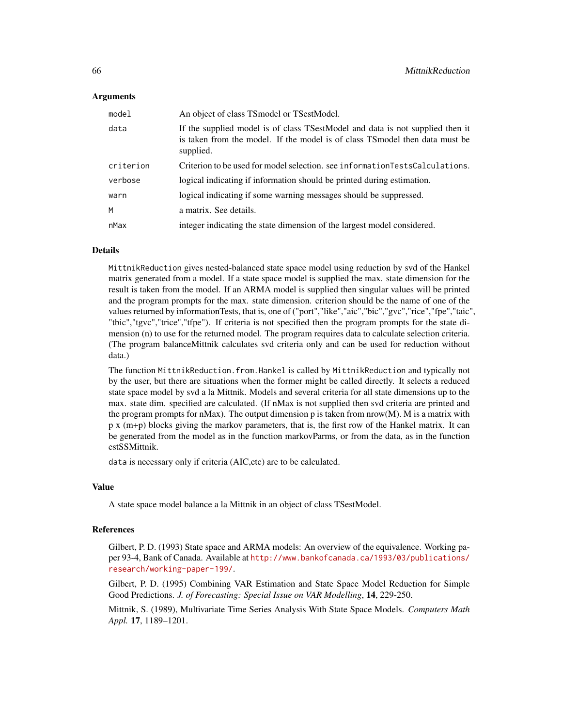### Arguments

| model     | An object of class TS model or TS est Model.                                                                                                                               |
|-----------|----------------------------------------------------------------------------------------------------------------------------------------------------------------------------|
| data      | If the supplied model is of class TSestModel and data is not supplied then it<br>is taken from the model. If the model is of class TS model then data must be<br>supplied. |
| criterion | Criterion to be used for model selection, see information Tests Calculations.                                                                                              |
| verbose   | logical indicating if information should be printed during estimation.                                                                                                     |
| warn      | logical indicating if some warning messages should be suppressed.                                                                                                          |
| м         | a matrix. See details.                                                                                                                                                     |
| nMax      | integer indicating the state dimension of the largest model considered.                                                                                                    |

### **Details**

MittnikReduction gives nested-balanced state space model using reduction by svd of the Hankel matrix generated from a model. If a state space model is supplied the max. state dimension for the result is taken from the model. If an ARMA model is supplied then singular values will be printed and the program prompts for the max. state dimension. criterion should be the name of one of the values returned by informationTests, that is, one of ("port","like","aic","bic","gvc","rice","fpe","taic", "tbic","tgvc","trice","tfpe"). If criteria is not specified then the program prompts for the state dimension (n) to use for the returned model. The program requires data to calculate selection criteria. (The program balanceMittnik calculates svd criteria only and can be used for reduction without data.)

The function MittnikReduction.from.Hankel is called by MittnikReduction and typically not by the user, but there are situations when the former might be called directly. It selects a reduced state space model by svd a la Mittnik. Models and several criteria for all state dimensions up to the max. state dim. specified are calculated. (If nMax is not supplied then svd criteria are printed and the program prompts for nMax). The output dimension  $p$  is taken from nrow $(M)$ . M is a matrix with p x (m+p) blocks giving the markov parameters, that is, the first row of the Hankel matrix. It can be generated from the model as in the function markovParms, or from the data, as in the function estSSMittnik.

data is necessary only if criteria (AIC,etc) are to be calculated.

### Value

A state space model balance a la Mittnik in an object of class TSestModel.

### References

Gilbert, P. D. (1993) State space and ARMA models: An overview of the equivalence. Working paper 93-4, Bank of Canada. Available at [http://www.bankofcanada.ca/1993/03/publications/](http://www.bankofcanada.ca/1993/03/publications/research/working-paper-199/) [research/working-paper-199/](http://www.bankofcanada.ca/1993/03/publications/research/working-paper-199/).

Gilbert, P. D. (1995) Combining VAR Estimation and State Space Model Reduction for Simple Good Predictions. *J. of Forecasting: Special Issue on VAR Modelling*, 14, 229-250.

Mittnik, S. (1989), Multivariate Time Series Analysis With State Space Models. *Computers Math Appl.* 17, 1189–1201.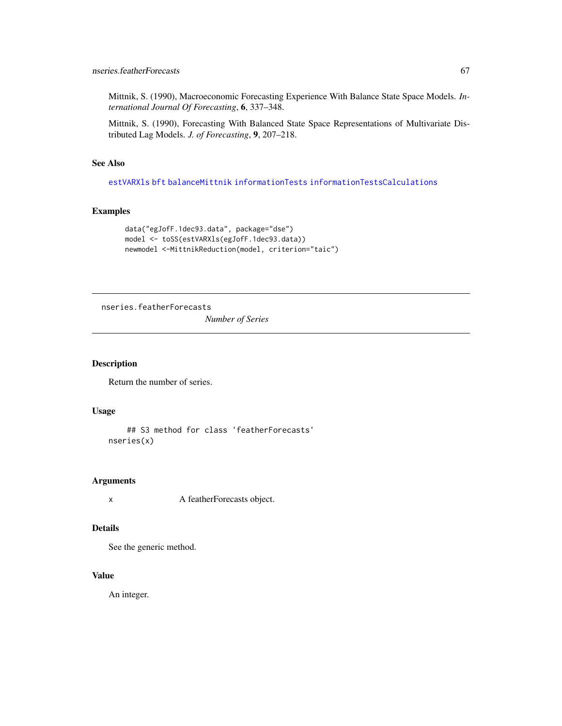Mittnik, S. (1990), Macroeconomic Forecasting Experience With Balance State Space Models. *International Journal Of Forecasting*, 6, 337–348.

Mittnik, S. (1990), Forecasting With Balanced State Space Representations of Multivariate Distributed Lag Models. *J. of Forecasting*, 9, 207–218.

# See Also

[estVARXls](#page-33-0) [bft](#page-24-0) [balanceMittnik](#page-8-1) [informationTests](#page-52-0) [informationTestsCalculations](#page-53-0)

# Examples

```
data("egJofF.1dec93.data", package="dse")
model <- toSS(estVARXls(egJofF.1dec93.data))
newmodel <-MittnikReduction(model, criterion="taic")
```
nseries.featherForecasts

*Number of Series*

### Description

Return the number of series.

#### Usage

```
## S3 method for class 'featherForecasts'
nseries(x)
```
### Arguments

x A featherForecasts object.

## Details

See the generic method.

### Value

An integer.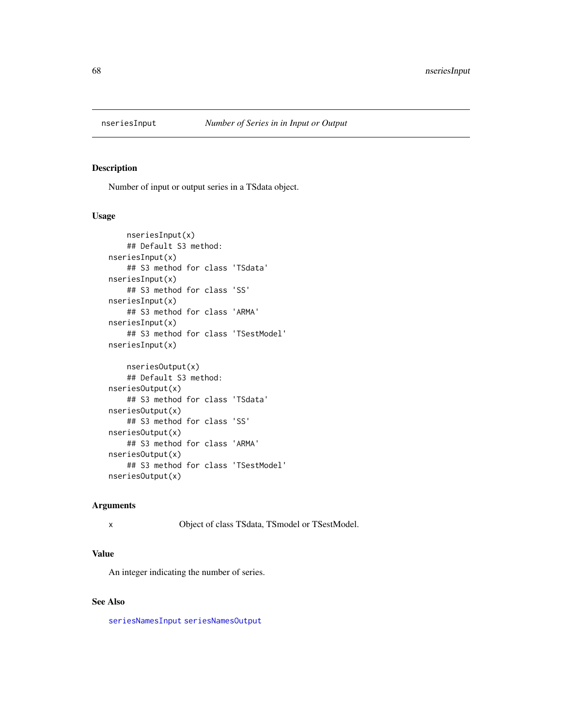<span id="page-67-0"></span>

Number of input or output series in a TSdata object.

# Usage

```
nseriesInput(x)
    ## Default S3 method:
nseriesInput(x)
    ## S3 method for class 'TSdata'
nseriesInput(x)
    ## S3 method for class 'SS'
nseriesInput(x)
    ## S3 method for class 'ARMA'
nseriesInput(x)
    ## S3 method for class 'TSestModel'
nseriesInput(x)
    nseriesOutput(x)
    ## Default S3 method:
nseriesOutput(x)
    ## S3 method for class 'TSdata'
nseriesOutput(x)
    ## S3 method for class 'SS'
nseriesOutput(x)
    ## S3 method for class 'ARMA'
nseriesOutput(x)
    ## S3 method for class 'TSestModel'
nseriesOutput(x)
```
#### Arguments

x Object of class TSdata, TSmodel or TSestModel.

#### Value

An integer indicating the number of series.

#### See Also

[seriesNamesInput](#page-86-0) [seriesNamesOutput](#page-86-1)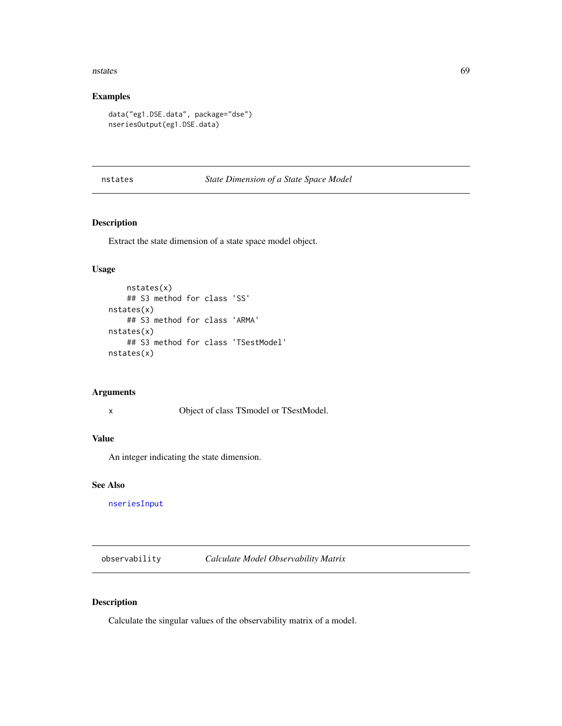#### nstates 69

# Examples

```
data("eg1.DSE.data", package="dse")
nseriesOutput(eg1.DSE.data)
```
### nstates *State Dimension of a State Space Model*

# Description

Extract the state dimension of a state space model object.

# Usage

```
nstates(x)
    ## S3 method for class 'SS'
nstates(x)
    ## S3 method for class 'ARMA'
nstates(x)
    ## S3 method for class 'TSestModel'
nstates(x)
```
# Arguments

x Object of class TSmodel or TSestModel.

### Value

An integer indicating the state dimension.

### See Also

[nseriesInput](#page-67-0)

observability *Calculate Model Observability Matrix*

# Description

Calculate the singular values of the observability matrix of a model.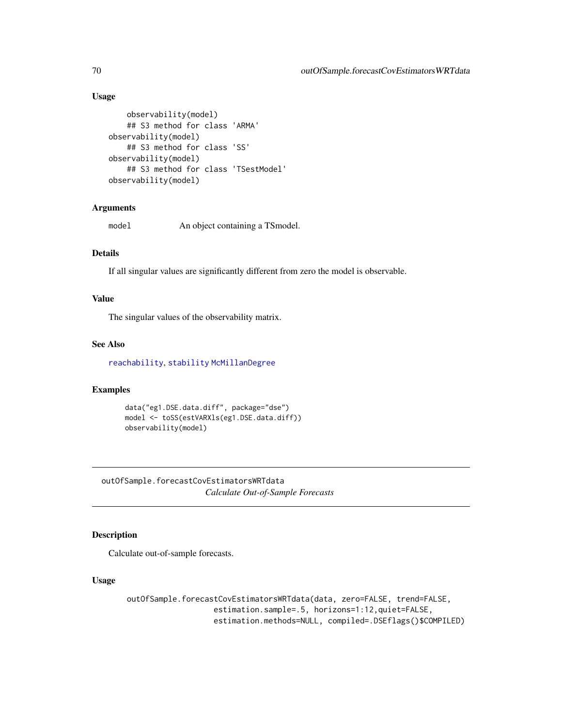# Usage

```
observability(model)
    ## S3 method for class 'ARMA'
observability(model)
    ## S3 method for class 'SS'
observability(model)
    ## S3 method for class 'TSestModel'
observability(model)
```
### Arguments

model An object containing a TSmodel.

# Details

If all singular values are significantly different from zero the model is observable.

## Value

The singular values of the observability matrix.

## See Also

[reachability](#page-77-0), [stability](#page-94-0) [McMillanDegree](#page-61-0)

# Examples

```
data("eg1.DSE.data.diff", package="dse")
model <- toSS(estVARXls(eg1.DSE.data.diff))
observability(model)
```
<span id="page-69-0"></span>outOfSample.forecastCovEstimatorsWRTdata *Calculate Out-of-Sample Forecasts*

# Description

Calculate out-of-sample forecasts.

#### Usage

outOfSample.forecastCovEstimatorsWRTdata(data, zero=FALSE, trend=FALSE, estimation.sample=.5, horizons=1:12,quiet=FALSE, estimation.methods=NULL, compiled=.DSEflags()\$COMPILED)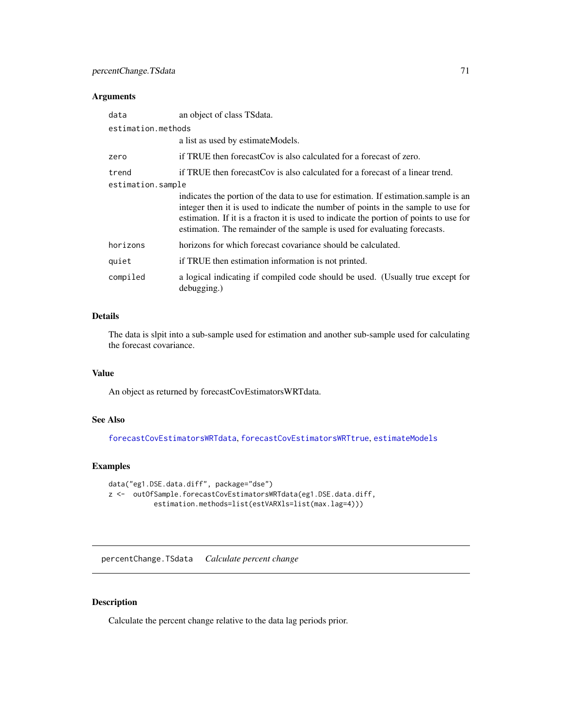# Arguments

| data               | an object of class TS data.                                                                                                                                                                                                                                                                                                                      |
|--------------------|--------------------------------------------------------------------------------------------------------------------------------------------------------------------------------------------------------------------------------------------------------------------------------------------------------------------------------------------------|
| estimation.methods |                                                                                                                                                                                                                                                                                                                                                  |
|                    | a list as used by estimate Models.                                                                                                                                                                                                                                                                                                               |
| zero               | if TRUE then forecast Cov is also calculated for a forecast of zero.                                                                                                                                                                                                                                                                             |
| trend              | if TRUE then forecast Cov is also calculated for a forecast of a linear trend.                                                                                                                                                                                                                                                                   |
| estimation.sample  |                                                                                                                                                                                                                                                                                                                                                  |
|                    | indicates the portion of the data to use for estimation. If estimation, sample is an<br>integer then it is used to indicate the number of points in the sample to use for<br>estimation. If it is a fracton it is used to indicate the portion of points to use for<br>estimation. The remainder of the sample is used for evaluating forecasts. |
| horizons           | horizons for which forecast covariance should be calculated.                                                                                                                                                                                                                                                                                     |
| quiet              | if TRUE then estimation information is not printed.                                                                                                                                                                                                                                                                                              |
| compiled           | a logical indicating if compiled code should be used. (Usually true except for<br>debugging.)                                                                                                                                                                                                                                                    |

# Details

The data is slpit into a sub-sample used for estimation and another sub-sample used for calculating the forecast covariance.

# Value

An object as returned by forecastCovEstimatorsWRTdata.

# See Also

[forecastCovEstimatorsWRTdata](#page-43-0), [forecastCovEstimatorsWRTtrue](#page-44-0), [estimateModels](#page-26-0)

# Examples

```
data("eg1.DSE.data.diff", package="dse")
z <- outOfSample.forecastCovEstimatorsWRTdata(eg1.DSE.data.diff,
           estimation.methods=list(estVARXls=list(max.lag=4)))
```
percentChange.TSdata *Calculate percent change*

# Description

Calculate the percent change relative to the data lag periods prior.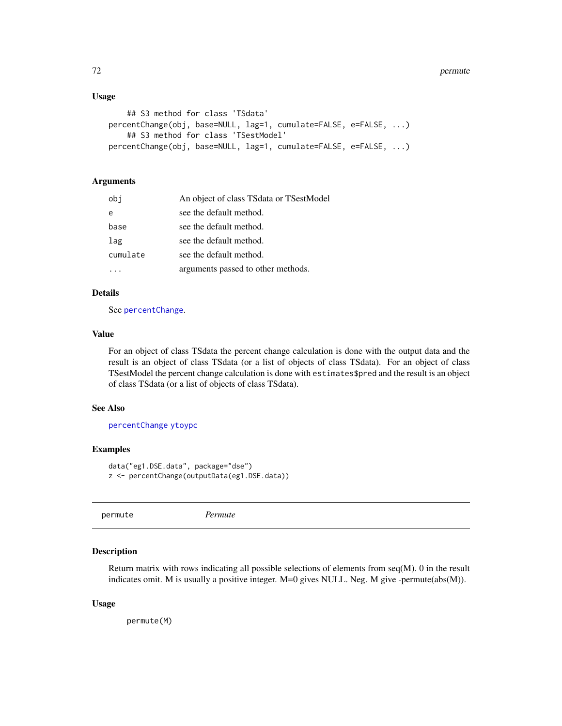### Usage

```
## S3 method for class 'TSdata'
percentChange(obj, base=NULL, lag=1, cumulate=FALSE, e=FALSE, ...)
    ## S3 method for class 'TSestModel'
percentChange(obj, base=NULL, lag=1, cumulate=FALSE, e=FALSE, ...)
```
# Arguments

| obj      | An object of class TSdata or TSestModel |
|----------|-----------------------------------------|
| e        | see the default method.                 |
| base     | see the default method.                 |
| lag      | see the default method.                 |
| cumulate | see the default method.                 |
|          | arguments passed to other methods.      |

### Details

See [percentChange](#page-0-0).

#### Value

For an object of class TSdata the percent change calculation is done with the output data and the result is an object of class TSdata (or a list of objects of class TSdata). For an object of class TSestModel the percent change calculation is done with estimates\$pred and the result is an object of class TSdata (or a list of objects of class TSdata).

### See Also

[percentChange](#page-0-0) [ytoypc](#page-0-0)

### Examples

```
data("eg1.DSE.data", package="dse")
z <- percentChange(outputData(eg1.DSE.data))
```
permute *Permute*

#### Description

Return matrix with rows indicating all possible selections of elements from seq(M). 0 in the result indicates omit. M is usually a positive integer. M=0 gives NULL. Neg. M give -permute(abs(M)).

#### Usage

permute(M)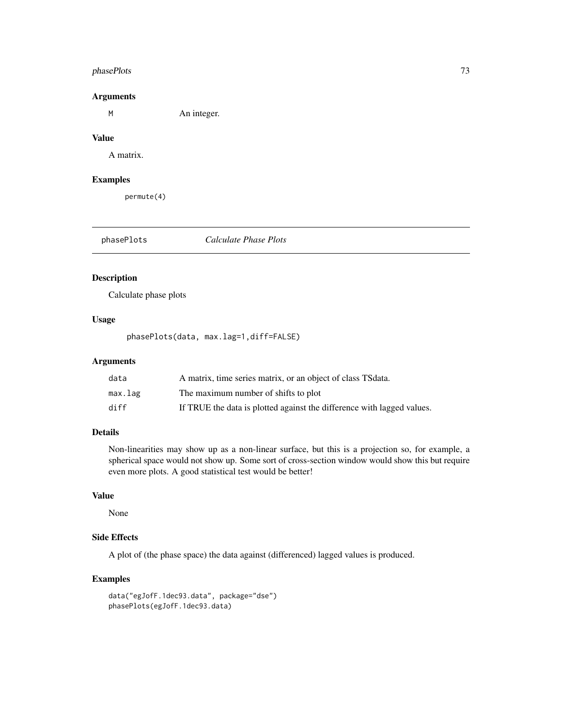# phasePlots 73

## Arguments

M An integer.

### Value

A matrix.

# Examples

permute(4)

phasePlots *Calculate Phase Plots*

# Description

Calculate phase plots

### Usage

phasePlots(data, max.lag=1,diff=FALSE)

# Arguments

| data    | A matrix, time series matrix, or an object of class TS data.           |
|---------|------------------------------------------------------------------------|
| max.lag | The maximum number of shifts to plot                                   |
| diff    | If TRUE the data is plotted against the difference with lagged values. |

## Details

Non-linearities may show up as a non-linear surface, but this is a projection so, for example, a spherical space would not show up. Some sort of cross-section window would show this but require even more plots. A good statistical test would be better!

#### Value

None

#### Side Effects

A plot of (the phase space) the data against (differenced) lagged values is produced.

```
data("egJofF.1dec93.data", package="dse")
phasePlots(egJofF.1dec93.data)
```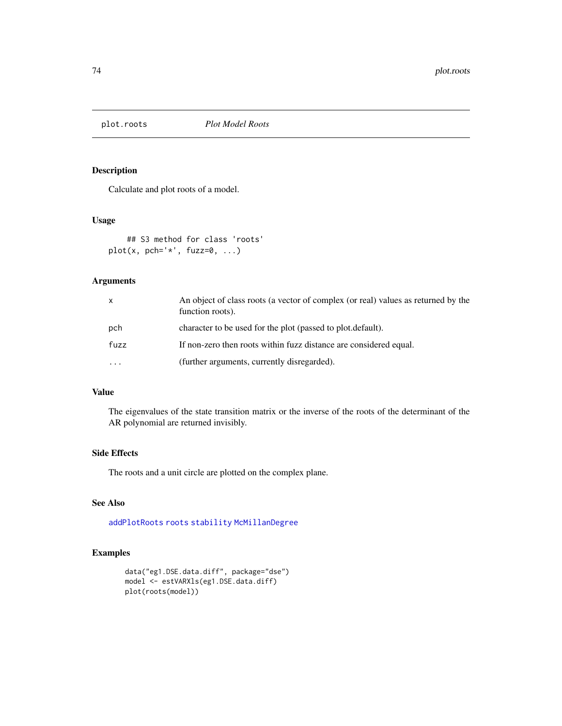Calculate and plot roots of a model.

## Usage

```
## S3 method for class 'roots'
plot(x, pch='*', fuzzy-z=0, ...)
```
# Arguments

| $\mathsf{x}$            | An object of class roots (a vector of complex (or real) values as returned by the<br>function roots). |
|-------------------------|-------------------------------------------------------------------------------------------------------|
| pch                     | character to be used for the plot (passed to plot default).                                           |
| fuzz                    | If non-zero then roots within fuzz distance are considered equal.                                     |
| $\cdot$ $\cdot$ $\cdot$ | (further arguments, currently disregarded).                                                           |

# Value

The eigenvalues of the state transition matrix or the inverse of the roots of the determinant of the AR polynomial are returned invisibly.

## Side Effects

The roots and a unit circle are plotted on the complex plane.

#### See Also

[addPlotRoots](#page-5-0) [roots](#page-80-0) [stability](#page-94-0) [McMillanDegree](#page-61-0)

```
data("eg1.DSE.data.diff", package="dse")
model <- estVARXls(eg1.DSE.data.diff)
plot(roots(model))
```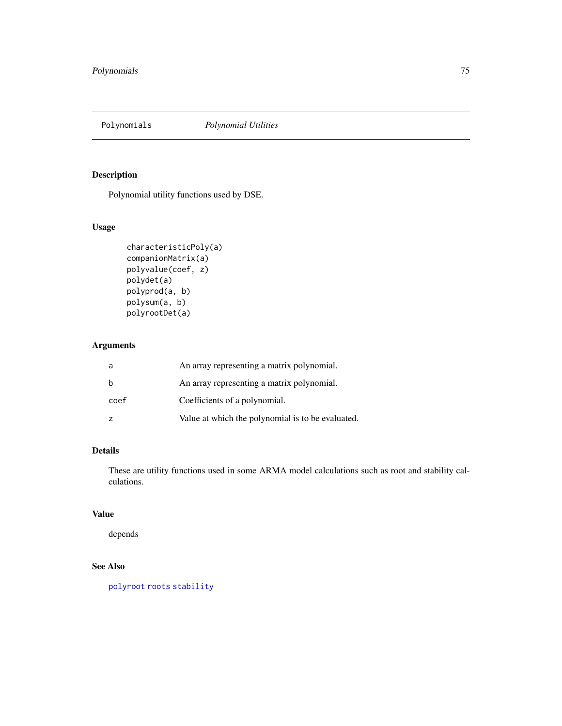Polynomial utility functions used by DSE.

# Usage

```
characteristicPoly(a)
companionMatrix(a)
polyvalue(coef, z)
polydet(a)
polyprod(a, b)
polysum(a, b)
polyrootDet(a)
```
# Arguments

|      | An array representing a matrix polynomial.        |
|------|---------------------------------------------------|
|      | An array representing a matrix polynomial.        |
| coef | Coefficients of a polynomial.                     |
|      | Value at which the polynomial is to be evaluated. |

# Details

These are utility functions used in some ARMA model calculations such as root and stability calculations.

# Value

depends

# See Also

[polyroot](#page-0-0) [roots](#page-80-0) [stability](#page-94-0)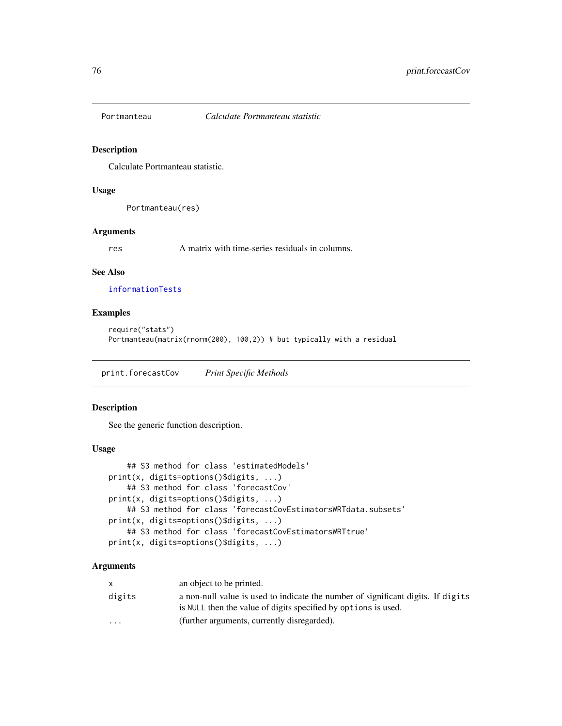Calculate Portmanteau statistic.

### Usage

Portmanteau(res)

### Arguments

res A matrix with time-series residuals in columns.

### See Also

[informationTests](#page-52-0)

# Examples

```
require("stats")
Portmanteau(matrix(rnorm(200), 100,2)) # but typically with a residual
```
print.forecastCov *Print Specific Methods*

# Description

See the generic function description.

## Usage

```
## S3 method for class 'estimatedModels'
print(x, digits=options()$digits, ...)
    ## S3 method for class 'forecastCov'
print(x, digits=options()$digits, ...)
    ## S3 method for class 'forecastCovEstimatorsWRTdata.subsets'
print(x, digits=options()$digits, ...)
    ## S3 method for class 'forecastCovEstimatorsWRTtrue'
print(x, digits=options()$digits, ...)
```
#### Arguments

| X.                      | an object to be printed.                                                                                                                           |
|-------------------------|----------------------------------------------------------------------------------------------------------------------------------------------------|
| digits                  | a non-null value is used to indicate the number of significant digits. If digits<br>is NULL then the value of digits specified by options is used. |
| $\cdot$ $\cdot$ $\cdot$ | (further arguments, currently disregarded).                                                                                                        |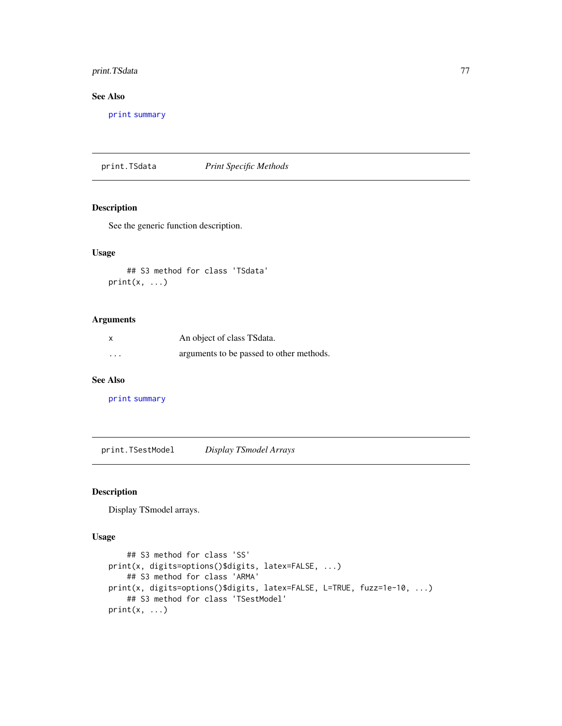# print.TSdata 77

# See Also

[print](#page-0-0) [summary](#page-0-0)

print.TSdata *Print Specific Methods*

### Description

See the generic function description.

### Usage

## S3 method for class 'TSdata'  $print(x, \ldots)$ 

## Arguments

| X        | An object of class TS data.              |
|----------|------------------------------------------|
| $\cdots$ | arguments to be passed to other methods. |

### See Also

[print](#page-0-0) [summary](#page-0-0)

print.TSestModel *Display TSmodel Arrays*

# Description

Display TSmodel arrays.

#### Usage

```
## S3 method for class 'SS'
print(x, digits=options()$digits, latex=FALSE, ...)
    ## S3 method for class 'ARMA'
print(x, digits=options()$digits, latex=FALSE, L=TRUE, fuzz=1e-10, ...)
    ## S3 method for class 'TSestModel'
print(x, \ldots)
```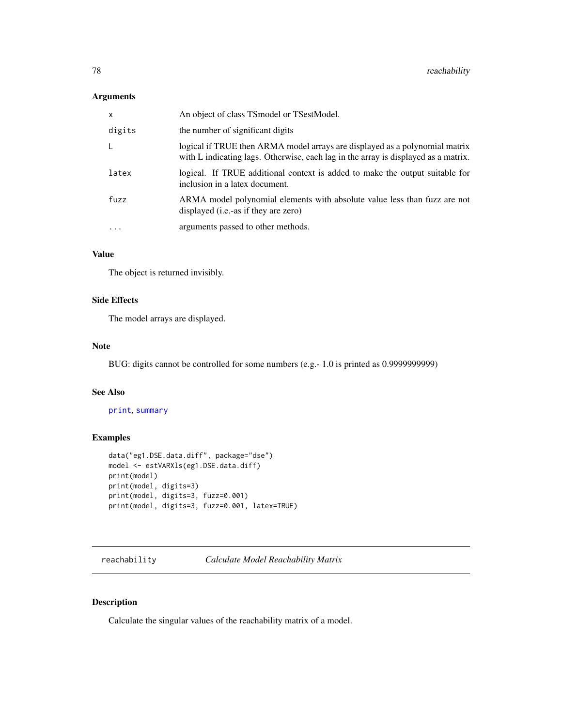# Arguments

| $\mathsf{x}$            | An object of class TSmodel or TSestModel.                                                                                                                         |
|-------------------------|-------------------------------------------------------------------------------------------------------------------------------------------------------------------|
| digits                  | the number of significant digits                                                                                                                                  |
|                         | logical if TRUE then ARMA model arrays are displayed as a polynomial matrix<br>with L indicating lags. Otherwise, each lag in the array is displayed as a matrix. |
| latex                   | logical. If TRUE additional context is added to make the output suitable for<br>inclusion in a latex document.                                                    |
| fuzz                    | ARMA model polynomial elements with absolute value less than fuzz are not<br>displayed ( <i>i.e.</i> -as if they are zero)                                        |
| $\cdot$ $\cdot$ $\cdot$ | arguments passed to other methods.                                                                                                                                |
|                         |                                                                                                                                                                   |

# Value

The object is returned invisibly.

# Side Effects

The model arrays are displayed.

### Note

BUG: digits cannot be controlled for some numbers (e.g.- 1.0 is printed as 0.9999999999)

### See Also

[print](#page-0-0), [summary](#page-0-0)

## Examples

```
data("eg1.DSE.data.diff", package="dse")
model <- estVARXls(eg1.DSE.data.diff)
print(model)
print(model, digits=3)
print(model, digits=3, fuzz=0.001)
print(model, digits=3, fuzz=0.001, latex=TRUE)
```
reachability *Calculate Model Reachability Matrix*

# Description

Calculate the singular values of the reachability matrix of a model.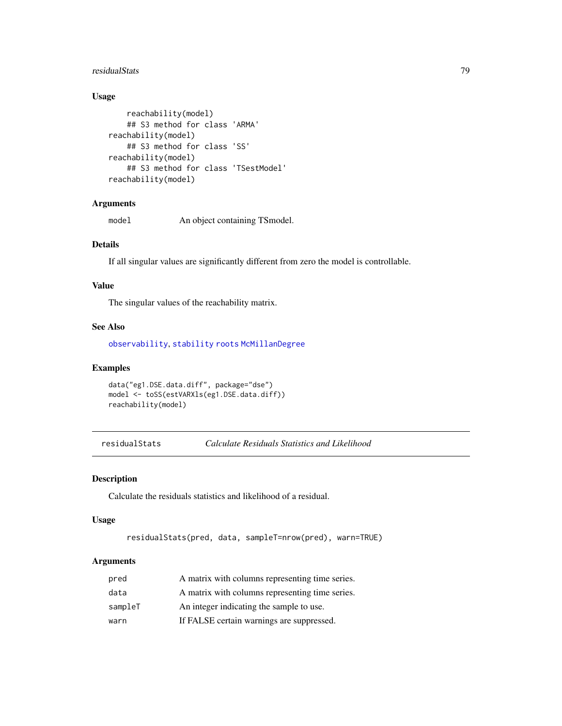#### residualStats 79

# Usage

```
reachability(model)
    ## S3 method for class 'ARMA'
reachability(model)
    ## S3 method for class 'SS'
reachability(model)
    ## S3 method for class 'TSestModel'
reachability(model)
```
# Arguments

model An object containing TSmodel.

## Details

If all singular values are significantly different from zero the model is controllable.

#### Value

The singular values of the reachability matrix.

# See Also

[observability](#page-68-0), [stability](#page-94-0) [roots](#page-80-0) [McMillanDegree](#page-61-0)

# Examples

```
data("eg1.DSE.data.diff", package="dse")
model <- toSS(estVARXls(eg1.DSE.data.diff))
reachability(model)
```
residualStats *Calculate Residuals Statistics and Likelihood*

# Description

Calculate the residuals statistics and likelihood of a residual.

# Usage

```
residualStats(pred, data, sampleT=nrow(pred), warn=TRUE)
```
# Arguments

| pred    | A matrix with columns representing time series. |
|---------|-------------------------------------------------|
| data    | A matrix with columns representing time series. |
| sampleT | An integer indicating the sample to use.        |
| warn    | If FALSE certain warnings are suppressed.       |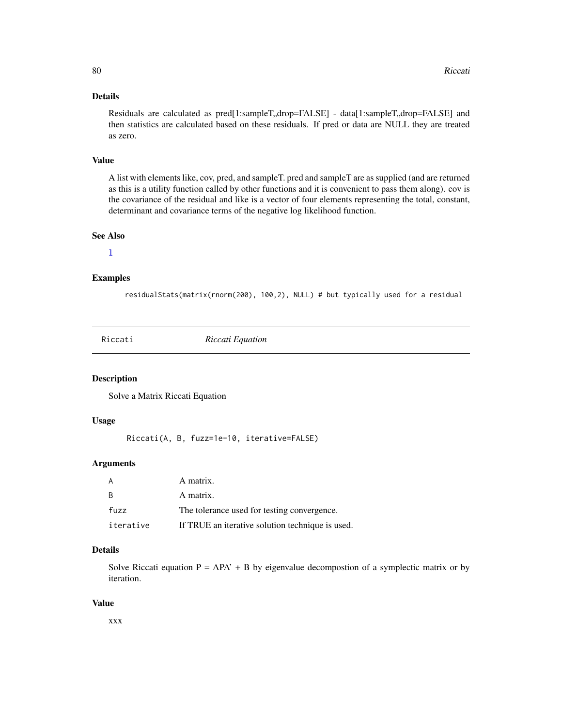## Details

Residuals are calculated as pred[1:sampleT,,drop=FALSE] - data[1:sampleT,,drop=FALSE] and then statistics are calculated based on these residuals. If pred or data are NULL they are treated as zero.

## Value

A list with elements like, cov, pred, and sampleT. pred and sampleT are as supplied (and are returned as this is a utility function called by other functions and it is convenient to pass them along). cov is the covariance of the residual and like is a vector of four elements representing the total, constant, determinant and covariance terms of the negative log likelihood function.

#### See Also

 $\mathbf{1}$ 

#### Examples

residualStats(matrix(rnorm(200), 100,2), NULL) # but typically used for a residual

Riccati *Riccati Equation*

### Description

Solve a Matrix Riccati Equation

#### Usage

Riccati(A, B, fuzz=1e-10, iterative=FALSE)

## Arguments

|           | A matrix.                                        |
|-----------|--------------------------------------------------|
| - B       | A matrix.                                        |
| fuzz      | The tolerance used for testing convergence.      |
| iterative | If TRUE an iterative solution technique is used. |

# Details

Solve Riccati equation  $P = APA' + B$  by eigenvalue decompostion of a symplectic matrix or by iteration.

### Value

xxx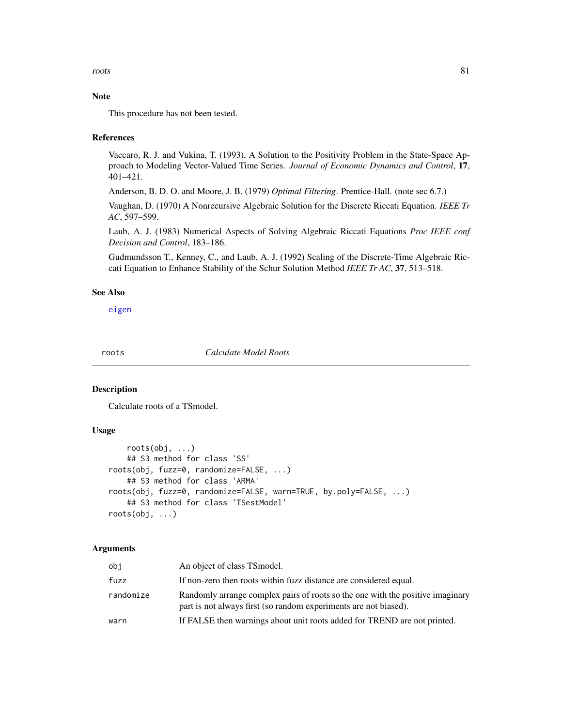roots and the set of the set of the set of the set of the set of the set of the set of the set of the set of the set of the set of the set of the set of the set of the set of the set of the set of the set of the set of the

### Note

This procedure has not been tested.

### References

Vaccaro, R. J. and Vukina, T. (1993), A Solution to the Positivity Problem in the State-Space Approach to Modeling Vector-Valued Time Series. *Journal of Economic Dynamics and Control*, 17, 401–421.

Anderson, B. D. O. and Moore, J. B. (1979) *Optimal Filtering*. Prentice-Hall. (note sec 6.7.)

Vaughan, D. (1970) A Nonrecursive Algebraic Solution for the Discrete Riccati Equation. *IEEE Tr AC*, 597–599.

Laub, A. J. (1983) Numerical Aspects of Solving Algebraic Riccati Equations *Proc IEEE conf Decision and Control*, 183–186.

Gudmundsson T., Kenney, C., and Laub, A. J. (1992) Scaling of the Discrete-Time Algebraic Riccati Equation to Enhance Stability of the Schur Solution Method *IEEE Tr AC*, 37, 513–518.

### See Also

[eigen](#page-0-0)

<span id="page-80-0"></span>roots *Calculate Model Roots*

### Description

Calculate roots of a TSmodel.

#### Usage

```
roots(obj, ...)
    ## S3 method for class 'SS'
roots(obj, fuzz=0, randomize=FALSE, ...)
    ## S3 method for class 'ARMA'
roots(obj, fuzz=0, randomize=FALSE, warn=TRUE, by.poly=FALSE, ...)
    ## S3 method for class 'TSestModel'
roots(obj, ...)
```
#### Arguments

| obi       | An object of class TS model.                                                                                                                       |
|-----------|----------------------------------------------------------------------------------------------------------------------------------------------------|
| fuzz      | If non-zero then roots within fuzz distance are considered equal.                                                                                  |
| randomize | Randomly arrange complex pairs of roots so the one with the positive imaginary<br>part is not always first (so random experiments are not biased). |
| warn      | If FALSE then warnings about unit roots added for TREND are not printed.                                                                           |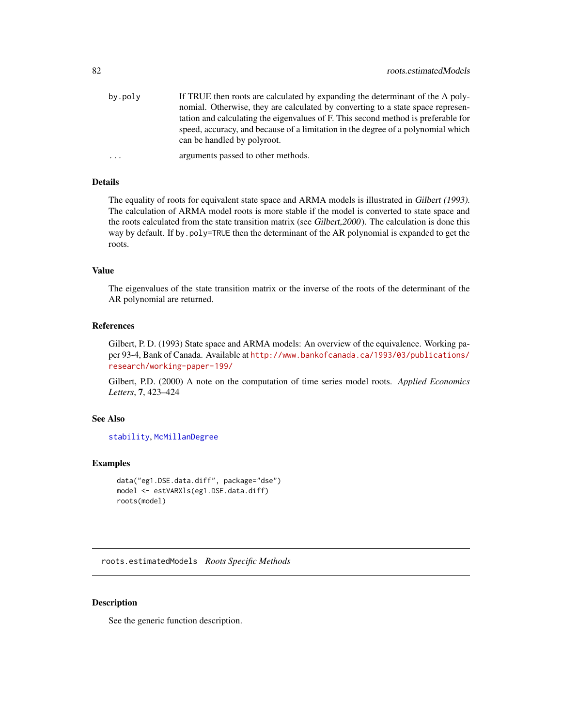| by.poly    | If TRUE then roots are calculated by expanding the determinant of the A poly-                                   |
|------------|-----------------------------------------------------------------------------------------------------------------|
|            | nomial. Otherwise, they are calculated by converting to a state space represen-                                 |
|            | tation and calculating the eigenvalues of F. This second method is preferable for                               |
|            | speed, accuracy, and because of a limitation in the degree of a polynomial which<br>can be handled by polyroot. |
| $\ddots$ . | arguments passed to other methods.                                                                              |

# Details

The equality of roots for equivalent state space and ARMA models is illustrated in Gilbert (1993). The calculation of ARMA model roots is more stable if the model is converted to state space and the roots calculated from the state transition matrix (see Gilbert,2000). The calculation is done this way by default. If by.poly=TRUE then the determinant of the AR polynomial is expanded to get the roots.

#### Value

The eigenvalues of the state transition matrix or the inverse of the roots of the determinant of the AR polynomial are returned.

#### References

Gilbert, P. D. (1993) State space and ARMA models: An overview of the equivalence. Working paper 93-4, Bank of Canada. Available at [http://www.bankofcanada.ca/1993/03/publications/](http://www.bankofcanada.ca/1993/03/publications/research/working-paper-199/) [research/working-paper-199/](http://www.bankofcanada.ca/1993/03/publications/research/working-paper-199/)

Gilbert, P.D. (2000) A note on the computation of time series model roots. *Applied Economics Letters*, 7, 423–424

# See Also

[stability](#page-94-0), [McMillanDegree](#page-61-0)

### Examples

```
data("eg1.DSE.data.diff", package="dse")
model <- estVARXls(eg1.DSE.data.diff)
roots(model)
```
roots.estimatedModels *Roots Specific Methods*

### Description

See the generic function description.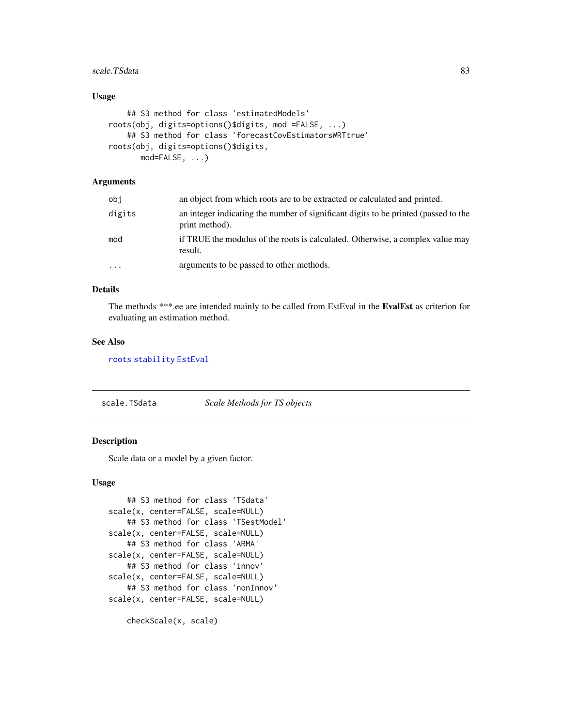# scale.TSdata 83

## Usage

```
## S3 method for class 'estimatedModels'
roots(obj, digits=options()$digits, mod =FALSE, ...)
    ## S3 method for class 'forecastCovEstimatorsWRTtrue'
roots(obj, digits=options()$digits,
      mod=FALSE, ...)
```
# Arguments

| obi                     | an object from which roots are to be extracted or calculated and printed.                             |
|-------------------------|-------------------------------------------------------------------------------------------------------|
| digits                  | an integer indicating the number of significant digits to be printed (passed to the<br>print method). |
| mod                     | if TRUE the modulus of the roots is calculated. Otherwise, a complex value may<br>result.             |
| $\cdot$ $\cdot$ $\cdot$ | arguments to be passed to other methods.                                                              |

## Details

The methods \*\*\*.ee are intended mainly to be called from EstEval in the EvalEst as criterion for evaluating an estimation method.

## See Also

### [roots](#page-80-0) [stability](#page-94-0) [EstEval](#page-0-0)

scale.TSdata *Scale Methods for TS objects*

### Description

Scale data or a model by a given factor.

## Usage

```
## S3 method for class 'TSdata'
scale(x, center=FALSE, scale=NULL)
   ## S3 method for class 'TSestModel'
scale(x, center=FALSE, scale=NULL)
   ## S3 method for class 'ARMA'
scale(x, center=FALSE, scale=NULL)
   ## S3 method for class 'innov'
scale(x, center=FALSE, scale=NULL)
   ## S3 method for class 'nonInnov'
scale(x, center=FALSE, scale=NULL)
   checkScale(x, scale)
```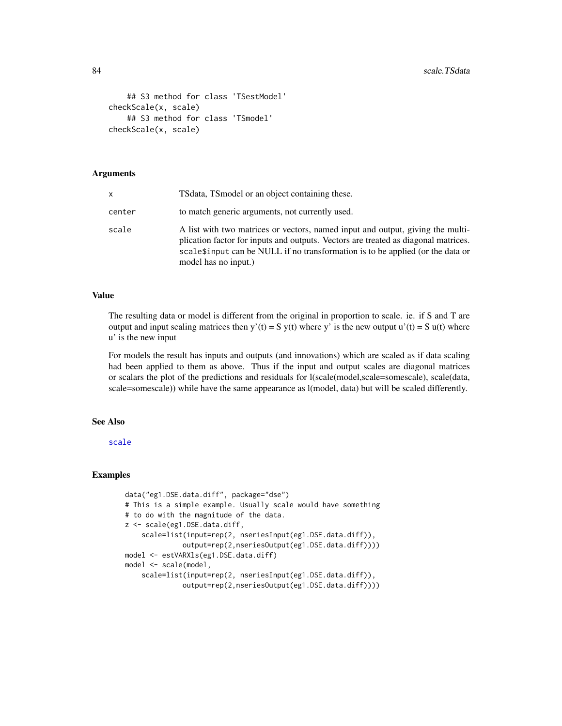```
## S3 method for class 'TSestModel'
checkScale(x, scale)
    ## S3 method for class 'TSmodel'
checkScale(x, scale)
```
#### Arguments

| x      | TS data, TS model or an object containing these.                                                                                                                                                                                                                                |
|--------|---------------------------------------------------------------------------------------------------------------------------------------------------------------------------------------------------------------------------------------------------------------------------------|
| center | to match generic arguments, not currently used.                                                                                                                                                                                                                                 |
| scale  | A list with two matrices or vectors, named input and output, giving the multi-<br>plication factor for inputs and outputs. Vectors are treated as diagonal matrices.<br>scale \$input can be NULL if no transformation is to be applied (or the data or<br>model has no input.) |

#### Value

The resulting data or model is different from the original in proportion to scale. ie. if S and T are output and input scaling matrices then y'(t) = S y(t) where y' is the new output u'(t) = S u(t) where u' is the new input

For models the result has inputs and outputs (and innovations) which are scaled as if data scaling had been applied to them as above. Thus if the input and output scales are diagonal matrices or scalars the plot of the predictions and residuals for l(scale(model,scale=somescale), scale(data, scale=somescale)) while have the same appearance as l(model, data) but will be scaled differently.

# See Also

[scale](#page-0-0)

```
data("eg1.DSE.data.diff", package="dse")
# This is a simple example. Usually scale would have something
# to do with the magnitude of the data.
z <- scale(eg1.DSE.data.diff,
    scale=list(input=rep(2, nseriesInput(eg1.DSE.data.diff)),
              output=rep(2,nseriesOutput(eg1.DSE.data.diff))))
model <- estVARXls(eg1.DSE.data.diff)
model <- scale(model,
    scale=list(input=rep(2, nseriesInput(eg1.DSE.data.diff)),
              output=rep(2,nseriesOutput(eg1.DSE.data.diff))))
```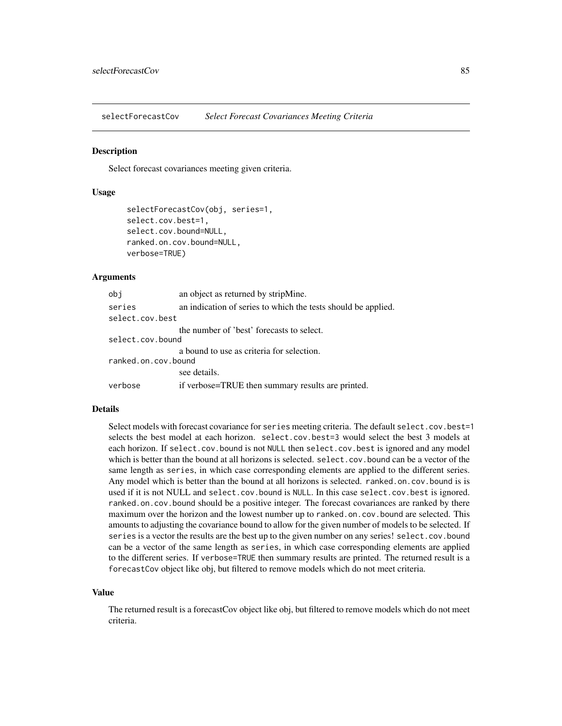selectForecastCov *Select Forecast Covariances Meeting Criteria*

#### Description

Select forecast covariances meeting given criteria.

### Usage

```
selectForecastCov(obj, series=1,
select.cov.best=1,
select.cov.bound=NULL,
ranked.on.cov.bound=NULL,
verbose=TRUE)
```
#### Arguments

| obj                 | an object as returned by stripMine.                           |
|---------------------|---------------------------------------------------------------|
| series              | an indication of series to which the tests should be applied. |
| select.cov.best     |                                                               |
|                     | the number of 'best' forecasts to select.                     |
| select.cov.bound    |                                                               |
|                     | a bound to use as criteria for selection.                     |
| ranked.on.cov.bound |                                                               |
|                     | see details.                                                  |
| verbose             | if verbose=TRUE then summary results are printed.             |

### Details

Select models with forecast covariance for series meeting criteria. The default select.cov.best=1 selects the best model at each horizon. select.cov.best=3 would select the best 3 models at each horizon. If select.cov.bound is not NULL then select.cov.best is ignored and any model which is better than the bound at all horizons is selected. select.cov.bound can be a vector of the same length as series, in which case corresponding elements are applied to the different series. Any model which is better than the bound at all horizons is selected. ranked.on.cov.bound is is used if it is not NULL and select.cov.bound is NULL. In this case select.cov.best is ignored. ranked.on.cov.bound should be a positive integer. The forecast covariances are ranked by there maximum over the horizon and the lowest number up to ranked.on.cov.bound are selected. This amounts to adjusting the covariance bound to allow for the given number of models to be selected. If series is a vector the results are the best up to the given number on any series! select.cov.bound can be a vector of the same length as series, in which case corresponding elements are applied to the different series. If verbose=TRUE then summary results are printed. The returned result is a forecastCov object like obj, but filtered to remove models which do not meet criteria.

#### Value

The returned result is a forecastCov object like obj, but filtered to remove models which do not meet criteria.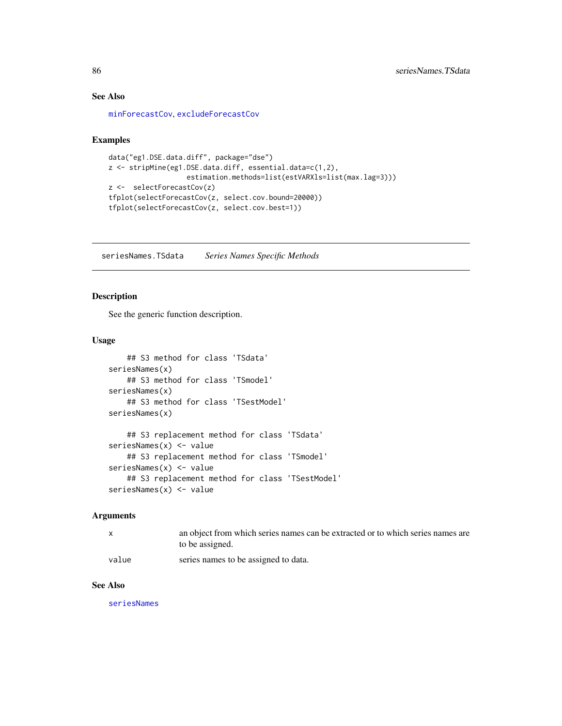## See Also

[minForecastCov](#page-62-0), [excludeForecastCov](#page-35-0)

### Examples

```
data("eg1.DSE.data.diff", package="dse")
z <- stripMine(eg1.DSE.data.diff, essential.data=c(1,2),
                   estimation.methods=list(estVARXls=list(max.lag=3)))
z <- selectForecastCov(z)
tfplot(selectForecastCov(z, select.cov.bound=20000))
tfplot(selectForecastCov(z, select.cov.best=1))
```
seriesNames.TSdata *Series Names Specific Methods*

## Description

See the generic function description.

# Usage

```
## S3 method for class 'TSdata'
seriesNames(x)
    ## S3 method for class 'TSmodel'
seriesNames(x)
    ## S3 method for class 'TSestModel'
seriesNames(x)
    ## S3 replacement method for class 'TSdata'
seriesNames(x) <- value
    ## S3 replacement method for class 'TSmodel'
seriesNames(x) <- value
    ## S3 replacement method for class 'TSestModel'
seriesNames(x) <- value
```
#### Arguments

|       | an object from which series names can be extracted or to which series names are<br>to be assigned. |
|-------|----------------------------------------------------------------------------------------------------|
| value | series names to be assigned to data.                                                               |

### See Also

[seriesNames](#page-0-0)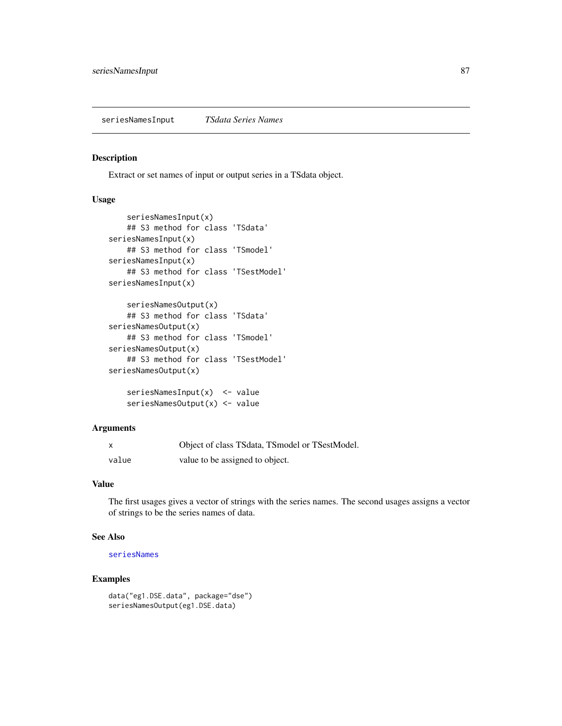Extract or set names of input or output series in a TSdata object.

## Usage

```
seriesNamesInput(x)
    ## S3 method for class 'TSdata'
seriesNamesInput(x)
    ## S3 method for class 'TSmodel'
seriesNamesInput(x)
    ## S3 method for class 'TSestModel'
seriesNamesInput(x)
    seriesNamesOutput(x)
    ## S3 method for class 'TSdata'
seriesNamesOutput(x)
    ## S3 method for class 'TSmodel'
seriesNamesOutput(x)
    ## S3 method for class 'TSestModel'
seriesNamesOutput(x)
    seriesNamesInput(x) <- value
    seriesNamesOutput(x) <- value
```
# Arguments

| x     | Object of class TSdata, TSmodel or TSestModel. |
|-------|------------------------------------------------|
| value | value to be assigned to object.                |

## Value

The first usages gives a vector of strings with the series names. The second usages assigns a vector of strings to be the series names of data.

### See Also

# [seriesNames](#page-0-0)

```
data("eg1.DSE.data", package="dse")
seriesNamesOutput(eg1.DSE.data)
```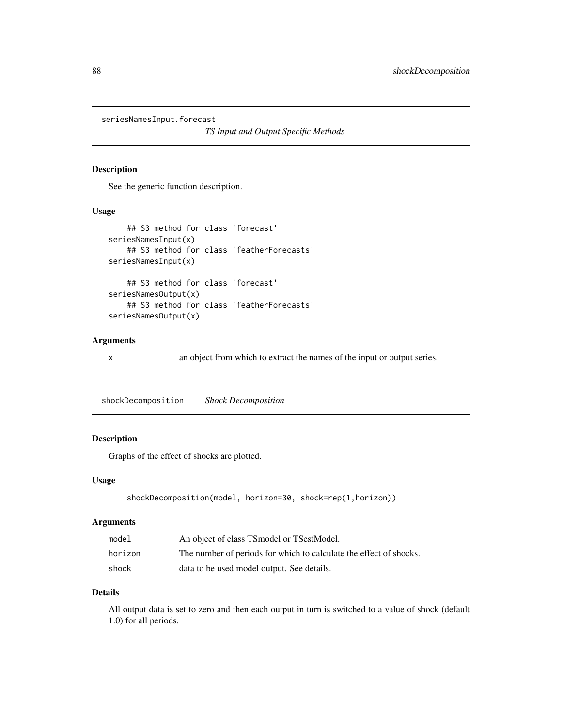seriesNamesInput.forecast

*TS Input and Output Specific Methods*

### Description

See the generic function description.

## Usage

```
## S3 method for class 'forecast'
seriesNamesInput(x)
    ## S3 method for class 'featherForecasts'
seriesNamesInput(x)
    ## S3 method for class 'forecast'
seriesNamesOutput(x)
    ## S3 method for class 'featherForecasts'
seriesNamesOutput(x)
```
# Arguments

x an object from which to extract the names of the input or output series.

shockDecomposition *Shock Decomposition*

# Description

Graphs of the effect of shocks are plotted.

# Usage

```
shockDecomposition(model, horizon=30, shock=rep(1,horizon))
```
## Arguments

| model   | An object of class TSmodel or TSestModel.                          |
|---------|--------------------------------------------------------------------|
| horizon | The number of periods for which to calculate the effect of shocks. |
| shock   | data to be used model output. See details.                         |

### Details

All output data is set to zero and then each output in turn is switched to a value of shock (default 1.0) for all periods.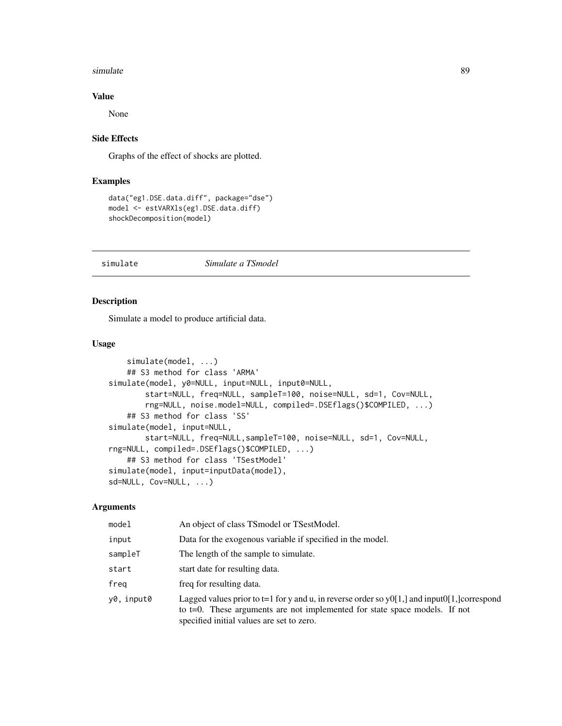#### simulate 89

## Value

None

# Side Effects

Graphs of the effect of shocks are plotted.

# Examples

```
data("eg1.DSE.data.diff", package="dse")
model <- estVARXls(eg1.DSE.data.diff)
shockDecomposition(model)
```
#### simulate *Simulate a TSmodel*

# <span id="page-88-0"></span>Description

Simulate a model to produce artificial data.

### Usage

```
simulate(model, ...)
    ## S3 method for class 'ARMA'
simulate(model, y0=NULL, input=NULL, input0=NULL,
        start=NULL, freq=NULL, sampleT=100, noise=NULL, sd=1, Cov=NULL,
       rng=NULL, noise.model=NULL, compiled=.DSEflags()$COMPILED, ...)
    ## S3 method for class 'SS'
simulate(model, input=NULL,
       start=NULL, freq=NULL,sampleT=100, noise=NULL, sd=1, Cov=NULL,
rng=NULL, compiled=.DSEflags()$COMPILED, ...)
   ## S3 method for class 'TSestModel'
simulate(model, input=inputData(model),
sd=NULL, Cov=NULL, ...)
```
## Arguments

| model      | An object of class TSmodel or TSestModel.                                                                                                                                                                               |
|------------|-------------------------------------------------------------------------------------------------------------------------------------------------------------------------------------------------------------------------|
| input      | Data for the exogenous variable if specified in the model.                                                                                                                                                              |
| sampleT    | The length of the sample to simulate.                                                                                                                                                                                   |
| start      | start date for resulting data.                                                                                                                                                                                          |
| freg       | freq for resulting data.                                                                                                                                                                                                |
| y0, input0 | Lagged values prior to t=1 for y and u, in reverse order so y0[1,] and input0[1,] correspond<br>to t=0. These arguments are not implemented for state space models. If not<br>specified initial values are set to zero. |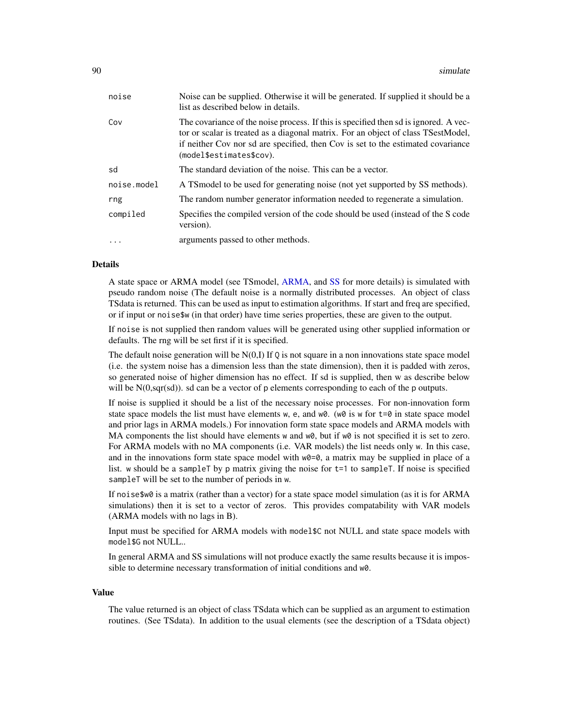| noise       | Noise can be supplied. Otherwise it will be generated. If supplied it should be a<br>list as described below in details.                                                                                                                                                                  |
|-------------|-------------------------------------------------------------------------------------------------------------------------------------------------------------------------------------------------------------------------------------------------------------------------------------------|
| Cov         | The covariance of the noise process. If this is specified then sd is ignored. A vec-<br>tor or scalar is treated as a diagonal matrix. For an object of class TSestModel,<br>if neither Cov nor sd are specified, then Cov is set to the estimated covariance<br>(model\$estimates\$cov). |
| sd          | The standard deviation of the noise. This can be a vector.                                                                                                                                                                                                                                |
| noise.model | A TS model to be used for generating noise (not yet supported by SS methods).                                                                                                                                                                                                             |
| rng         | The random number generator information needed to regenerate a simulation.                                                                                                                                                                                                                |
| compiled    | Specifies the compiled version of the code should be used (instead of the S code<br>version).                                                                                                                                                                                             |
| $\cdot$     | arguments passed to other methods.                                                                                                                                                                                                                                                        |

### Details

A state space or ARMA model (see TSmodel, [ARMA,](#page-6-0) and [SS](#page-92-0) for more details) is simulated with pseudo random noise (The default noise is a normally distributed processes. An object of class TSdata is returned. This can be used as input to estimation algorithms. If start and freq are specified, or if input or noise\$w (in that order) have time series properties, these are given to the output.

If noise is not supplied then random values will be generated using other supplied information or defaults. The rng will be set first if it is specified.

The default noise generation will be  $N(0,I)$  If Q is not square in a non innovations state space model (i.e. the system noise has a dimension less than the state dimension), then it is padded with zeros, so generated noise of higher dimension has no effect. If sd is supplied, then w as describe below will be  $N(0, \text{sqrt}(sd))$ . sd can be a vector of p elements corresponding to each of the p outputs.

If noise is supplied it should be a list of the necessary noise processes. For non-innovation form state space models the list must have elements w, e, and  $w0$ . (w0 is w for  $t=0$  in state space model and prior lags in ARMA models.) For innovation form state space models and ARMA models with MA components the list should have elements w and  $w\varnothing$ , but if  $w\varnothing$  is not specified it is set to zero. For ARMA models with no MA components (i.e. VAR models) the list needs only w. In this case, and in the innovations form state space model with  $w=0$ , a matrix may be supplied in place of a list. w should be a sampleT by p matrix giving the noise for t=1 to sampleT. If noise is specified sampleT will be set to the number of periods in w.

If noise\$w0 is a matrix (rather than a vector) for a state space model simulation (as it is for ARMA simulations) then it is set to a vector of zeros. This provides compatability with VAR models (ARMA models with no lags in B).

Input must be specified for ARMA models with model\$C not NULL and state space models with model\$G not NULL..

In general ARMA and SS simulations will not produce exactly the same results because it is impossible to determine necessary transformation of initial conditions and w0.

#### Value

The value returned is an object of class TSdata which can be supplied as an argument to estimation routines. (See TSdata). In addition to the usual elements (see the description of a TSdata object)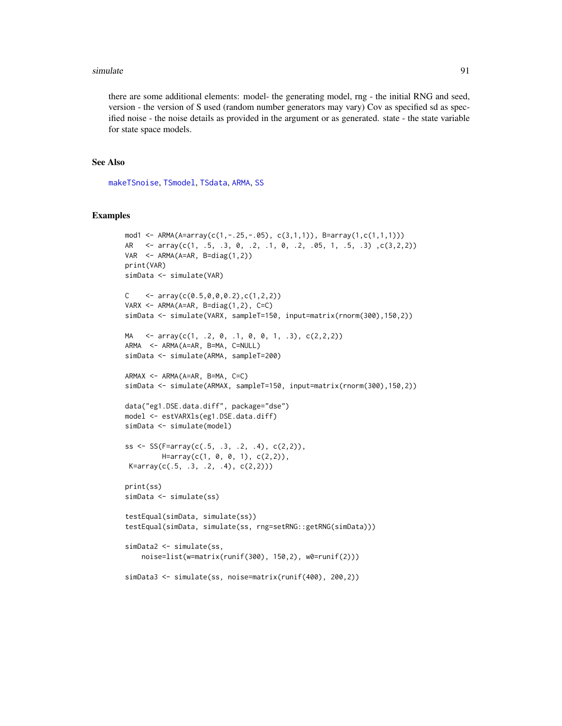#### simulate 91

there are some additional elements: model- the generating model, rng - the initial RNG and seed, version - the version of S used (random number generators may vary) Cov as specified sd as specified noise - the noise details as provided in the argument or as generated. state - the state variable for state space models.

### See Also

[makeTSnoise](#page-0-0), [TSmodel](#page-118-0), [TSdata](#page-115-0), [ARMA](#page-6-0), [SS](#page-92-0)

```
mod1 <- ARMA(A=array(c(1,-.25,-.05), c(3,1,1)), B=array(1,c(1,1,1)))
AR <- array(c(1, .5, .3, 0, .2, .1, 0, .2, .05, 1, .5, .3), c(3,2,2))
VAR <- ARMA(A=AR, B=diag(1,2))
print(VAR)
simData <- simulate(VAR)
C \leftarrow array(c(0.5,0,0,0.2),c(1,2,2))
VARX \leq ARMA(A=AR, B=diag(1,2), C=C)
simData <- simulate(VARX, sampleT=150, input=matrix(rnorm(300),150,2))
MA \leq array(c(1, .2, 0, .1, 0, 0, 1, .3), c(2,2,2))
ARMA <- ARMA(A=AR, B=MA, C=NULL)
simData <- simulate(ARMA, sampleT=200)
ARMAX <- ARMA(A=AR, B=MA, C=C)
simData <- simulate(ARMAX, sampleT=150, input=matrix(rnorm(300),150,2))
data("eg1.DSE.data.diff", package="dse")
model <- estVARXls(eg1.DSE.data.diff)
simData <- simulate(model)
ss <- SS(F=array(c(.5, .3, .2, .4), c(2,2)),H=array(c(1, 0, 0, 1), c(2,2)),K=array(c(.5, .3, .2, .4), c(2,2)))
print(ss)
simData <- simulate(ss)
testEqual(simData, simulate(ss))
testEqual(simData, simulate(ss, rng=setRNG::getRNG(simData)))
simData2 <- simulate(ss,
    noise=list(w=matrix(runif(300), 150,2), w0=runif(2)))
simData3 <- simulate(ss, noise=matrix(runif(400), 200,2))
```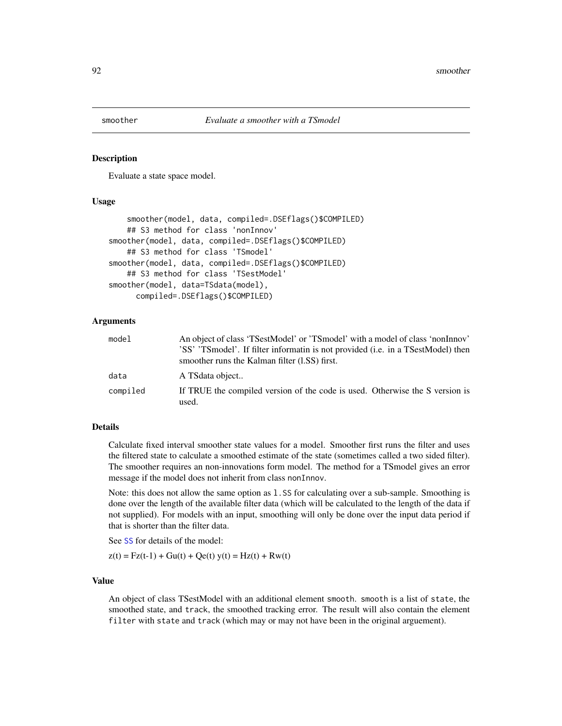<span id="page-91-0"></span>

Evaluate a state space model.

# Usage

```
smoother(model, data, compiled=.DSEflags()$COMPILED)
    ## S3 method for class 'nonInnov'
smoother(model, data, compiled=.DSEflags()$COMPILED)
    ## S3 method for class 'TSmodel'
smoother(model, data, compiled=.DSEflags()$COMPILED)
    ## S3 method for class 'TSestModel'
smoother(model, data=TSdata(model),
     compiled=.DSEflags()$COMPILED)
```
## Arguments

| model    | An object of class 'TSestModel' or 'TSmodel' with a model of class 'nonInnov'<br>'SS' 'TSmodel'. If filter informatin is not provided ( <i>i.e.</i> in a TSestModel) then<br>smoother runs the Kalman filter (1.SS) first. |
|----------|----------------------------------------------------------------------------------------------------------------------------------------------------------------------------------------------------------------------------|
| data     | A TS data object                                                                                                                                                                                                           |
| compiled | If TRUE the compiled version of the code is used. Otherwise the S version is<br>used.                                                                                                                                      |

#### Details

Calculate fixed interval smoother state values for a model. Smoother first runs the filter and uses the filtered state to calculate a smoothed estimate of the state (sometimes called a two sided filter). The smoother requires an non-innovations form model. The method for a TSmodel gives an error message if the model does not inherit from class nonInnov.

Note: this does not allow the same option as l.SS for calculating over a sub-sample. Smoothing is done over the length of the available filter data (which will be calculated to the length of the data if not supplied). For models with an input, smoothing will only be done over the input data period if that is shorter than the filter data.

See [SS](#page-92-0) for details of the model:

 $z(t) = Fz(t-1) + Gu(t) + Qe(t)$  y(t) = Hz(t) + Rw(t)

### Value

An object of class TSestModel with an additional element smooth. smooth is a list of state, the smoothed state, and track, the smoothed tracking error. The result will also contain the element filter with state and track (which may or may not have been in the original arguement).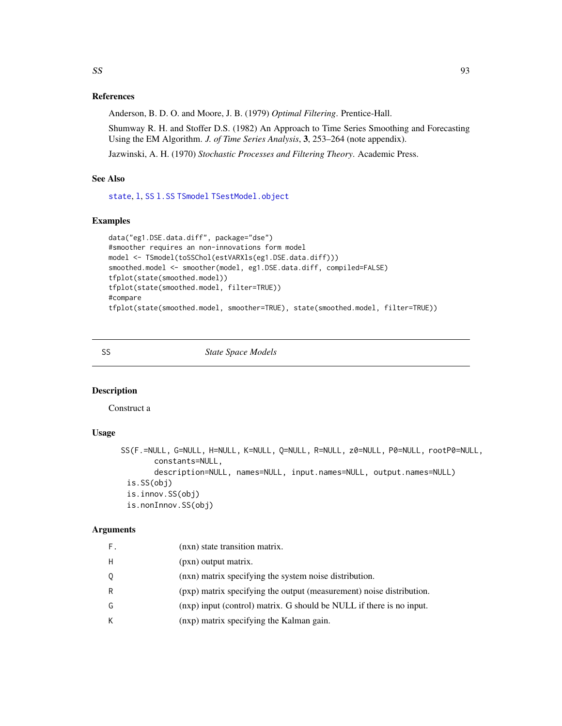# References

Anderson, B. D. O. and Moore, J. B. (1979) *Optimal Filtering*. Prentice-Hall.

Shumway R. H. and Stoffer D.S. (1982) An Approach to Time Series Smoothing and Forecasting Using the EM Algorithm. *J. of Time Series Analysis*, 3, 253–264 (note appendix).

Jazwinski, A. H. (1970) *Stochastic Processes and Filtering Theory*. Academic Press.

# See Also

[state](#page-95-0), [l](#page-55-0), [SS](#page-92-0) [l.SS](#page-58-0) [TSmodel](#page-118-0) [TSestModel.object](#page-117-0)

### Examples

```
data("eg1.DSE.data.diff", package="dse")
#smoother requires an non-innovations form model
model <- TSmodel(toSSChol(estVARXls(eg1.DSE.data.diff)))
smoothed.model <- smoother(model, eg1.DSE.data.diff, compiled=FALSE)
tfplot(state(smoothed.model))
tfplot(state(smoothed.model, filter=TRUE))
#compare
tfplot(state(smoothed.model, smoother=TRUE), state(smoothed.model, filter=TRUE))
```
<span id="page-92-0"></span>

SS *State Space Models*

# Description

Construct a

# Usage

```
SS(F.=NULL, G=NULL, H=NULL, K=NULL, Q=NULL, R=NULL, z0=NULL, P0=NULL, rootP0=NULL,
       constants=NULL,
       description=NULL, names=NULL, input.names=NULL, output.names=NULL)
 is.SS(obj)
 is.innov.SS(obj)
 is.nonInnov.SS(obj)
```
## Arguments

| F. | (nxn) state transition matrix.                                       |
|----|----------------------------------------------------------------------|
| H  | (pxn) output matrix.                                                 |
| Q  | (nxn) matrix specifying the system noise distribution.               |
| R  | (pxp) matrix specifying the output (measurement) noise distribution. |
| G  | (nxp) input (control) matrix. G should be NULL if there is no input. |
| K. | (nxp) matrix specifying the Kalman gain.                             |
|    |                                                                      |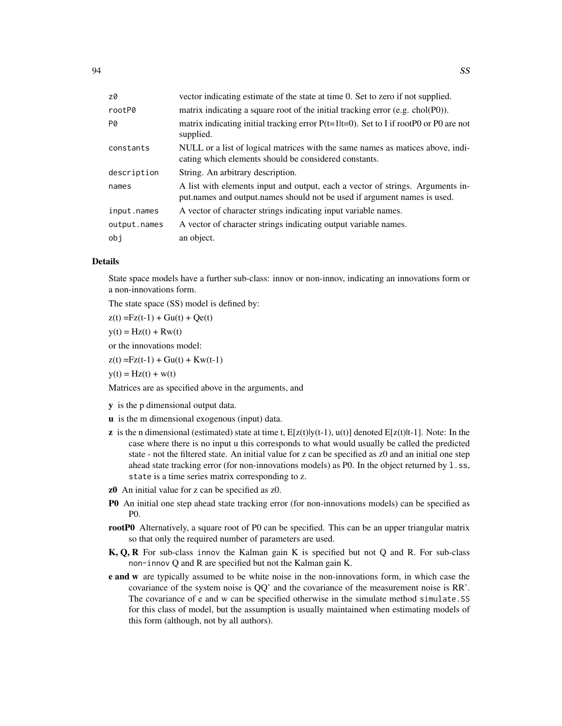| z0           | vector indicating estimate of the state at time 0. Set to zero if not supplied.                                                                            |
|--------------|------------------------------------------------------------------------------------------------------------------------------------------------------------|
| rootP0       | matrix indicating a square root of the initial tracking error (e.g. chol $(P0)$ ).                                                                         |
| P0           | matrix indicating initial tracking error $P(t=1 t=0)$ . Set to I if rootP0 or P0 are not<br>supplied.                                                      |
| constants    | NULL or a list of logical matrices with the same names as matices above, indi-<br>cating which elements should be considered constants.                    |
| description  | String. An arbitrary description.                                                                                                                          |
| names        | A list with elements input and output, each a vector of strings. Arguments in-<br>put names and output names should not be used if argument names is used. |
| input.names  | A vector of character strings indicating input variable names.                                                                                             |
| output.names | A vector of character strings indicating output variable names.                                                                                            |
| obj          | an object.                                                                                                                                                 |

# Details

State space models have a further sub-class: innov or non-innov, indicating an innovations form or a non-innovations form.

The state space (SS) model is defined by:

 $z(t) = Fz(t-1) + Gu(t) + Qe(t)$ 

 $y(t) = Hz(t) + Rw(t)$ 

or the innovations model:

 $z(t) = Fz(t-1) + Gu(t) + Kw(t-1)$ 

 $y(t) = Hz(t) + w(t)$ 

Matrices are as specified above in the arguments, and

y is the p dimensional output data.

- u is the m dimensional exogenous (input) data.
- **z** is the n dimensional (estimated) state at time t,  $E[z(t)](t-1)$ ,  $u(t)$ ] denoted  $E[z(t)]t-1$ . Note: In the case where there is no input u this corresponds to what would usually be called the predicted state - not the filtered state. An initial value for z can be specified as z0 and an initial one step ahead state tracking error (for non-innovations models) as P0. In the object returned by 1.ss, state is a time series matrix corresponding to z.
- z0 An initial value for z can be specified as z0.
- P0 An initial one step ahead state tracking error (for non-innovations models) can be specified as P0.
- rootP0 Alternatively, a square root of P0 can be specified. This can be an upper triangular matrix so that only the required number of parameters are used.
- K, Q, R For sub-class innov the Kalman gain K is specified but not Q and R. For sub-class non-innov Q and R are specified but not the Kalman gain K.
- **e and w** are typically assumed to be white noise in the non-innovations form, in which case the covariance of the system noise is QQ' and the covariance of the measurement noise is RR'. The covariance of e and w can be specified otherwise in the simulate method simulate.SS for this class of model, but the assumption is usually maintained when estimating models of this form (although, not by all authors).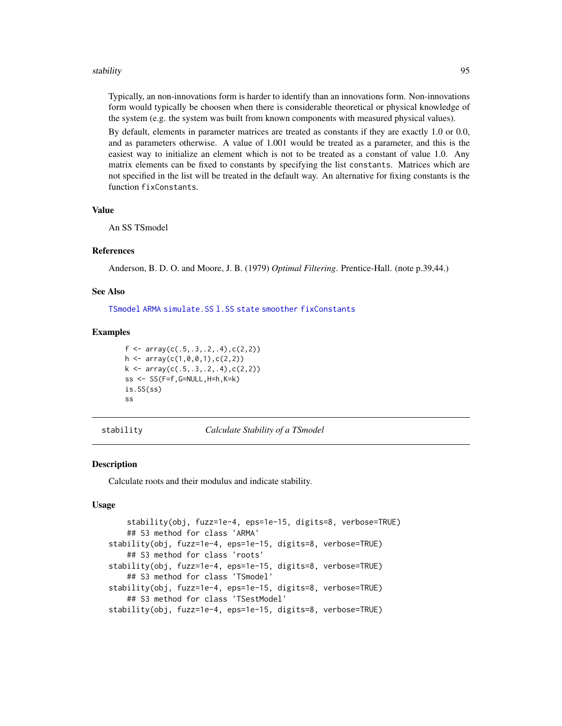#### stability 55 and 35 and 35 and 35 and 35 and 35 and 35 and 35 and 35 and 35 and 35 and 35 and 35 and 35 and 35

Typically, an non-innovations form is harder to identify than an innovations form. Non-innovations form would typically be choosen when there is considerable theoretical or physical knowledge of the system (e.g. the system was built from known components with measured physical values).

By default, elements in parameter matrices are treated as constants if they are exactly 1.0 or 0.0, and as parameters otherwise. A value of 1.001 would be treated as a parameter, and this is the easiest way to initialize an element which is not to be treated as a constant of value 1.0. Any matrix elements can be fixed to constants by specifying the list constants. Matrices which are not specified in the list will be treated in the default way. An alternative for fixing constants is the function fixConstants.

### Value

An SS TSmodel

#### References

Anderson, B. D. O. and Moore, J. B. (1979) *Optimal Filtering*. Prentice-Hall. (note p.39,44.)

### See Also

[TSmodel](#page-118-0) [ARMA](#page-6-0) [simulate.SS](#page-88-0) [l.SS](#page-58-0) [state](#page-95-0) [smoother](#page-91-0) [fixConstants](#page-38-0)

### Examples

```
f \leftarrow \text{array}(c(.5,.3,.2,.4),c(2,2))h \leftarrow \text{array}(c(1, 0, 0, 1), c(2, 2))k \leftarrow \text{array}(c(.5,.3,.2,.4),c(2,2))ss <- SS(F=f,G=NULL,H=h,K=k)
is.SS(ss)
ss
```
<span id="page-94-0"></span>stability *Calculate Stability of a TSmodel*

#### Description

Calculate roots and their modulus and indicate stability.

#### Usage

```
stability(obj, fuzz=1e-4, eps=1e-15, digits=8, verbose=TRUE)
   ## S3 method for class 'ARMA'
stability(obj, fuzz=1e-4, eps=1e-15, digits=8, verbose=TRUE)
   ## S3 method for class 'roots'
stability(obj, fuzz=1e-4, eps=1e-15, digits=8, verbose=TRUE)
   ## S3 method for class 'TSmodel'
stability(obj, fuzz=1e-4, eps=1e-15, digits=8, verbose=TRUE)
    ## S3 method for class 'TSestModel'
stability(obj, fuzz=1e-4, eps=1e-15, digits=8, verbose=TRUE)
```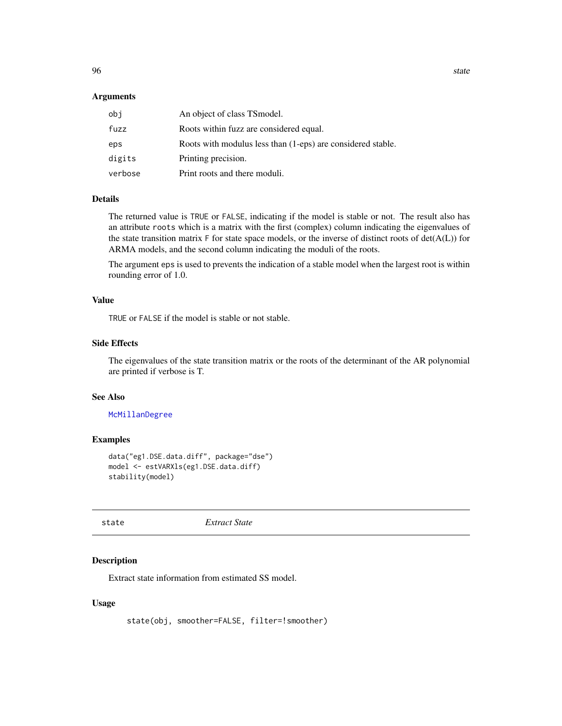#### **Arguments**

| obi     | An object of class TSmodel.                                 |
|---------|-------------------------------------------------------------|
| fuzz    | Roots within fuzz are considered equal.                     |
| eps     | Roots with modulus less than (1-eps) are considered stable. |
| digits  | Printing precision.                                         |
| verbose | Print roots and there moduli.                               |

### Details

The returned value is TRUE or FALSE, indicating if the model is stable or not. The result also has an attribute roots which is a matrix with the first (complex) column indicating the eigenvalues of the state transition matrix  $F$  for state space models, or the inverse of distinct roots of  $det(A(L))$  for ARMA models, and the second column indicating the moduli of the roots.

The argument eps is used to prevents the indication of a stable model when the largest root is within rounding error of 1.0.

#### Value

TRUE or FALSE if the model is stable or not stable.

### Side Effects

The eigenvalues of the state transition matrix or the roots of the determinant of the AR polynomial are printed if verbose is T.

#### See Also

[McMillanDegree](#page-61-0)

#### Examples

```
data("eg1.DSE.data.diff", package="dse")
model <- estVARXls(eg1.DSE.data.diff)
stability(model)
```
<span id="page-95-0"></span>state *Extract State*

#### Description

Extract state information from estimated SS model.

### Usage

state(obj, smoother=FALSE, filter=!smoother)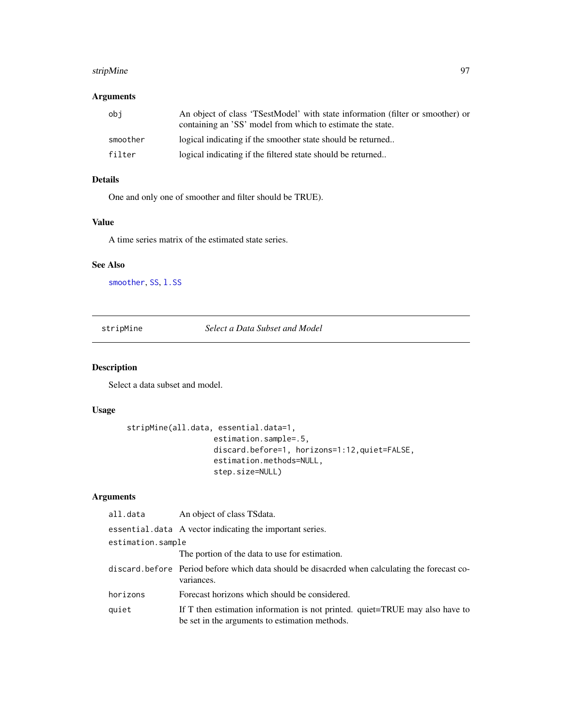#### stripMine 97 (97) 97 (97) 97 (97) 97 (97) 97 (97) 97 (97) 97 (97) 97 (97) 97 (97) 97 (97) 97 (97) 97 (97) 97 (97) 97

# Arguments

| obi      | An object of class 'TSestModel' with state information (filter or smoother) or<br>containing an 'SS' model from which to estimate the state. |
|----------|----------------------------------------------------------------------------------------------------------------------------------------------|
| smoother | logical indicating if the smoother state should be returned                                                                                  |
| filter   | logical indicating if the filtered state should be returned                                                                                  |

# Details

One and only one of smoother and filter should be TRUE).

# Value

A time series matrix of the estimated state series.

# See Also

[smoother](#page-91-0), [SS](#page-92-0), 1.SS

stripMine *Select a Data Subset and Model*

# Description

Select a data subset and model.

# Usage

```
stripMine(all.data, essential.data=1,
                   estimation.sample=.5,
                   discard.before=1, horizons=1:12,quiet=FALSE,
                   estimation.methods=NULL,
                   step.size=NULL)
```
# Arguments

| all.data          | An object of class TS data.                                                                                                    |
|-------------------|--------------------------------------------------------------------------------------------------------------------------------|
|                   | essential.data A vector indicating the important series.                                                                       |
| estimation.sample |                                                                                                                                |
|                   | The portion of the data to use for estimation.                                                                                 |
|                   | discard before Period before which data should be disacrded when calculating the forecast co-<br>variances.                    |
| horizons          | Forecast horizons which should be considered.                                                                                  |
| quiet             | If T then estimation information is not printed. quiet=TRUE may also have to<br>be set in the arguments to estimation methods. |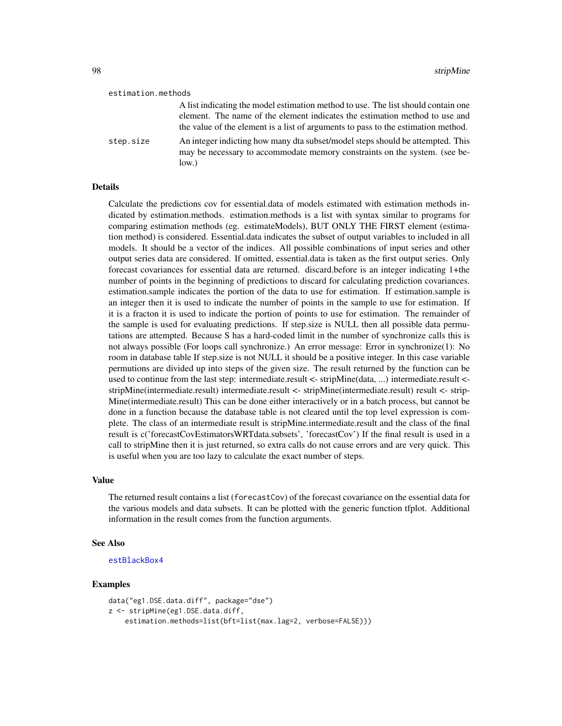#### estimation.methods

|           | A list indicating the model estimation method to use. The list should contain one                                                                                     |
|-----------|-----------------------------------------------------------------------------------------------------------------------------------------------------------------------|
|           | element. The name of the element indicates the estimation method to use and                                                                                           |
|           | the value of the element is a list of arguments to pass to the estimation method.                                                                                     |
| step.size | An integer indicting how many dta subset/model steps should be attempted. This<br>may be necessary to accommodate memory constraints on the system. (see be-<br>low.) |

#### Details

Calculate the predictions cov for essential.data of models estimated with estimation methods indicated by estimation.methods. estimation.methods is a list with syntax similar to programs for comparing estimation methods (eg. estimateModels), BUT ONLY THE FIRST element (estimation method) is considered. Essential.data indicates the subset of output variables to included in all models. It should be a vector of the indices. All possible combinations of input series and other output series data are considered. If omitted, essential.data is taken as the first output series. Only forecast covariances for essential data are returned. discard.before is an integer indicating 1+the number of points in the beginning of predictions to discard for calculating prediction covariances. estimation.sample indicates the portion of the data to use for estimation. If estimation.sample is an integer then it is used to indicate the number of points in the sample to use for estimation. If it is a fracton it is used to indicate the portion of points to use for estimation. The remainder of the sample is used for evaluating predictions. If step.size is NULL then all possible data permutations are attempted. Because S has a hard-coded limit in the number of synchronize calls this is not always possible (For loops call synchronize.) An error message: Error in synchronize(1): No room in database table If step.size is not NULL it should be a positive integer. In this case variable permutions are divided up into steps of the given size. The result returned by the function can be used to continue from the last step: intermediate.result <- stripMine(data, ...) intermediate.result < stripMine(intermediate.result) intermediate.result <- stripMine(intermediate.result) result <- strip-Mine(intermediate.result) This can be done either interactively or in a batch process, but cannot be done in a function because the database table is not cleared until the top level expression is complete. The class of an intermediate result is stripMine.intermediate.result and the class of the final result is c('forecastCovEstimatorsWRTdata.subsets', 'forecastCov') If the final result is used in a call to stripMine then it is just returned, so extra calls do not cause errors and are very quick. This is useful when you are too lazy to calculate the exact number of steps.

#### Value

The returned result contains a list (forecastCov) of the forecast covariance on the essential data for the various models and data subsets. It can be plotted with the generic function tfplot. Additional information in the result comes from the function arguments.

### See Also

#### [estBlackBox4](#page-24-0)

```
data("eg1.DSE.data.diff", package="dse")
z <- stripMine(eg1.DSE.data.diff,
    estimation.methods=list(bft=list(max.lag=2, verbose=FALSE)))
```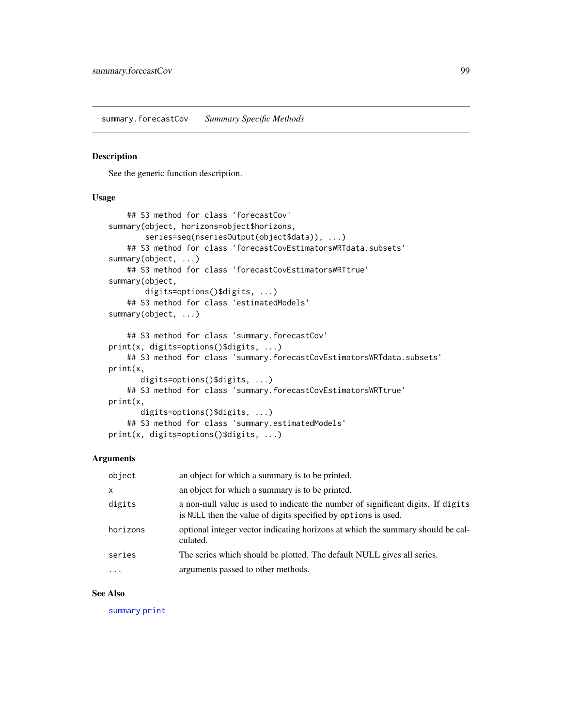summary.forecastCov *Summary Specific Methods*

### Description

See the generic function description.

### Usage

```
## S3 method for class 'forecastCov'
summary(object, horizons=object$horizons,
        series=seq(nseriesOutput(object$data)), ...)
    ## S3 method for class 'forecastCovEstimatorsWRTdata.subsets'
summary(object, ...)
   ## S3 method for class 'forecastCovEstimatorsWRTtrue'
summary(object,
       digits=options()$digits, ...)
    ## S3 method for class 'estimatedModels'
summary(object, ...)
    ## S3 method for class 'summary.forecastCov'
print(x, digits=options()$digits, ...)
   ## S3 method for class 'summary.forecastCovEstimatorsWRTdata.subsets'
print(x,
       digits=options()$digits, ...)
   ## S3 method for class 'summary.forecastCovEstimatorsWRTtrue'
print(x,
       digits=options()$digits, ...)
    ## S3 method for class 'summary.estimatedModels'
print(x, digits=options()$digits, ...)
```
# Arguments

| object       | an object for which a summary is to be printed.                                                                                                    |
|--------------|----------------------------------------------------------------------------------------------------------------------------------------------------|
| $\mathsf{x}$ | an object for which a summary is to be printed.                                                                                                    |
| digits       | a non-null value is used to indicate the number of significant digits. If digits<br>is NULL then the value of digits specified by options is used. |
| horizons     | optional integer vector indicating horizons at which the summary should be cal-<br>culated.                                                        |
| series       | The series which should be plotted. The default NULL gives all series.                                                                             |
| $\ddotsc$    | arguments passed to other methods.                                                                                                                 |

### See Also

[summary](#page-0-0) [print](#page-0-0)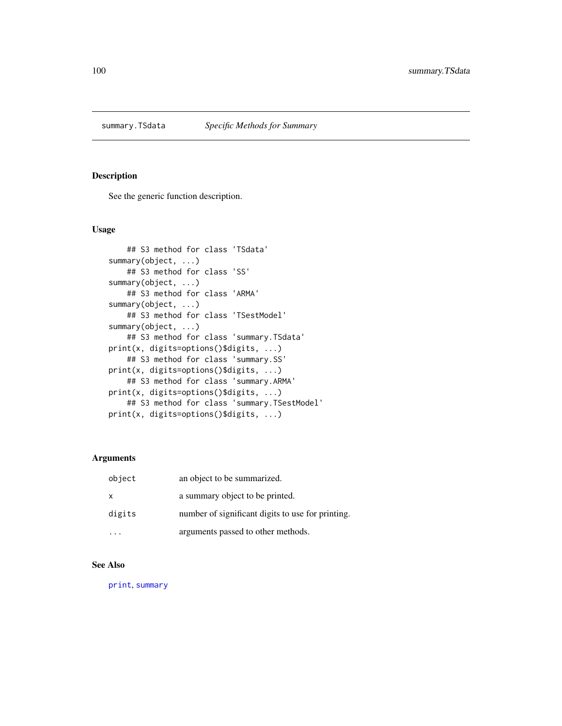See the generic function description.

### Usage

```
## S3 method for class 'TSdata'
summary(object, ...)
    ## S3 method for class 'SS'
summary(object, ...)
    ## S3 method for class 'ARMA'
summary(object, ...)
    ## S3 method for class 'TSestModel'
summary(object, ...)
    ## S3 method for class 'summary.TSdata'
print(x, digits=options()$digits, ...)
    ## S3 method for class 'summary.SS'
print(x, digits=options()$digits, ...)
    ## S3 method for class 'summary.ARMA'
print(x, digits=options()$digits, ...)
    ## S3 method for class 'summary.TSestModel'
print(x, digits=options()$digits, ...)
```
# Arguments

| object | an object to be summarized.                       |
|--------|---------------------------------------------------|
| X      | a summary object to be printed.                   |
| digits | number of significant digits to use for printing. |
|        | arguments passed to other methods.                |

# See Also

[print](#page-0-0), [summary](#page-0-0)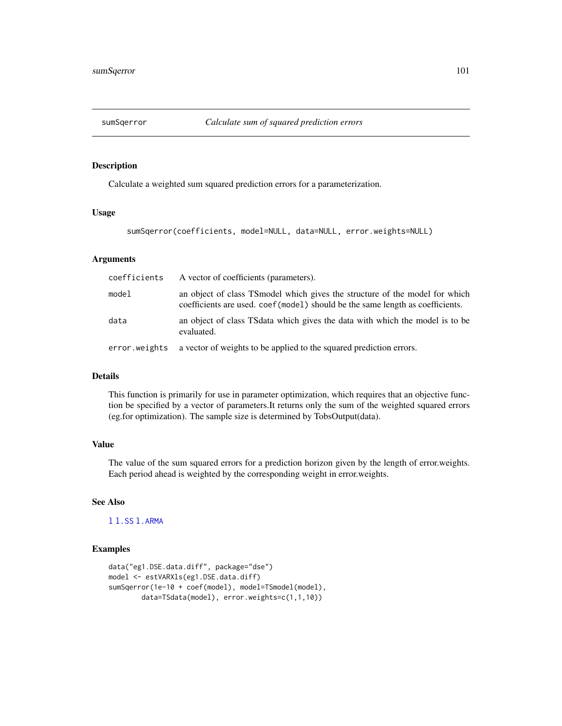Calculate a weighted sum squared prediction errors for a parameterization.

#### Usage

sumSqerror(coefficients, model=NULL, data=NULL, error.weights=NULL)

#### Arguments

| coefficients  | A vector of coefficients (parameters).                                                                                                                         |
|---------------|----------------------------------------------------------------------------------------------------------------------------------------------------------------|
| model         | an object of class TS model which gives the structure of the model for which<br>coefficients are used. coef (model) should be the same length as coefficients. |
| data          | an object of class TSdata which gives the data with which the model is to be<br>evaluated.                                                                     |
| error.weights | a vector of weights to be applied to the squared prediction errors.                                                                                            |

## Details

This function is primarily for use in parameter optimization, which requires that an objective function be specified by a vector of parameters.It returns only the sum of the weighted squared errors (eg.for optimization). The sample size is determined by TobsOutput(data).

# Value

The value of the sum squared errors for a prediction horizon given by the length of error.weights. Each period ahead is weighted by the corresponding weight in error.weights.

# See Also

[l](#page-55-0) [l.SS](#page-58-0) [l.ARMA](#page-56-0)

```
data("eg1.DSE.data.diff", package="dse")
model <- estVARXls(eg1.DSE.data.diff)
sumSqerror(1e-10 + coef(model), model=TSmodel(model),
       data=TSdata(model), error.weights=c(1,1,10))
```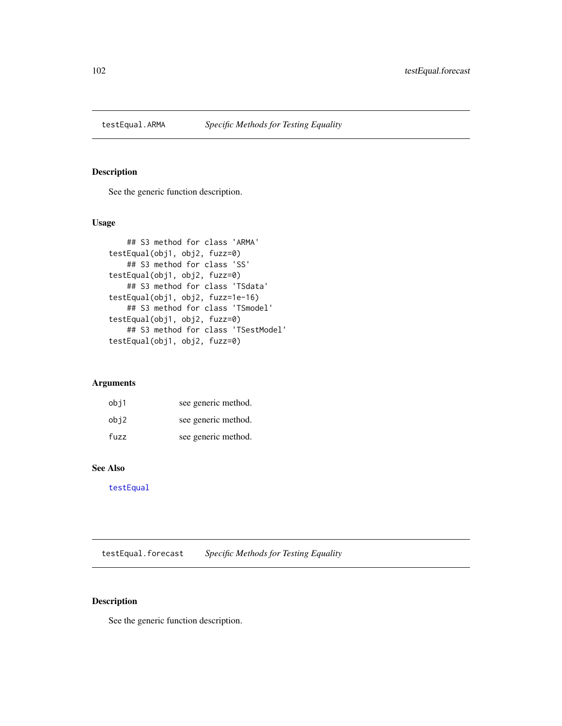See the generic function description.

# Usage

```
## S3 method for class 'ARMA'
testEqual(obj1, obj2, fuzz=0)
   ## S3 method for class 'SS'
testEqual(obj1, obj2, fuzz=0)
   ## S3 method for class 'TSdata'
testEqual(obj1, obj2, fuzz=1e-16)
   ## S3 method for class 'TSmodel'
testEqual(obj1, obj2, fuzz=0)
   ## S3 method for class 'TSestModel'
testEqual(obj1, obj2, fuzz=0)
```
# Arguments

| obj1 | see generic method. |
|------|---------------------|
| obj2 | see generic method. |
| fuzz | see generic method. |

# See Also

[testEqual](#page-0-0)

testEqual.forecast *Specific Methods for Testing Equality*

## Description

See the generic function description.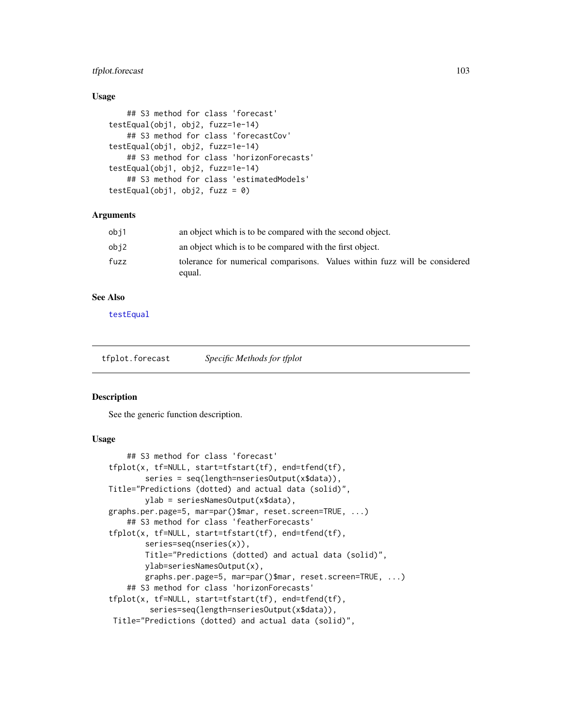# tfplot.forecast 103

### Usage

```
## S3 method for class 'forecast'
testEqual(obj1, obj2, fuzz=1e-14)
    ## S3 method for class 'forecastCov'
testEqual(obj1, obj2, fuzz=1e-14)
    ## S3 method for class 'horizonForecasts'
testEqual(obj1, obj2, fuzz=1e-14)
    ## S3 method for class 'estimatedModels'
testEqual(obj1, obj2, fuzz = 0)
```
### Arguments

| obj1 | an object which is to be compared with the second object.                            |
|------|--------------------------------------------------------------------------------------|
| obj2 | an object which is to be compared with the first object.                             |
| fuzz | tolerance for numerical comparisons. Values within fuzz will be considered<br>equal. |

## See Also

[testEqual](#page-0-0)

tfplot.forecast *Specific Methods for tfplot*

#### Description

See the generic function description.

### Usage

```
## S3 method for class 'forecast'
tfplot(x, tf=NULL, start=tfstart(tf), end=tfend(tf),
        series = seq(length=nseriesOutput(x$data)),
Title="Predictions (dotted) and actual data (solid)",
       ylab = seriesNamesOutput(x$data),
graphs.per.page=5, mar=par()$mar, reset.screen=TRUE, ...)
    ## S3 method for class 'featherForecasts'
tfplot(x, tf=NULL, start=tfstart(tf), end=tfend(tf),
       series=seq(nseries(x)),
       Title="Predictions (dotted) and actual data (solid)",
       ylab=seriesNamesOutput(x),
       graphs.per.page=5, mar=par()$mar, reset.screen=TRUE, ...)
    ## S3 method for class 'horizonForecasts'
tfplot(x, tf=NULL, start=tfstart(tf), end=tfend(tf),
         series=seq(length=nseriesOutput(x$data)),
Title="Predictions (dotted) and actual data (solid)",
```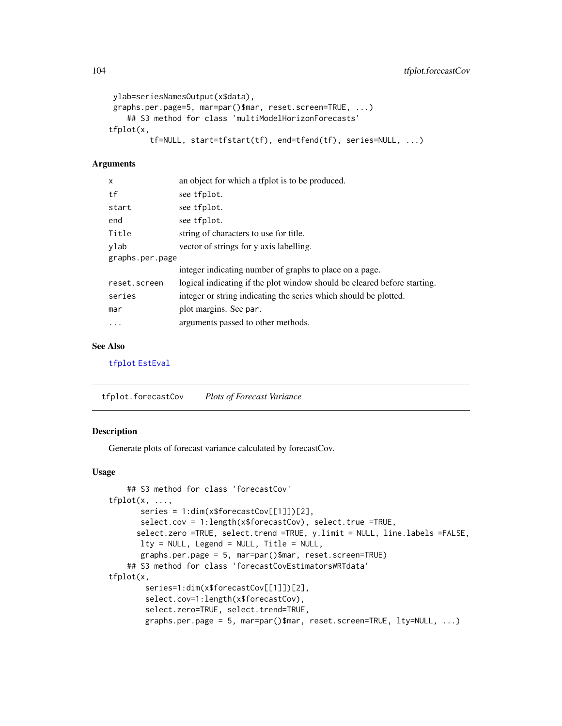```
ylab=seriesNamesOutput(x$data),
graphs.per.page=5, mar=par()$mar, reset.screen=TRUE, ...)
   ## S3 method for class 'multiModelHorizonForecasts'
tfplot(x,
         tf=NULL, start=tfstart(tf), end=tfend(tf), series=NULL, ...)
```
### Arguments

| X               | an object for which a tfplot is to be produced.                          |
|-----------------|--------------------------------------------------------------------------|
| tf              | see tfplot.                                                              |
| start           | see tfplot.                                                              |
| end             | see tfplot.                                                              |
| Title           | string of characters to use for title.                                   |
| ylab            | vector of strings for y axis labelling.                                  |
| graphs.per.page |                                                                          |
|                 | integer indicating number of graphs to place on a page.                  |
| reset.screen    | logical indicating if the plot window should be cleared before starting. |
| series          | integer or string indicating the series which should be plotted.         |
| mar             | plot margins. See par.                                                   |
| .               | arguments passed to other methods.                                       |

### See Also

[tfplot](#page-0-0) [EstEval](#page-0-0)

tfplot.forecastCov *Plots of Forecast Variance*

## Description

Generate plots of forecast variance calculated by forecastCov.

### Usage

```
## S3 method for class 'forecastCov'
tfplot(x, ...,
      series = 1:dim(x$forecastCov[[1]])[2],
       select.cov = 1:length(x$forecastCov), select.true =TRUE,
      select.zero =TRUE, select.trend =TRUE, y.limit = NULL, line.labels =FALSE,
      lty = NULL, Legend = NULL, Title = NULL,
       graphs.per.page = 5, mar=par()$mar, reset.screen=TRUE)
    ## S3 method for class 'forecastCovEstimatorsWRTdata'
tfplot(x,
       series=1:dim(x$forecastCov[[1]])[2],
       select.cov=1:length(x$forecastCov),
       select.zero=TRUE, select.trend=TRUE,
       graphs.per.page = 5, mar=par()$mar, reset.screen=TRUE, lty=NULL, ...)
```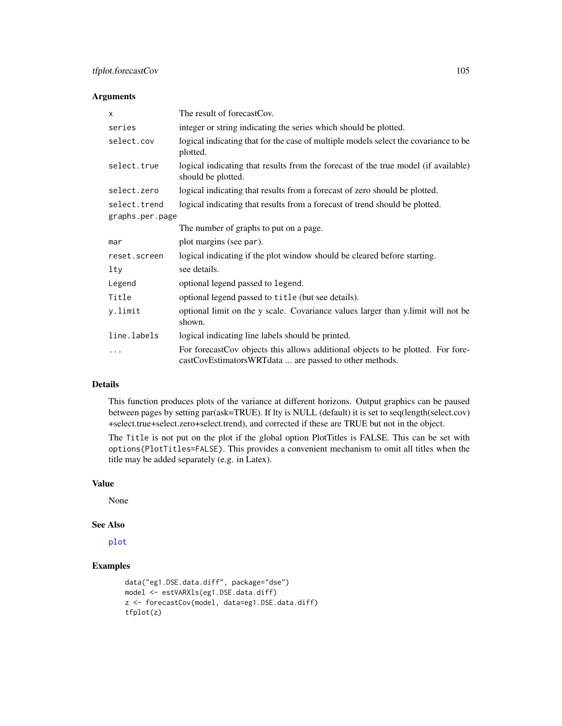# tfplot.forecastCov 105

## Arguments

| X               | The result of forecastCov.                                                                                                                |  |
|-----------------|-------------------------------------------------------------------------------------------------------------------------------------------|--|
| series          | integer or string indicating the series which should be plotted.                                                                          |  |
| select.cov      | logical indicating that for the case of multiple models select the covariance to be<br>plotted.                                           |  |
| select.true     | logical indicating that results from the forecast of the true model (if available)<br>should be plotted.                                  |  |
| select.zero     | logical indicating that results from a forecast of zero should be plotted.                                                                |  |
| select.trend    | logical indicating that results from a forecast of trend should be plotted.                                                               |  |
| graphs.per.page |                                                                                                                                           |  |
|                 | The number of graphs to put on a page.                                                                                                    |  |
| mar             | plot margins (see par).                                                                                                                   |  |
| reset.screen    | logical indicating if the plot window should be cleared before starting.                                                                  |  |
| $1$ ty          | see details.                                                                                                                              |  |
| Legend          | optional legend passed to legend.                                                                                                         |  |
| Title           | optional legend passed to title (but see details).                                                                                        |  |
| y.limit         | optional limit on the y scale. Covariance values larger than y.limit will not be<br>shown.                                                |  |
| line.labels     | logical indicating line labels should be printed.                                                                                         |  |
| $\cdots$        | For forecastCov objects this allows additional objects to be plotted. For fore-<br>castCovEstimatorsWRTdata  are passed to other methods. |  |

## Details

This function produces plots of the variance at different horizons. Output graphics can be paused between pages by setting par(ask=TRUE). If lty is NULL (default) it is set to seq(length(select.cov) +select.true+select.zero+select.trend), and corrected if these are TRUE but not in the object.

The Title is not put on the plot if the global option PlotTitles is FALSE. This can be set with options(PlotTitles=FALSE). This provides a convenient mechanism to omit all titles when the title may be added separately (e.g. in Latex).

## Value

None

### See Also

[plot](#page-0-0)

```
data("eg1.DSE.data.diff", package="dse")
model <- estVARXls(eg1.DSE.data.diff)
z <- forecastCov(model, data=eg1.DSE.data.diff)
tfplot(z)
```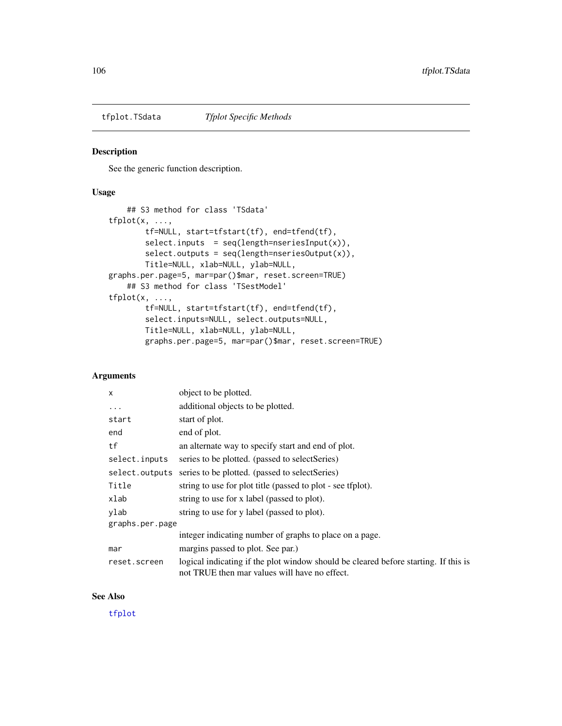See the generic function description.

# Usage

```
## S3 method for class 'TSdata'
tfplot(x, ...,
       tf=NULL, start=tfstart(tf), end=tfend(tf),
       select.inputs = seq(length=nseriesInput(x)),
       select.outputs = seq(length=nseriesOutput(x)),
       Title=NULL, xlab=NULL, ylab=NULL,
graphs.per.page=5, mar=par()$mar, reset.screen=TRUE)
   ## S3 method for class 'TSestModel'
tfplot(x, ...,
       tf=NULL, start=tfstart(tf), end=tfend(tf),
       select.inputs=NULL, select.outputs=NULL,
       Title=NULL, xlab=NULL, ylab=NULL,
       graphs.per.page=5, mar=par()$mar, reset.screen=TRUE)
```
# Arguments

| X               | object to be plotted.                                                                                                                |  |
|-----------------|--------------------------------------------------------------------------------------------------------------------------------------|--|
| .               | additional objects to be plotted.                                                                                                    |  |
| start           | start of plot.                                                                                                                       |  |
| end             | end of plot.                                                                                                                         |  |
| tf              | an alternate way to specify start and end of plot.                                                                                   |  |
| select.inputs   | series to be plotted. (passed to select Series)                                                                                      |  |
| select.outputs  | series to be plotted. (passed to selectSeries)                                                                                       |  |
| Title           | string to use for plot title (passed to plot - see tfplot).                                                                          |  |
| xlab            | string to use for x label (passed to plot).                                                                                          |  |
| ylab            | string to use for y label (passed to plot).                                                                                          |  |
| graphs.per.page |                                                                                                                                      |  |
|                 | integer indicating number of graphs to place on a page.                                                                              |  |
| mar             | margins passed to plot. See par.)                                                                                                    |  |
| reset.screen    | logical indicating if the plot window should be cleared before starting. If this is<br>not TRUE then mar values will have no effect. |  |

## See Also

[tfplot](#page-0-0)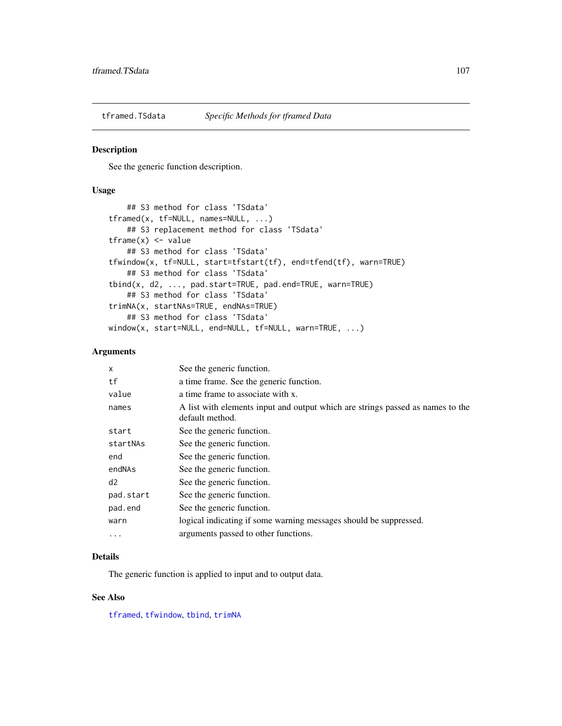See the generic function description.

### Usage

```
## S3 method for class 'TSdata'
tframed(x, tf=NULL, names=NULL, ...)
   ## S3 replacement method for class 'TSdata'
tframe(x) <- value
   ## S3 method for class 'TSdata'
tfwindow(x, tf=NULL, start=tfstart(tf), end=tfend(tf), warn=TRUE)
   ## S3 method for class 'TSdata'
tbind(x, d2, ..., pad.start=TRUE, pad.end=TRUE, warn=TRUE)
   ## S3 method for class 'TSdata'
trimNA(x, startNAs=TRUE, endNAs=TRUE)
   ## S3 method for class 'TSdata'
window(x, start=NULL, end=NULL, tf=NULL, warn=TRUE, ...)
```
### Arguments

| X         | See the generic function.                                                                         |
|-----------|---------------------------------------------------------------------------------------------------|
| tf        | a time frame. See the generic function.                                                           |
| value     | a time frame to associate with x.                                                                 |
| names     | A list with elements input and output which are strings passed as names to the<br>default method. |
| start     | See the generic function.                                                                         |
| startNAs  | See the generic function.                                                                         |
| end       | See the generic function.                                                                         |
| endNAs    | See the generic function.                                                                         |
| d2        | See the generic function.                                                                         |
| pad.start | See the generic function.                                                                         |
| pad.end   | See the generic function.                                                                         |
| warn      | logical indicating if some warning messages should be suppressed.                                 |
| $\ddotsc$ | arguments passed to other functions.                                                              |

#### Details

The generic function is applied to input and to output data.

#### See Also

[tframed](#page-0-0), [tfwindow](#page-0-0), [tbind](#page-0-0), [trimNA](#page-0-0)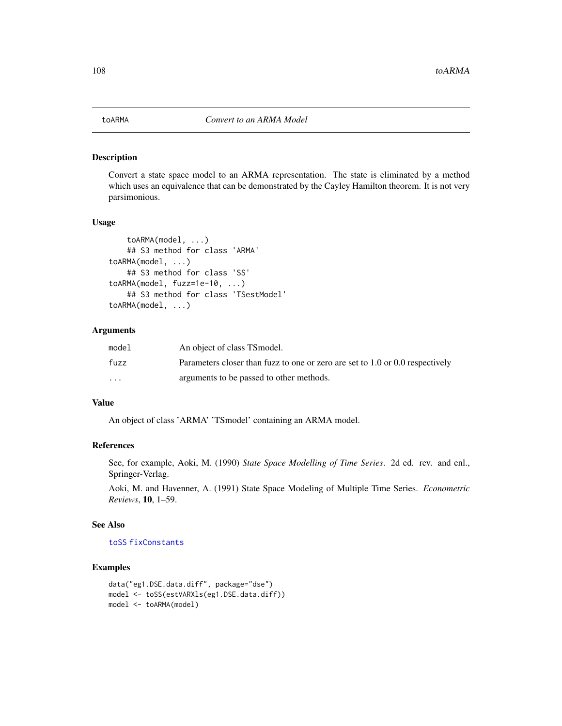Convert a state space model to an ARMA representation. The state is eliminated by a method which uses an equivalence that can be demonstrated by the Cayley Hamilton theorem. It is not very parsimonious.

### Usage

```
toARMA(model, ...)
    ## S3 method for class 'ARMA'
toARMA(model, ...)
    ## S3 method for class 'SS'
toARMA(model, fuzz=1e-10, ...)
    ## S3 method for class 'TSestModel'
toARMA(model, ...)
```
### Arguments

| model                   | An object of class TS model.                                                  |
|-------------------------|-------------------------------------------------------------------------------|
| fuzz                    | Parameters closer than fuzz to one or zero are set to 1.0 or 0.0 respectively |
| $\cdot$ $\cdot$ $\cdot$ | arguments to be passed to other methods.                                      |

## Value

An object of class 'ARMA' 'TSmodel' containing an ARMA model.

#### References

See, for example, Aoki, M. (1990) *State Space Modelling of Time Series*. 2d ed. rev. and enl., Springer-Verlag.

Aoki, M. and Havenner, A. (1991) State Space Modeling of Multiple Time Series. *Econometric Reviews*, 10, 1–59.

### See Also

### [toSS](#page-110-0) [fixConstants](#page-38-0)

```
data("eg1.DSE.data.diff", package="dse")
model <- toSS(estVARXls(eg1.DSE.data.diff))
model <- toARMA(model)
```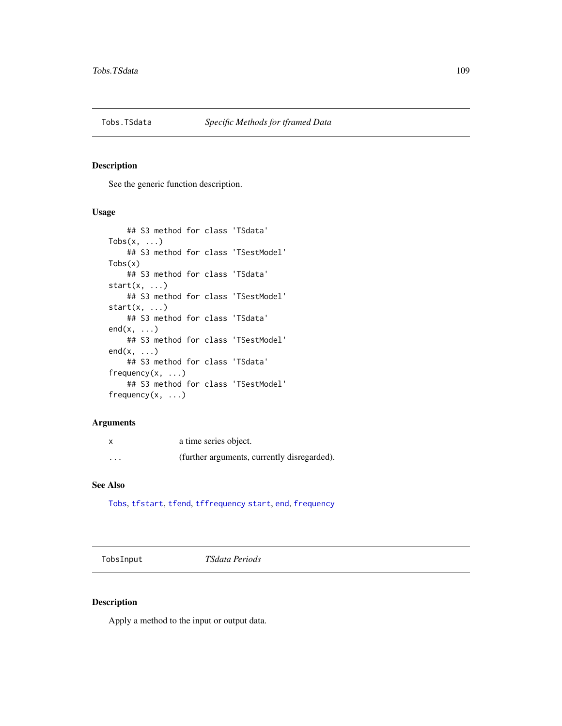<span id="page-108-0"></span>

# Description

See the generic function description.

# Usage

```
## S3 method for class 'TSdata'
Tobs(x, \ldots)## S3 method for class 'TSestModel'
Tobs(x)
    ## S3 method for class 'TSdata'
start(x, \ldots)## S3 method for class 'TSestModel'
start(x, \ldots)## S3 method for class 'TSdata'
end(x, \ldots)## S3 method for class 'TSestModel'
end(x, \ldots)## S3 method for class 'TSdata'
frequency(x, ...)
    ## S3 method for class 'TSestModel'
frequency(x, ...)
```
# Arguments

| X        | a time series object.                       |
|----------|---------------------------------------------|
| $\cdots$ | (further arguments, currently disregarded). |

#### See Also

[Tobs](#page-0-0), [tfstart](#page-0-0), [tfend](#page-0-0), [tffrequency](#page-0-0) [start](#page-0-0), [end](#page-0-0), [frequency](#page-0-0)

TobsInput *TSdata Periods*

# Description

Apply a method to the input or output data.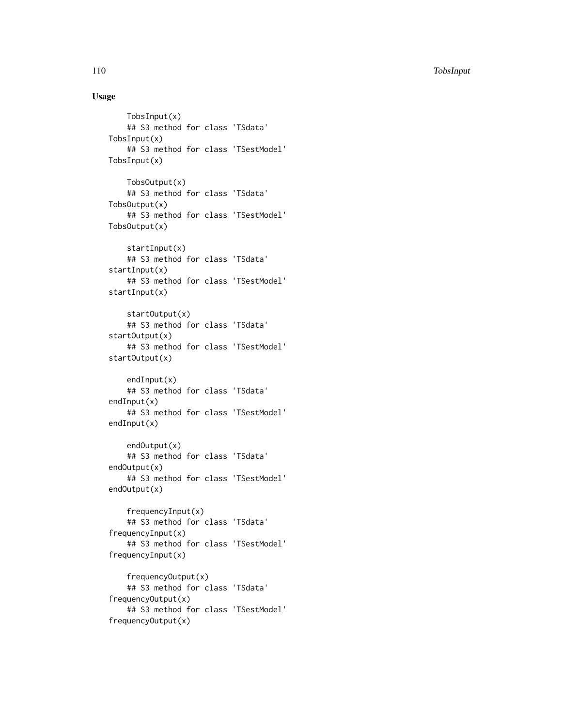110 TobsInput

# Usage

```
TobsInput(x)
    ## S3 method for class 'TSdata'
TobsInput(x)
    ## S3 method for class 'TSestModel'
TobsInput(x)
    TobsOutput(x)
    ## S3 method for class 'TSdata'
TobsOutput(x)
    ## S3 method for class 'TSestModel'
TobsOutput(x)
    startInput(x)
    ## S3 method for class 'TSdata'
startInput(x)
    ## S3 method for class 'TSestModel'
startInput(x)
    startOutput(x)
    ## S3 method for class 'TSdata'
startOutput(x)
    ## S3 method for class 'TSestModel'
startOutput(x)
    endInput(x)
    ## S3 method for class 'TSdata'
endInput(x)
    ## S3 method for class 'TSestModel'
endInput(x)
    endOutput(x)
    ## S3 method for class 'TSdata'
endOutput(x)
    ## S3 method for class 'TSestModel'
endOutput(x)
    frequencyInput(x)
    ## S3 method for class 'TSdata'
frequencyInput(x)
    ## S3 method for class 'TSestModel'
frequencyInput(x)
    frequencyOutput(x)
    ## S3 method for class 'TSdata'
frequencyOutput(x)
    ## S3 method for class 'TSestModel'
frequencyOutput(x)
```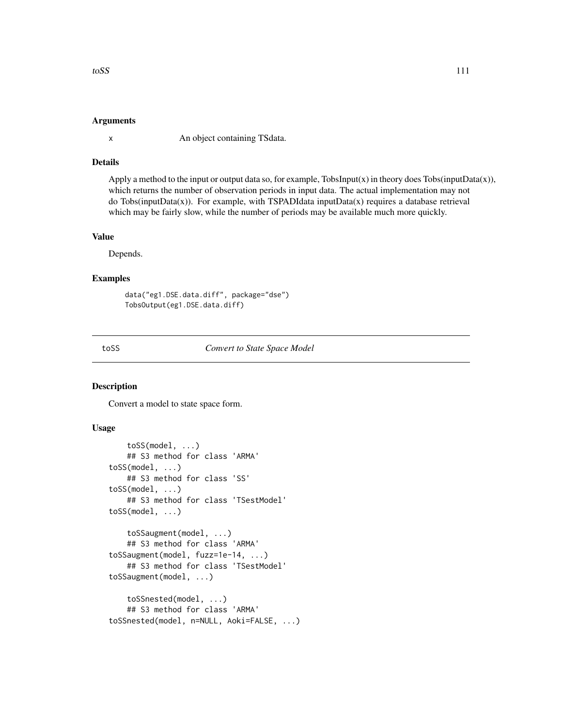# <span id="page-110-1"></span>Arguments

x An object containing TSdata.

# Details

Apply a method to the input or output data so, for example, TobsInput(x) in theory does Tobs(inputData(x)), which returns the number of observation periods in input data. The actual implementation may not do Tobs(inputData(x)). For example, with TSPADIdata inputData(x) requires a database retrieval which may be fairly slow, while the number of periods may be available much more quickly.

#### Value

Depends.

# Examples

```
data("eg1.DSE.data.diff", package="dse")
TobsOutput(eg1.DSE.data.diff)
```
<span id="page-110-0"></span>toSS *Convert to State Space Model*

# Description

Convert a model to state space form.

#### Usage

```
toSS(model, ...)
    ## S3 method for class 'ARMA'
toSS(model, ...)
    ## S3 method for class 'SS'
toSS(model, ...)
    ## S3 method for class 'TSestModel'
toSS(model, ...)
    toSSaugment(model, ...)
    ## S3 method for class 'ARMA'
toSSaugment(model, fuzz=1e-14, ...)
    ## S3 method for class 'TSestModel'
toSSaugment(model, ...)
    toSSnested(model, ...)
    ## S3 method for class 'ARMA'
toSSnested(model, n=NULL, Aoki=FALSE, ...)
```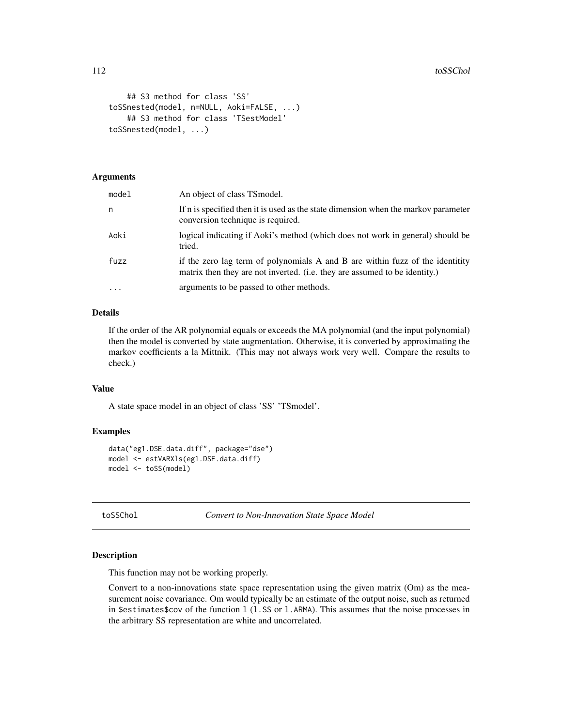```
## S3 method for class 'SS'
toSSnested(model, n=NULL, Aoki=FALSE, ...)
    ## S3 method for class 'TSestModel'
toSSnested(model, ...)
```
# Arguments

| model    | An object of class TS model.                                                                                                                                |
|----------|-------------------------------------------------------------------------------------------------------------------------------------------------------------|
| n        | If n is specified then it is used as the state dimension when the markov parameter<br>conversion technique is required.                                     |
| Aoki     | logical indicating if Aoki's method (which does not work in general) should be<br>tried.                                                                    |
| fuzz     | if the zero lag term of polynomials A and B are within fuzz of the identitity<br>matrix then they are not inverted. (i.e. they are assumed to be identity.) |
| $\cdots$ | arguments to be passed to other methods.                                                                                                                    |

# Details

If the order of the AR polynomial equals or exceeds the MA polynomial (and the input polynomial) then the model is converted by state augmentation. Otherwise, it is converted by approximating the markov coefficients a la Mittnik. (This may not always work very well. Compare the results to check.)

# Value

A state space model in an object of class 'SS' 'TSmodel'.

# Examples

```
data("eg1.DSE.data.diff", package="dse")
model <- estVARXls(eg1.DSE.data.diff)
model <- toSS(model)
```
<span id="page-111-0"></span>toSSChol *Convert to Non-Innovation State Space Model*

#### Description

This function may not be working properly.

Convert to a non-innovations state space representation using the given matrix (Om) as the measurement noise covariance. Om would typically be an estimate of the output noise, such as returned in \$estimates\$cov of the function l (l.SS or l.ARMA). This assumes that the noise processes in the arbitrary SS representation are white and uncorrelated.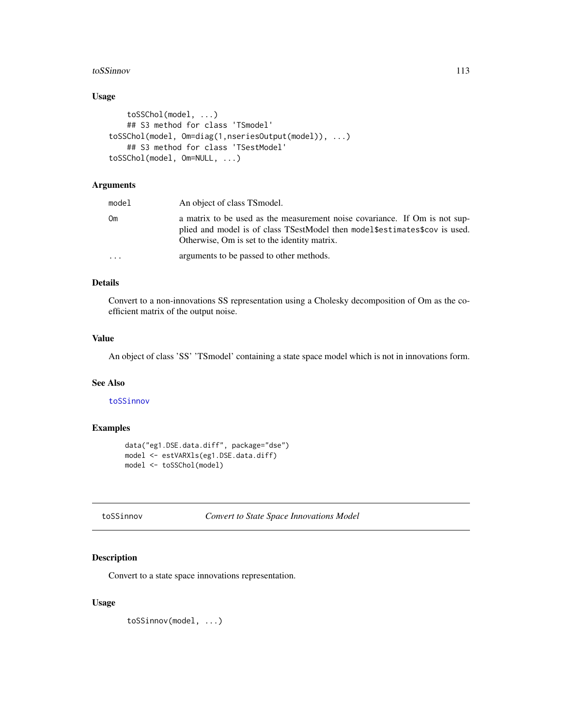#### <span id="page-112-1"></span>toSSinnov 113

# Usage

```
toSSChol(model, ...)
   ## S3 method for class 'TSmodel'
toSSChol(model, Om=diag(1,nseriesOutput(model)), ...)
   ## S3 method for class 'TSestModel'
toSSChol(model, Om=NULL, ...)
```
# Arguments

| model     | An object of class TS model.                                                                                                                                                                               |
|-----------|------------------------------------------------------------------------------------------------------------------------------------------------------------------------------------------------------------|
| Om        | a matrix to be used as the measurement noise covariance. If Om is not sup-<br>plied and model is of class TSestModel then model \$estimates \$cov is used.<br>Otherwise, Om is set to the identity matrix. |
| $\ddotsc$ | arguments to be passed to other methods.                                                                                                                                                                   |

# Details

Convert to a non-innovations SS representation using a Cholesky decomposition of Om as the coefficient matrix of the output noise.

# Value

An object of class 'SS' 'TSmodel' containing a state space model which is not in innovations form.

# See Also

#### [toSSinnov](#page-112-0)

# Examples

```
data("eg1.DSE.data.diff", package="dse")
model <- estVARXls(eg1.DSE.data.diff)
model <- toSSChol(model)
```

```
toSSinnov Convert to State Space Innovations Model
```
# Description

Convert to a state space innovations representation.

# Usage

toSSinnov(model, ...)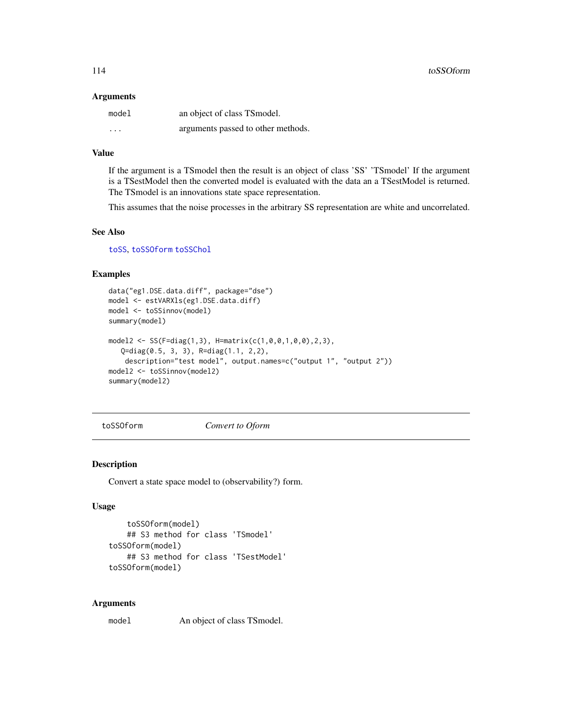#### <span id="page-113-1"></span>**Arguments**

| model    | an object of class TSmodel.        |
|----------|------------------------------------|
| $\cdots$ | arguments passed to other methods. |

# Value

If the argument is a TSmodel then the result is an object of class 'SS' 'TSmodel' If the argument is a TSestModel then the converted model is evaluated with the data an a TSestModel is returned. The TSmodel is an innovations state space representation.

This assumes that the noise processes in the arbitrary SS representation are white and uncorrelated.

#### See Also

[toSS](#page-110-0), [toSSOform](#page-113-0) [toSSChol](#page-111-0)

# Examples

```
data("eg1.DSE.data.diff", package="dse")
model <- estVARXls(eg1.DSE.data.diff)
model <- toSSinnov(model)
summary(model)
model2 <- SS(F=diag(1,3), H=matrix(c(1,0,0,1,0,0),2,3),
   Q=diag(0.5, 3, 3), R=diag(1.1, 2,2),
   description="test model", output.names=c("output 1", "output 2"))
model2 <- toSSinnov(model2)
summary(model2)
```
<span id="page-113-0"></span>toSSOform *Convert to Oform*

#### Description

Convert a state space model to (observability?) form.

# Usage

```
toSSOform(model)
    ## S3 method for class 'TSmodel'
toSSOform(model)
    ## S3 method for class 'TSestModel'
toSSOform(model)
```
#### Arguments

model An object of class TSmodel.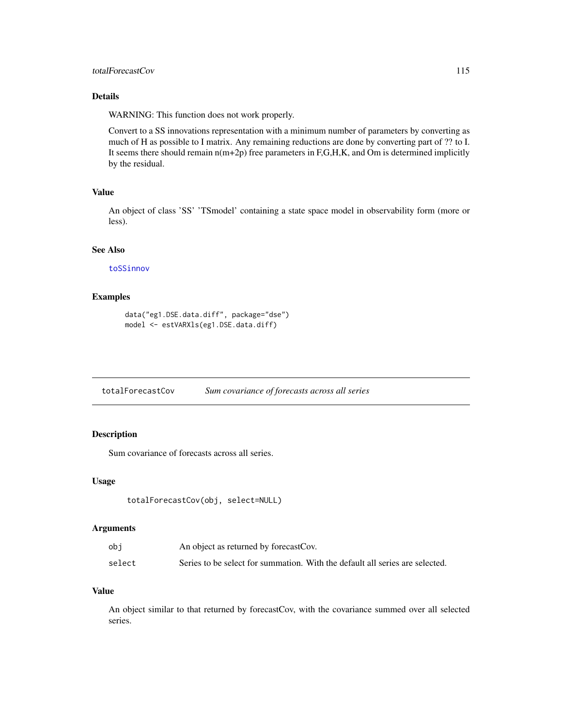# <span id="page-114-0"></span>totalForecastCov 115

# Details

WARNING: This function does not work properly.

Convert to a SS innovations representation with a minimum number of parameters by converting as much of H as possible to I matrix. Any remaining reductions are done by converting part of ?? to I. It seems there should remain  $n(m+2p)$  free parameters in F,G,H,K, and Om is determined implicitly by the residual.

# Value

An object of class 'SS' 'TSmodel' containing a state space model in observability form (more or less).

# See Also

[toSSinnov](#page-112-0)

# Examples

```
data("eg1.DSE.data.diff", package="dse")
model <- estVARXls(eg1.DSE.data.diff)
```
totalForecastCov *Sum covariance of forecasts across all series*

# Description

Sum covariance of forecasts across all series.

#### Usage

```
totalForecastCov(obj, select=NULL)
```
# Arguments

| ob i   | An object as returned by forecastCov.                                        |
|--------|------------------------------------------------------------------------------|
| select | Series to be select for summation. With the default all series are selected. |

# Value

An object similar to that returned by forecastCov, with the covariance summed over all selected series.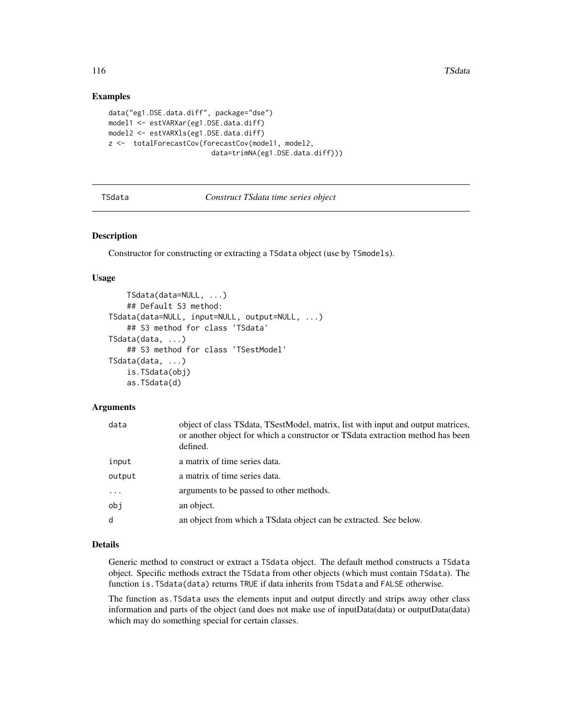# Examples

```
data("eg1.DSE.data.diff", package="dse")
model1 <- estVARXar(eg1.DSE.data.diff)
model2 <- estVARXls(eg1.DSE.data.diff)
z <- totalForecastCov(forecastCov(model1, model2,
                         data=trimNA(eg1.DSE.data.diff)))
```
<span id="page-115-0"></span>TSdata *Construct TSdata time series object*

#### Description

Constructor for constructing or extracting a TSdata object (use by TSmodels).

#### Usage

```
TSdata(data=NULL, ...)
    ## Default S3 method:
TSdata(data=NULL, input=NULL, output=NULL, ...)
    ## S3 method for class 'TSdata'
TSdata(data, ...)
    ## S3 method for class 'TSestModel'
TSdata(data, ...)
    is.TSdata(obj)
    as.TSdata(d)
```
# Arguments

| data   | object of class TSdata, TSestModel, matrix, list with input and output matrices,<br>or another object for which a constructor or TS data extraction method has been<br>defined. |
|--------|---------------------------------------------------------------------------------------------------------------------------------------------------------------------------------|
| input  | a matrix of time series data.                                                                                                                                                   |
| output | a matrix of time series data.                                                                                                                                                   |
|        | arguments to be passed to other methods.                                                                                                                                        |
| obj    | an object.                                                                                                                                                                      |
| d      | an object from which a TS data object can be extracted. See below.                                                                                                              |

# Details

Generic method to construct or extract a TSdata object. The default method constructs a TSdata object. Specific methods extract the TSdata from other objects (which must contain TSdata). The function is.TSdata(data) returns TRUE if data inherits from TSdata and FALSE otherwise.

The function as.TSdata uses the elements input and output directly and strips away other class information and parts of the object (and does not make use of inputData(data) or outputData(data) which may do something special for certain classes.

<span id="page-115-1"></span>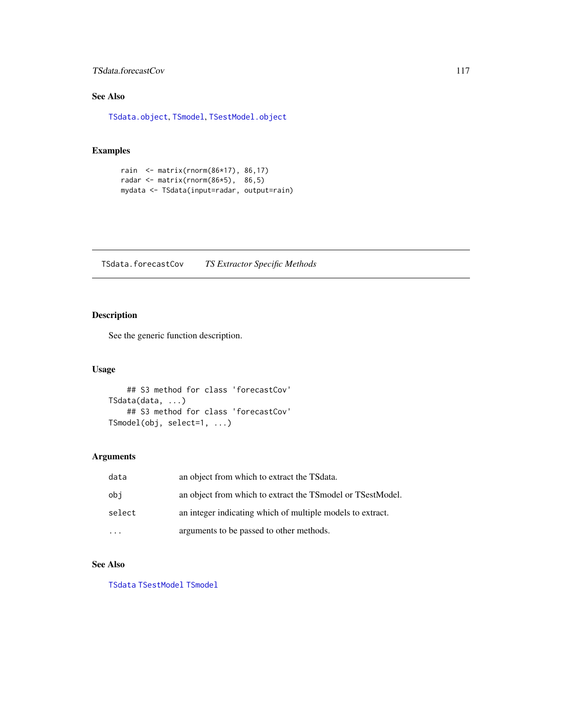# <span id="page-116-0"></span>TSdata.forecastCov 117

# See Also

[TSdata.object](#page-117-0), [TSmodel](#page-118-0), [TSestModel.object](#page-117-1)

# Examples

```
rain <- matrix(rnorm(86*17), 86,17)
radar <- matrix(rnorm(86*5), 86,5)
mydata <- TSdata(input=radar, output=rain)
```
TSdata.forecastCov *TS Extractor Specific Methods*

# Description

See the generic function description.

# Usage

```
## S3 method for class 'forecastCov'
TSdata(data, ...)
    ## S3 method for class 'forecastCov'
TSmodel(obj, select=1, ...)
```
# Arguments

| data   | an object from which to extract the TSdata.                   |
|--------|---------------------------------------------------------------|
| obi    | an object from which to extract the TS model or TS est Model. |
| select | an integer indicating which of multiple models to extract.    |
|        | arguments to be passed to other methods.                      |

# See Also

[TSdata](#page-115-0) [TSestModel](#page-117-2) [TSmodel](#page-118-0)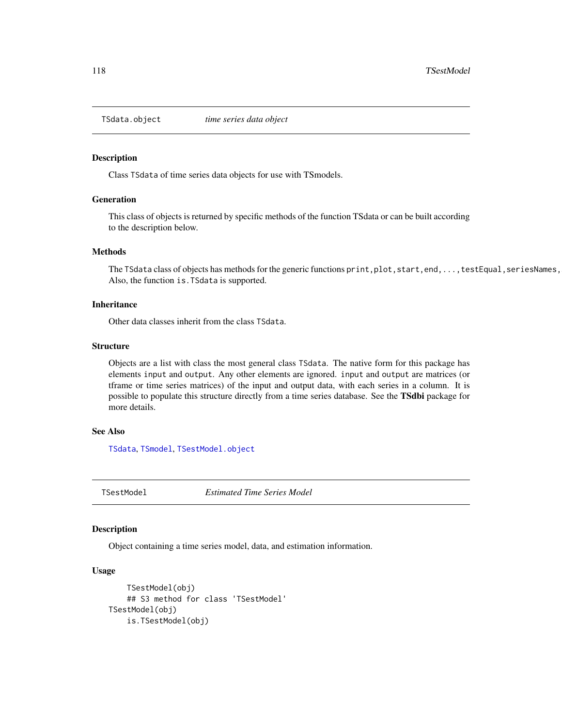<span id="page-117-3"></span><span id="page-117-0"></span>

#### Description

Class TSdata of time series data objects for use with TSmodels.

# Generation

This class of objects is returned by specific methods of the function TSdata or can be built according to the description below.

# Methods

The TSdata class of objects has methods for the generic functions print,plot,start,end,...,testEqual,seriesNames, Also, the function is.TSdata is supported.

#### **Inheritance**

Other data classes inherit from the class TSdata.

#### **Structure**

Objects are a list with class the most general class TSdata. The native form for this package has elements input and output. Any other elements are ignored. input and output are matrices (or tframe or time series matrices) of the input and output data, with each series in a column. It is possible to populate this structure directly from a time series database. See the TSdbi package for more details.

# See Also

[TSdata](#page-115-0), [TSmodel](#page-118-0), [TSestModel.object](#page-117-1)

<span id="page-117-2"></span>TSestModel *Estimated Time Series Model*

# <span id="page-117-1"></span>Description

Object containing a time series model, data, and estimation information.

#### Usage

```
TSestModel(obj)
   ## S3 method for class 'TSestModel'
TSestModel(obj)
   is.TSestModel(obj)
```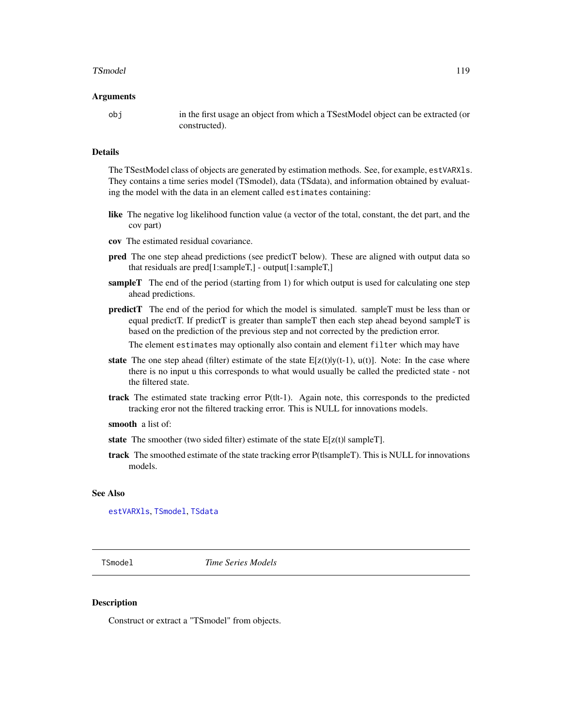#### <span id="page-118-1"></span>TSmodel 2008 and 2009 and 2009 and 2009 and 2009 and 2009 and 2009 and 2009 and 2009 and 2009 and 2009 and 200

#### Arguments

obj in the first usage an object from which a TSestModel object can be extracted (or constructed).

#### Details

The TSestModel class of objects are generated by estimation methods. See, for example, estVARXls. They contains a time series model (TSmodel), data (TSdata), and information obtained by evaluating the model with the data in an element called estimates containing:

- like The negative log likelihood function value (a vector of the total, constant, the det part, and the cov part)
- cov The estimated residual covariance.
- pred The one step ahead predictions (see predictT below). These are aligned with output data so that residuals are pred[1:sampleT,] - output[1:sampleT,]
- sampleT The end of the period (starting from 1) for which output is used for calculating one step ahead predictions.
- predictT The end of the period for which the model is simulated. sampleT must be less than or equal predictT. If predictT is greater than sampleT then each step ahead beyond sampleT is based on the prediction of the previous step and not corrected by the prediction error.

The element estimates may optionally also contain and element filter which may have

- **state** The one step ahead (filter) estimate of the state  $E[z(t)|y(t-1), u(t)]$ . Note: In the case where there is no input u this corresponds to what would usually be called the predicted state - not the filtered state.
- track The estimated state tracking error P(tlt-1). Again note, this corresponds to the predicted tracking eror not the filtered tracking error. This is NULL for innovations models.

- state The smoother (two sided filter) estimate of the state  $E[z(t)]$  sampleT.
- track The smoothed estimate of the state tracking error P(t|sampleT). This is NULL for innovations models.

#### See Also

[estVARXls](#page-33-0), [TSmodel](#page-118-0), [TSdata](#page-115-0)

<span id="page-118-0"></span>TSmodel *Time Series Models*

#### **Description**

Construct or extract a "TSmodel" from objects.

smooth a list of: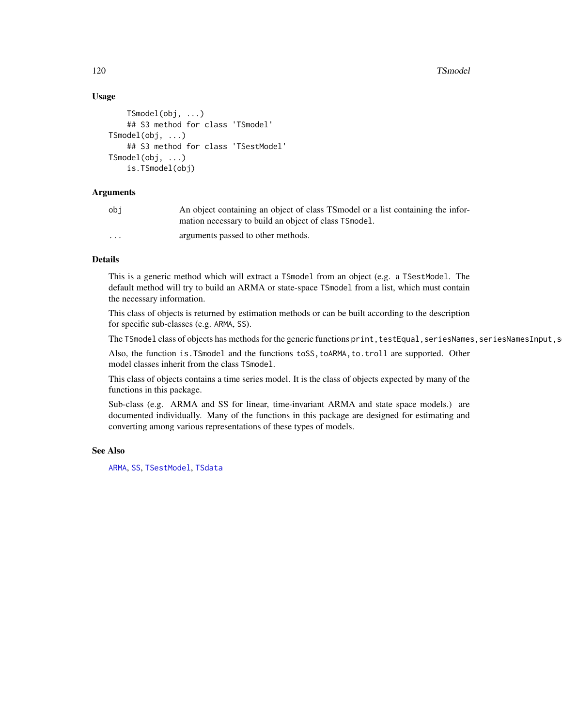# Usage

```
TSmodel(obj, ...)
    ## S3 method for class 'TSmodel'
TSmodel(obj, ...)
    ## S3 method for class 'TSestModel'
TSmodel(obj, ...)
    is.TSmodel(obj)
```
# **Arguments**

| obi                     | An object containing an object of class TS model or a list containing the infor- |
|-------------------------|----------------------------------------------------------------------------------|
|                         | mation necessary to build an object of class TSmodel.                            |
| $\cdot$ $\cdot$ $\cdot$ | arguments passed to other methods.                                               |

# Details

This is a generic method which will extract a TSmodel from an object (e.g. a TSestModel. The default method will try to build an ARMA or state-space TSmodel from a list, which must contain the necessary information.

This class of objects is returned by estimation methods or can be built according to the description for specific sub-classes (e.g. ARMA, SS).

The TSmodel class of objects has methods for the generic functions print, testEqual,seriesNames, seriesNamesInput,s

Also, the function is.TSmodel and the functions toSS,toARMA,to.troll are supported. Other model classes inherit from the class TSmodel.

This class of objects contains a time series model. It is the class of objects expected by many of the functions in this package.

Sub-class (e.g. ARMA and SS for linear, time-invariant ARMA and state space models.) are documented individually. Many of the functions in this package are designed for estimating and converting among various representations of these types of models.

# See Also

[ARMA](#page-6-0), [SS](#page-92-0), [TSestModel](#page-117-2), [TSdata](#page-115-0)

<span id="page-119-0"></span>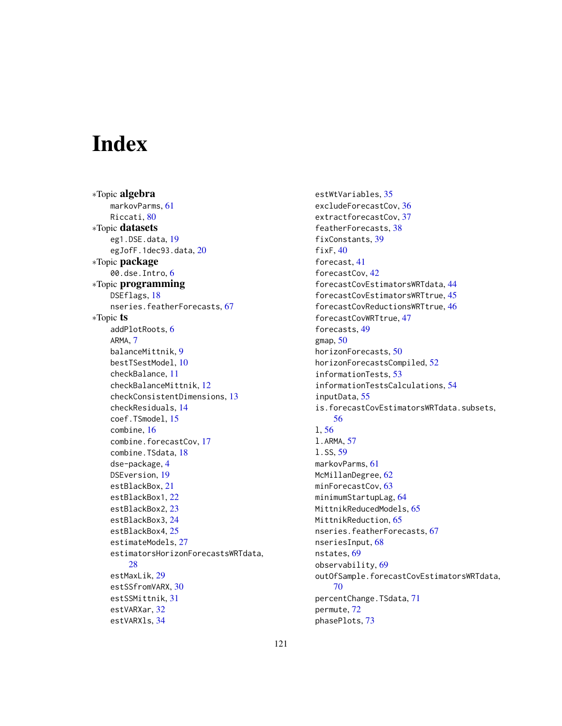# Index

∗Topic algebra markovParms, [61](#page-60-0) Riccati, [80](#page-79-0) ∗Topic datasets eg1.DSE.data, [19](#page-18-0) egJofF.1dec93.data, [20](#page-19-0) ∗Topic package 00.dse.Intro, [6](#page-5-0) ∗Topic programming DSEflags, [18](#page-17-0) nseries.featherForecasts, [67](#page-66-0) ∗Topic ts addPlotRoots, [6](#page-5-0) ARMA, [7](#page-6-1) balanceMittnik, [9](#page-8-0) bestTSestModel, [10](#page-9-0) checkBalance, [11](#page-10-0) checkBalanceMittnik, [12](#page-11-0) checkConsistentDimensions, [13](#page-12-0) checkResiduals, [14](#page-13-0) coef.TSmodel, [15](#page-14-0) combine, [16](#page-15-0) combine.forecastCov, [17](#page-16-0) combine.TSdata, [18](#page-17-0) dse-package, [4](#page-3-0) DSEversion, [19](#page-18-0) estBlackBox, [21](#page-20-0) estBlackBox1, [22](#page-21-0) estBlackBox2, [23](#page-22-0) estBlackBox3, [24](#page-23-0) estBlackBox4, [25](#page-24-0) estimateModels, [27](#page-26-0) estimatorsHorizonForecastsWRTdata, [28](#page-27-0) estMaxLik, [29](#page-28-0) estSSfromVARX, [30](#page-29-0) estSSMittnik, [31](#page-30-0) estVARXar, [32](#page-31-0) estVARXls, [34](#page-33-1)

estWtVariables, [35](#page-34-0) excludeForecastCov, [36](#page-35-0) extractforecastCov, [37](#page-36-0) featherForecasts, [38](#page-37-0) fixConstants, [39](#page-38-0) fixF, [40](#page-39-0) forecast, [41](#page-40-0) forecastCov, [42](#page-41-0) forecastCovEstimatorsWRTdata, [44](#page-43-0) forecastCovEstimatorsWRTtrue, [45](#page-44-0) forecastCovReductionsWRTtrue, [46](#page-45-0) forecastCovWRTtrue, [47](#page-46-0) forecasts, [49](#page-48-0) gmap,  $50$ horizonForecasts, [50](#page-49-0) horizonForecastsCompiled, [52](#page-51-0) informationTests, [53](#page-52-0) informationTestsCalculations, [54](#page-53-0) inputData, [55](#page-54-0) is.forecastCovEstimatorsWRTdata.subsets, [56](#page-55-0) l, [56](#page-55-0) l.ARMA, [57](#page-56-0) l.SS, [59](#page-58-0) markovParms, [61](#page-60-0) McMillanDegree, [62](#page-61-0) minForecastCov, [63](#page-62-0) minimumStartupLag, [64](#page-63-0) MittnikReducedModels, [65](#page-64-0) MittnikReduction, [65](#page-64-0) nseries.featherForecasts, [67](#page-66-0) nseriesInput, [68](#page-67-0) nstates, [69](#page-68-0) observability, [69](#page-68-0) outOfSample.forecastCovEstimatorsWRTdata, [70](#page-69-0) percentChange.TSdata, [71](#page-70-0) permute, [72](#page-71-0) phasePlots, [73](#page-72-0)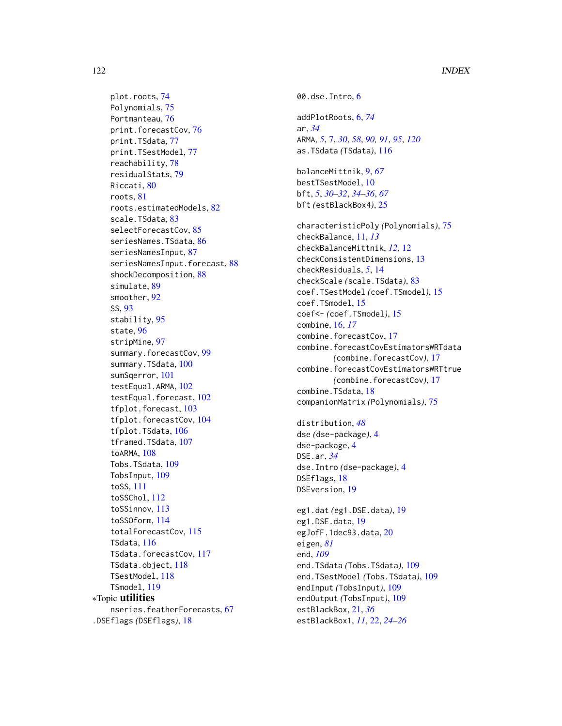plot.roots, [74](#page-73-0) Polynomials, [75](#page-74-0) Portmanteau, [76](#page-75-0) print.forecastCov, [76](#page-75-0) print.TSdata, [77](#page-76-0) print.TSestModel, [77](#page-76-0) reachability, [78](#page-77-0) residualStats, [79](#page-78-0) Riccati, [80](#page-79-0) roots, [81](#page-80-0) roots.estimatedModels, [82](#page-81-0) scale.TSdata, [83](#page-82-0) selectForecastCov, [85](#page-84-0) seriesNames.TSdata, [86](#page-85-0) seriesNamesInput, [87](#page-86-0) seriesNamesInput.forecast, [88](#page-87-0) shockDecomposition, [88](#page-87-0) simulate, [89](#page-88-0) smoother, [92](#page-91-0) SS, [93](#page-92-1) stability, [95](#page-94-0) state, [96](#page-95-0) stripMine, [97](#page-96-0) summary.forecastCov, [99](#page-98-0) summary.TSdata, [100](#page-99-0) sumSqerror, [101](#page-100-0) testEqual.ARMA, [102](#page-101-0) testEqual.forecast, [102](#page-101-0) tfplot.forecast, [103](#page-102-0) tfplot.forecastCov, [104](#page-103-0) tfplot.TSdata, [106](#page-105-0) tframed.TSdata, [107](#page-106-0) toARMA, [108](#page-107-0) Tobs.TSdata, [109](#page-108-0) TobsInput, [109](#page-108-0) toSS, [111](#page-110-1) toSSChol, [112](#page-111-1) toSSinnov, [113](#page-112-1) toSSOform, [114](#page-113-1) totalForecastCov, [115](#page-114-0) TSdata, [116](#page-115-1) TSdata.forecastCov, [117](#page-116-0) TSdata.object, [118](#page-117-3) TSestModel, [118](#page-117-3) TSmodel, [119](#page-118-1) ∗Topic utilities nseries.featherForecasts, [67](#page-66-0) .DSEflags *(*DSEflags*)*, [18](#page-17-0)

00.dse.Intro, [6](#page-5-0) addPlotRoots, [6,](#page-5-0) *[74](#page-73-0)* ar, *[34](#page-33-1)* ARMA, *[5](#page-4-0)*, [7,](#page-6-1) *[30](#page-29-0)*, *[58](#page-57-0)*, *[90,](#page-89-0) [91](#page-90-0)*, *[95](#page-94-0)*, *[120](#page-119-0)* as.TSdata *(*TSdata*)*, [116](#page-115-1) balanceMittnik, [9,](#page-8-0) *[67](#page-66-0)* bestTSestModel, [10](#page-9-0) bft, *[5](#page-4-0)*, *[30](#page-29-0)[–32](#page-31-0)*, *[34](#page-33-1)[–36](#page-35-0)*, *[67](#page-66-0)* bft *(*estBlackBox4*)*, [25](#page-24-0) characteristicPoly *(*Polynomials*)*, [75](#page-74-0) checkBalance, [11,](#page-10-0) *[13](#page-12-0)* checkBalanceMittnik, *[12](#page-11-0)*, [12](#page-11-0) checkConsistentDimensions, [13](#page-12-0) checkResiduals, *[5](#page-4-0)*, [14](#page-13-0) checkScale *(*scale.TSdata*)*, [83](#page-82-0) coef.TSestModel *(*coef.TSmodel*)*, [15](#page-14-0) coef.TSmodel, [15](#page-14-0) coef<- *(*coef.TSmodel*)*, [15](#page-14-0) combine, [16,](#page-15-0) *[17](#page-16-0)* combine.forecastCov, [17](#page-16-0) combine.forecastCovEstimatorsWRTdata *(*combine.forecastCov*)*, [17](#page-16-0) combine.forecastCovEstimatorsWRTtrue *(*combine.forecastCov*)*, [17](#page-16-0) combine.TSdata, [18](#page-17-0) companionMatrix *(*Polynomials*)*, [75](#page-74-0) distribution, *[48](#page-47-0)* dse *(*dse-package*)*, [4](#page-3-0) dse-package, [4](#page-3-0) DSE.ar, *[34](#page-33-1)* dse.Intro *(*dse-package*)*, [4](#page-3-0) DSEflags, [18](#page-17-0) DSEversion, [19](#page-18-0) eg1.dat *(*eg1.DSE.data*)*, [19](#page-18-0) eg1.DSE.data, [19](#page-18-0) egJofF.1dec93.data, [20](#page-19-0) eigen, *[81](#page-80-0)* end, *[109](#page-108-0)* end.TSdata *(*Tobs.TSdata*)*, [109](#page-108-0) end.TSestModel *(*Tobs.TSdata*)*, [109](#page-108-0) endInput *(*TobsInput*)*, [109](#page-108-0) endOutput *(*TobsInput*)*, [109](#page-108-0) estBlackBox, [21,](#page-20-0) *[36](#page-35-0)* estBlackBox1, *[11](#page-10-0)*, [22,](#page-21-0) *[24](#page-23-0)[–26](#page-25-0)*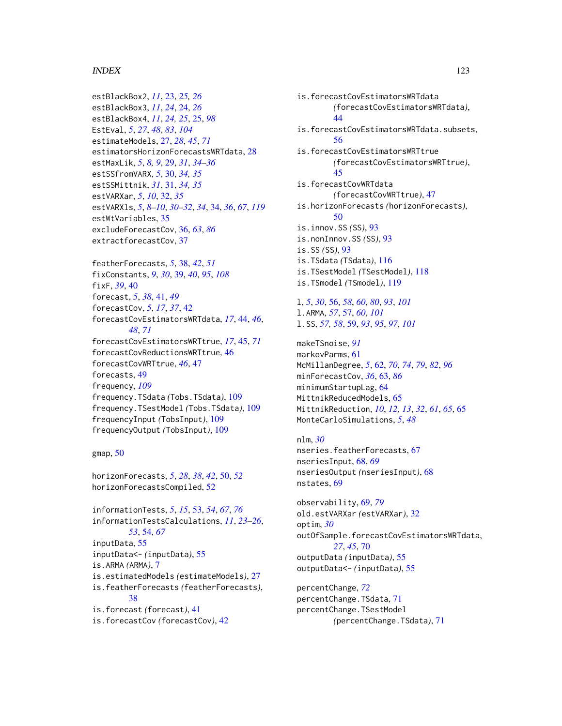#### INDEX 123

estBlackBox2, *[11](#page-10-0)*, [23,](#page-22-0) *[25,](#page-24-0) [26](#page-25-0)* estBlackBox3, *[11](#page-10-0)*, *[24](#page-23-0)*, [24,](#page-23-0) *[26](#page-25-0)* estBlackBox4, *[11](#page-10-0)*, *[24,](#page-23-0) [25](#page-24-0)*, [25,](#page-24-0) *[98](#page-97-0)* EstEval, *[5](#page-4-0)*, *[27](#page-26-0)*, *[48](#page-47-0)*, *[83](#page-82-0)*, *[104](#page-103-0)* estimateModels, [27,](#page-26-0) *[28](#page-27-0)*, *[45](#page-44-0)*, *[71](#page-70-0)* estimatorsHorizonForecastsWRTdata, [28](#page-27-0) estMaxLik, *[5](#page-4-0)*, *[8,](#page-7-0) [9](#page-8-0)*, [29,](#page-28-0) *[31](#page-30-0)*, *[34–](#page-33-1)[36](#page-35-0)* estSSfromVARX, *[5](#page-4-0)*, [30,](#page-29-0) *[34,](#page-33-1) [35](#page-34-0)* estSSMittnik, *[31](#page-30-0)*, [31,](#page-30-0) *[34,](#page-33-1) [35](#page-34-0)* estVARXar, *[5](#page-4-0)*, *[10](#page-9-0)*, [32,](#page-31-0) *[35](#page-34-0)* estVARXls, *[5](#page-4-0)*, *[8–](#page-7-0)[10](#page-9-0)*, *[30–](#page-29-0)[32](#page-31-0)*, *[34](#page-33-1)*, [34,](#page-33-1) *[36](#page-35-0)*, *[67](#page-66-0)*, *[119](#page-118-1)* estWtVariables, [35](#page-34-0) excludeForecastCov, [36,](#page-35-0) *[63](#page-62-0)*, *[86](#page-85-0)* extractforecastCov, [37](#page-36-0)

featherForecasts, *[5](#page-4-0)*, [38,](#page-37-0) *[42](#page-41-0)*, *[51](#page-50-0)* fixConstants, *[9](#page-8-0)*, *[30](#page-29-0)*, [39,](#page-38-0) *[40](#page-39-0)*, *[95](#page-94-0)*, *[108](#page-107-0)* fixF, *[39](#page-38-0)*, [40](#page-39-0) forecast, *[5](#page-4-0)*, *[38](#page-37-0)*, [41,](#page-40-0) *[49](#page-48-0)* forecastCov, *[5](#page-4-0)*, *[17](#page-16-0)*, *[37](#page-36-0)*, [42](#page-41-0) forecastCovEstimatorsWRTdata, *[17](#page-16-0)*, [44,](#page-43-0) *[46](#page-45-0)*, *[48](#page-47-0)*, *[71](#page-70-0)* forecastCovEstimatorsWRTtrue, *[17](#page-16-0)*, [45,](#page-44-0) *[71](#page-70-0)* forecastCovReductionsWRTtrue, [46](#page-45-0) forecastCovWRTtrue, *[46](#page-45-0)*, [47](#page-46-0) forecasts, [49](#page-48-0) frequency, *[109](#page-108-0)* frequency.TSdata *(*Tobs.TSdata*)*, [109](#page-108-0) frequency.TSestModel *(*Tobs.TSdata*)*, [109](#page-108-0) frequencyInput *(*TobsInput*)*, [109](#page-108-0) frequencyOutput *(*TobsInput*)*, [109](#page-108-0)

# gmap, [50](#page-49-0)

horizonForecasts, *[5](#page-4-0)*, *[28](#page-27-0)*, *[38](#page-37-0)*, *[42](#page-41-0)*, [50,](#page-49-0) *[52](#page-51-0)* horizonForecastsCompiled, [52](#page-51-0)

informationTests, *[5](#page-4-0)*, *[15](#page-14-0)*, [53,](#page-52-0) *[54](#page-53-0)*, *[67](#page-66-0)*, *[76](#page-75-0)* informationTestsCalculations, *[11](#page-10-0)*, *[23–](#page-22-0)[26](#page-25-0)*, *[53](#page-52-0)*, [54,](#page-53-0) *[67](#page-66-0)* inputData, [55](#page-54-0) inputData<- *(*inputData*)*, [55](#page-54-0) is.ARMA *(*ARMA*)*, [7](#page-6-1) is.estimatedModels *(*estimateModels*)*, [27](#page-26-0) is.featherForecasts *(*featherForecasts*)*, [38](#page-37-0) is.forecast *(*forecast*)*, [41](#page-40-0) is.forecastCov *(*forecastCov*)*, [42](#page-41-0)

is.forecastCovEstimatorsWRTdata *(*forecastCovEstimatorsWRTdata*)*, [44](#page-43-0) is.forecastCovEstimatorsWRTdata.subsets, [56](#page-55-0) is.forecastCovEstimatorsWRTtrue *(*forecastCovEstimatorsWRTtrue*)*, [45](#page-44-0) is.forecastCovWRTdata *(*forecastCovWRTtrue*)*, [47](#page-46-0) is.horizonForecasts *(*horizonForecasts*)*, [50](#page-49-0) is.innov.SS *(*SS*)*, [93](#page-92-1) is.nonInnov.SS *(*SS*)*, [93](#page-92-1) is.SS *(*SS*)*, [93](#page-92-1) is.TSdata *(*TSdata*)*, [116](#page-115-1) is.TSestModel *(*TSestModel*)*, [118](#page-117-3) is.TSmodel *(*TSmodel*)*, [119](#page-118-1) l, *[5](#page-4-0)*, *[30](#page-29-0)*, [56,](#page-55-0) *[58](#page-57-0)*, *[60](#page-59-0)*, *[80](#page-79-0)*, *[93](#page-92-1)*, *[101](#page-100-0)* l.ARMA, *[57](#page-56-0)*, [57,](#page-56-0) *[60](#page-59-0)*, *[101](#page-100-0)* l.SS, *[57,](#page-56-0) [58](#page-57-0)*, [59,](#page-58-0) *[93](#page-92-1)*, *[95](#page-94-0)*, *[97](#page-96-0)*, *[101](#page-100-0)*

makeTSnoise, *[91](#page-90-0)* markovParms, [61](#page-60-0) McMillanDegree, *[5](#page-4-0)*, [62,](#page-61-0) *[70](#page-69-0)*, *[74](#page-73-0)*, *[79](#page-78-0)*, *[82](#page-81-0)*, *[96](#page-95-0)* minForecastCov, *[36](#page-35-0)*, [63,](#page-62-0) *[86](#page-85-0)* minimumStartupLag, [64](#page-63-0) MittnikReducedModels, [65](#page-64-0) MittnikReduction, *[10](#page-9-0)*, *[12,](#page-11-0) [13](#page-12-0)*, *[32](#page-31-0)*, *[61](#page-60-0)*, *[65](#page-64-0)*, [65](#page-64-0) MonteCarloSimulations, *[5](#page-4-0)*, *[48](#page-47-0)*

nlm, *[30](#page-29-0)* nseries.featherForecasts, [67](#page-66-0) nseriesInput, [68,](#page-67-0) *[69](#page-68-0)* nseriesOutput *(*nseriesInput*)*, [68](#page-67-0) nstates, [69](#page-68-0)

observability, [69,](#page-68-0) *[79](#page-78-0)* old.estVARXar *(*estVARXar*)*, [32](#page-31-0) optim, *[30](#page-29-0)* outOfSample.forecastCovEstimatorsWRTdata, *[27](#page-26-0)*, *[45](#page-44-0)*, [70](#page-69-0) outputData *(*inputData*)*, [55](#page-54-0) outputData<- *(*inputData*)*, [55](#page-54-0)

percentChange, *[72](#page-71-0)* percentChange.TSdata, [71](#page-70-0) percentChange.TSestModel *(*percentChange.TSdata*)*, [71](#page-70-0)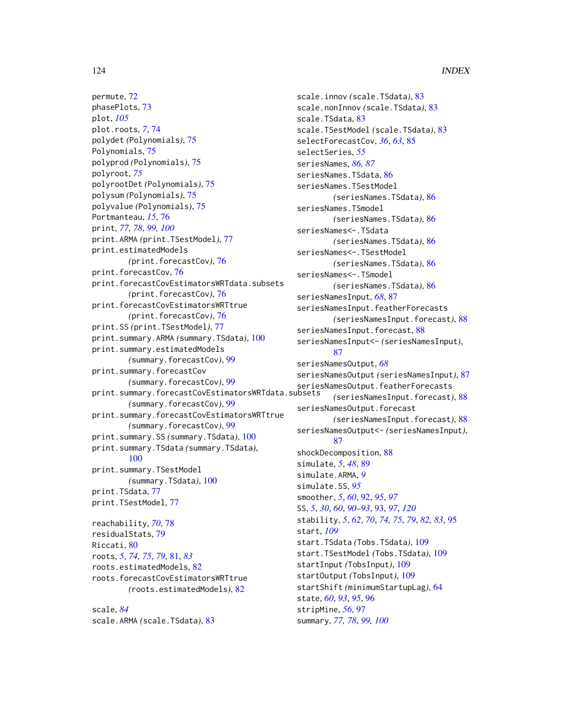permute, [72](#page-71-0) phasePlots, [73](#page-72-0) plot, *[105](#page-104-0)* plot.roots, *[7](#page-6-1)*, [74](#page-73-0) polydet *(*Polynomials*)*, [75](#page-74-0) Polynomials, [75](#page-74-0) polyprod *(*Polynomials*)*, [75](#page-74-0) polyroot, *[75](#page-74-0)* polyrootDet *(*Polynomials*)*, [75](#page-74-0) polysum *(*Polynomials*)*, [75](#page-74-0) polyvalue *(*Polynomials*)*, [75](#page-74-0) Portmanteau, *[15](#page-14-0)*, [76](#page-75-0) print, *[77,](#page-76-0) [78](#page-77-0)*, *[99,](#page-98-0) [100](#page-99-0)* print.ARMA *(*print.TSestModel*)*, [77](#page-76-0) print.estimatedModels *(*print.forecastCov*)*, [76](#page-75-0) print.forecastCov, [76](#page-75-0) print.forecastCovEstimatorsWRTdata.subsets *(*print.forecastCov*)*, [76](#page-75-0) print.forecastCovEstimatorsWRTtrue *(*print.forecastCov*)*, [76](#page-75-0) print.SS *(*print.TSestModel*)*, [77](#page-76-0) print.summary.ARMA *(*summary.TSdata*)*, [100](#page-99-0) print.summary.estimatedModels *(*summary.forecastCov*)*, [99](#page-98-0) print.summary.forecastCov *(*summary.forecastCov*)*, [99](#page-98-0) print.summary.forecastCovEstimatorsWRTdata.subsets *(*summary.forecastCov*)*, [99](#page-98-0) print.summary.forecastCovEstimatorsWRTtrue *(*summary.forecastCov*)*, [99](#page-98-0) print.summary.SS *(*summary.TSdata*)*, [100](#page-99-0) print.summary.TSdata *(*summary.TSdata*)*, [100](#page-99-0) print.summary.TSestModel *(*summary.TSdata*)*, [100](#page-99-0) print.TSdata, [77](#page-76-0) print.TSestModel, [77](#page-76-0) reachability, *[70](#page-69-0)*, [78](#page-77-0) residualStats, [79](#page-78-0) Riccati, [80](#page-79-0) roots, *[5](#page-4-0)*, *[74,](#page-73-0) [75](#page-74-0)*, *[79](#page-78-0)*, [81,](#page-80-0) *[83](#page-82-0)* roots.estimatedModels, [82](#page-81-0) roots.forecastCovEstimatorsWRTtrue *(*roots.estimatedModels*)*, [82](#page-81-0)

scale, *[84](#page-83-0)* scale.ARMA *(*scale.TSdata*)*, [83](#page-82-0)

scale.innov *(*scale.TSdata*)*, [83](#page-82-0) scale.nonInnov *(*scale.TSdata*)*, [83](#page-82-0) scale.TSdata, [83](#page-82-0) scale.TSestModel *(*scale.TSdata*)*, [83](#page-82-0) selectForecastCov, *[36](#page-35-0)*, *[63](#page-62-0)*, [85](#page-84-0) selectSeries, *[55](#page-54-0)* seriesNames, *[86,](#page-85-0) [87](#page-86-0)* seriesNames.TSdata, [86](#page-85-0) seriesNames.TSestModel *(*seriesNames.TSdata*)*, [86](#page-85-0) seriesNames.TSmodel *(*seriesNames.TSdata*)*, [86](#page-85-0) seriesNames<-.TSdata *(*seriesNames.TSdata*)*, [86](#page-85-0) seriesNames<-.TSestModel *(*seriesNames.TSdata*)*, [86](#page-85-0) seriesNames<-.TSmodel *(*seriesNames.TSdata*)*, [86](#page-85-0) seriesNamesInput, *[68](#page-67-0)*, [87](#page-86-0) seriesNamesInput.featherForecasts *(*seriesNamesInput.forecast*)*, [88](#page-87-0) seriesNamesInput.forecast, [88](#page-87-0) seriesNamesInput<- *(*seriesNamesInput*)*, [87](#page-86-0) seriesNamesOutput, *[68](#page-67-0)* seriesNamesOutput *(*seriesNamesInput*)*, [87](#page-86-0) seriesNamesOutput.featherForecasts *(*seriesNamesInput.forecast*)*, [88](#page-87-0) seriesNamesOutput.forecast *(*seriesNamesInput.forecast*)*, [88](#page-87-0) seriesNamesOutput<- *(*seriesNamesInput*)*, [87](#page-86-0) shockDecomposition, [88](#page-87-0) simulate, *[5](#page-4-0)*, *[48](#page-47-0)*, [89](#page-88-0) simulate.ARMA, *[9](#page-8-0)* simulate.SS, *[95](#page-94-0)* smoother, *[5](#page-4-0)*, *[60](#page-59-0)*, [92,](#page-91-0) *[95](#page-94-0)*, *[97](#page-96-0)* SS, *[5](#page-4-0)*, *[30](#page-29-0)*, *[60](#page-59-0)*, *[90](#page-89-0)[–93](#page-92-1)*, [93,](#page-92-1) *[97](#page-96-0)*, *[120](#page-119-0)* stability, *[5](#page-4-0)*, *[62](#page-61-0)*, *[70](#page-69-0)*, *[74,](#page-73-0) [75](#page-74-0)*, *[79](#page-78-0)*, *[82,](#page-81-0) [83](#page-82-0)*, [95](#page-94-0) start, *[109](#page-108-0)* start.TSdata *(*Tobs.TSdata*)*, [109](#page-108-0) start.TSestModel *(*Tobs.TSdata*)*, [109](#page-108-0) startInput *(*TobsInput*)*, [109](#page-108-0) startOutput *(*TobsInput*)*, [109](#page-108-0) startShift *(*minimumStartupLag*)*, [64](#page-63-0) state, *[60](#page-59-0)*, *[93](#page-92-1)*, *[95](#page-94-0)*, [96](#page-95-0) stripMine, *[56](#page-55-0)*, [97](#page-96-0) summary, *[77,](#page-76-0) [78](#page-77-0)*, *[99,](#page-98-0) [100](#page-99-0)*